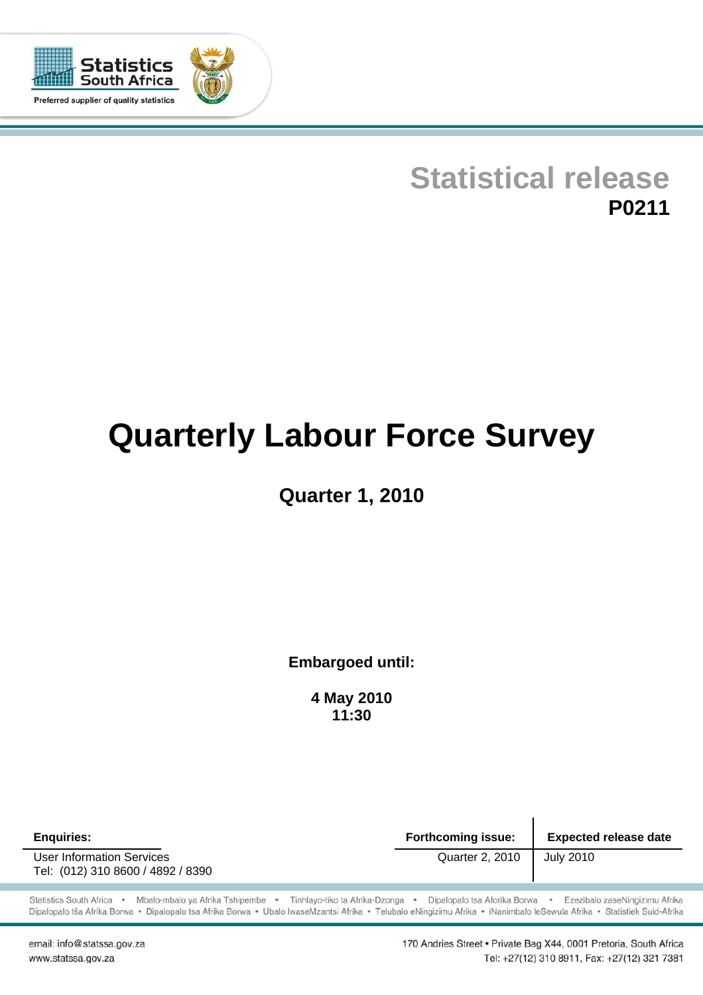

# **Statistical release P0211**

# **Quarterly Labour Force Survey**

# **Quarter 1, 2010**

**Embargoed until:** 

**4 May 2010 11:30**

**Enquiries: Forthcoming issue: Expected release date**  User Information Services Quarter 2, 2010 July 2010 Tel: (012) 310 8600 / 4892 / 8390

Statistics South Africa · Mbalo-mbalo ya Afrika Tshipembe · Tinhlayo-tiko ta Afrika-Dzonga · Dipalopalo tsa Aforika Borwa · Ezezibalo zaseNingizimu Afrika Dipalopalo tša Afrika Borwa · Dipalopalo tsa Afrika Borwa · Ubalo lwaseMzantsi Afrika · Telubalo eNingizimu Afrika · iNanimbalo leSewula Afrika · Statistiek Suid-Afrika

email: info@statssa.gov.za www.statssa.gov.za

170 Andries Street . Private Bag X44, 0001 Pretoria, South Africa Tel: +27(12) 310 8911, Fax: +27(12) 321 7381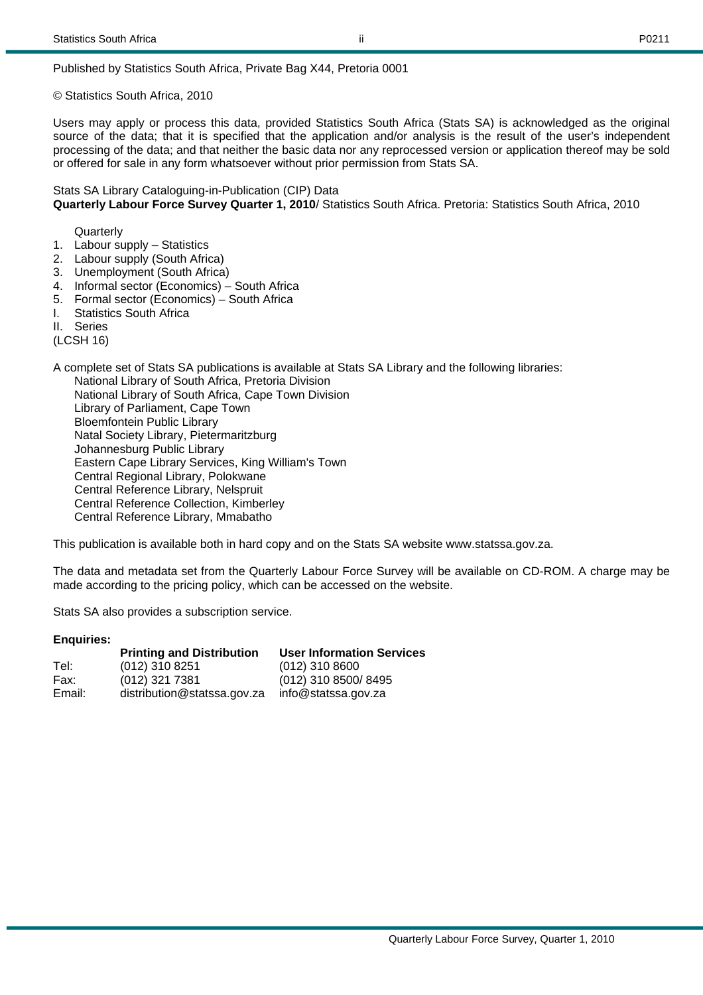Published by Statistics South Africa, Private Bag X44, Pretoria 0001

© Statistics South Africa, 2010

Users may apply or process this data, provided Statistics South Africa (Stats SA) is acknowledged as the original source of the data; that it is specified that the application and/or analysis is the result of the user's independent processing of the data; and that neither the basic data nor any reprocessed version or application thereof may be sold or offered for sale in any form whatsoever without prior permission from Stats SA.

Stats SA Library Cataloguing-in-Publication (CIP) Data **Quarterly Labour Force Survey Quarter 1, 2010**/ Statistics South Africa. Pretoria: Statistics South Africa, 2010

**Quarterly** 

- 1. Labour supply Statistics
- 2. Labour supply (South Africa)
- 3. Unemployment (South Africa)
- 4. Informal sector (Economics) South Africa
- 5. Formal sector (Economics) South Africa
- I. Statistics South Africa
- II. Series

(LCSH 16)

A complete set of Stats SA publications is available at Stats SA Library and the following libraries: National Library of South Africa, Pretoria Division National Library of South Africa, Cape Town Division Library of Parliament, Cape Town Bloemfontein Public Library Natal Society Library, Pietermaritzburg Johannesburg Public Library Eastern Cape Library Services, King William's Town Central Regional Library, Polokwane Central Reference Library, Nelspruit Central Reference Collection, Kimberley Central Reference Library, Mmabatho

This publication is available both in hard copy and on the Stats SA website www.statssa.gov.za.

The data and metadata set from the Quarterly Labour Force Survey will be available on CD-ROM. A charge may be made according to the pricing policy, which can be accessed on the website.

Stats SA also provides a subscription service.

#### **Enquiries:**

|        | <b>Printing and Distribution</b> | <b>User Information Services</b> |
|--------|----------------------------------|----------------------------------|
| Tel:   | (012) 310 8251                   | $(012)$ 310 8600                 |
| Fax:   | (012) 321 7381                   | (012) 310 8500/8495              |
| Email: | distribution@statssa.gov.za      | info@statssa.gov.za              |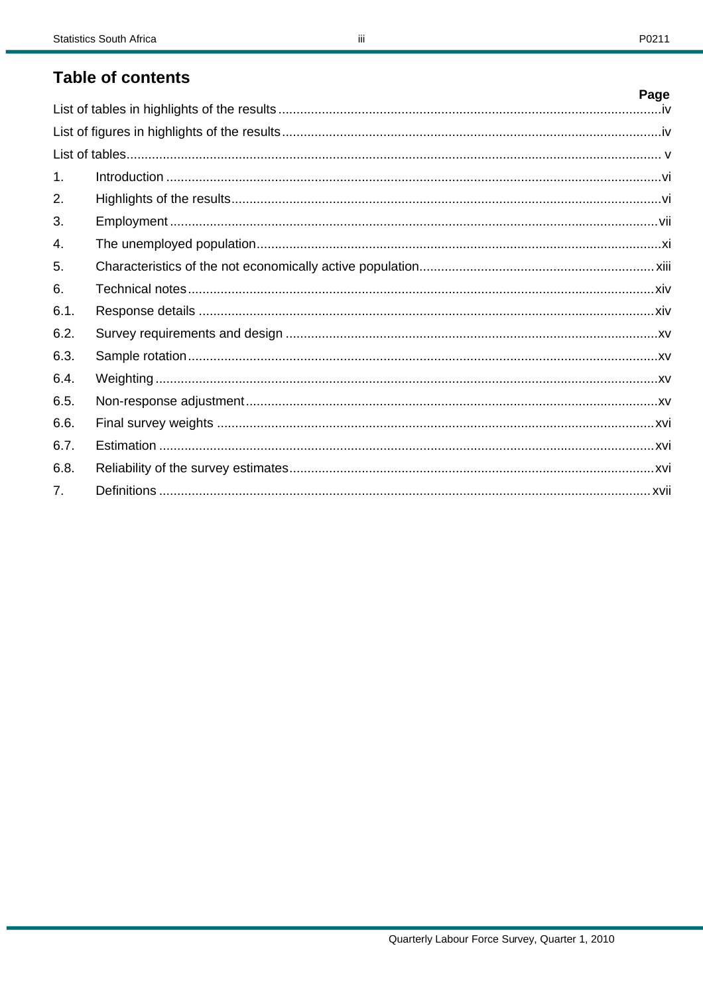# **Table of contents**

|                | Page |
|----------------|------|
|                |      |
|                |      |
|                |      |
| $\mathbf{1}$ . |      |
| 2.             |      |
| 3.             |      |
| 4.             |      |
| 5.             |      |
| 6.             |      |
| 6.1.           |      |
| 6.2.           |      |
| 6.3.           |      |
| 6.4.           |      |
| 6.5.           |      |
| 6.6.           |      |
| 6.7.           |      |
| 6.8.           |      |
| 7 <sup>1</sup> |      |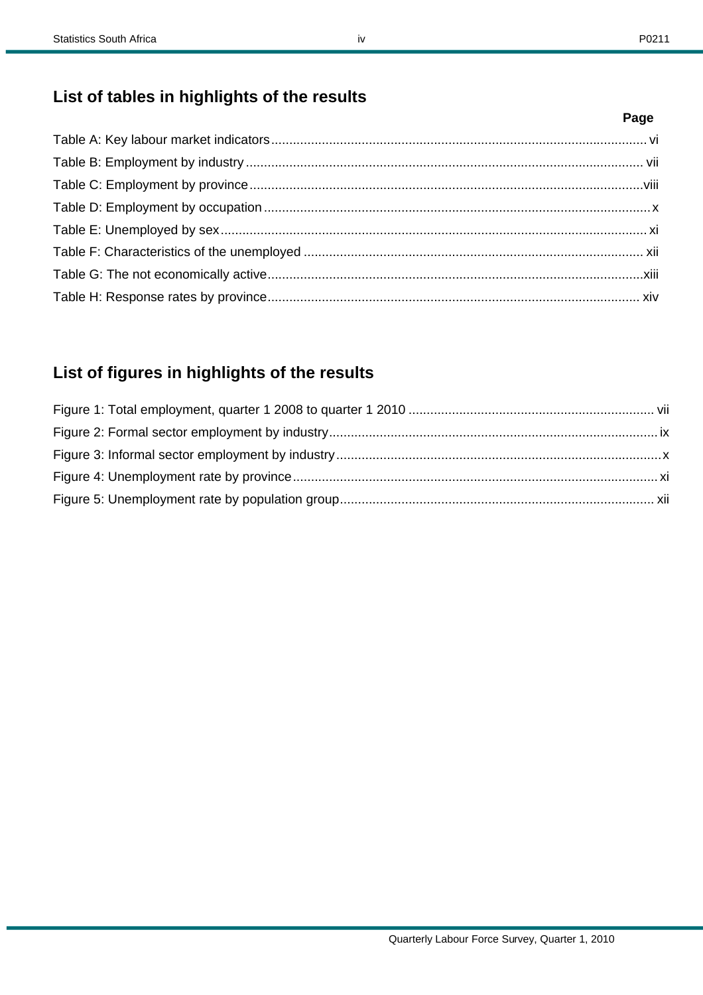# **List of tables in highlights of the results**

# **List of figures in highlights of the results**

**Page**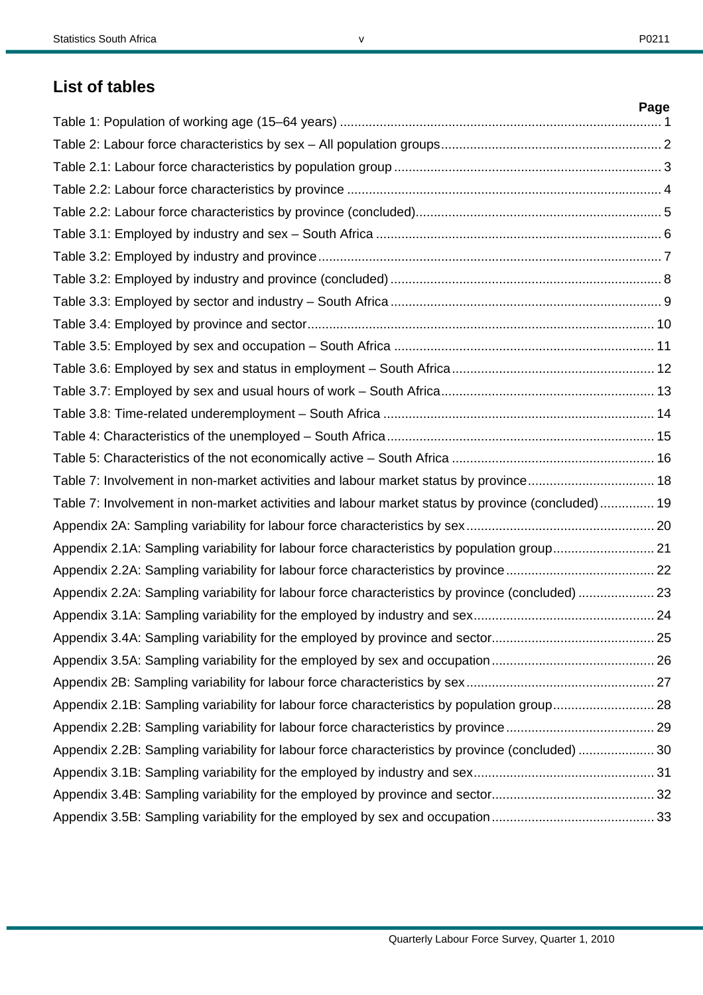v

# **List of tables**

|                                                                                                   | Page |
|---------------------------------------------------------------------------------------------------|------|
|                                                                                                   |      |
|                                                                                                   |      |
|                                                                                                   |      |
|                                                                                                   |      |
|                                                                                                   |      |
|                                                                                                   |      |
|                                                                                                   |      |
|                                                                                                   |      |
|                                                                                                   |      |
|                                                                                                   |      |
|                                                                                                   |      |
|                                                                                                   |      |
|                                                                                                   |      |
|                                                                                                   |      |
|                                                                                                   |      |
|                                                                                                   |      |
| Table 7: Involvement in non-market activities and labour market status by province 18             |      |
| Table 7: Involvement in non-market activities and labour market status by province (concluded) 19 |      |
|                                                                                                   |      |
| Appendix 2.1A: Sampling variability for labour force characteristics by population group 21       |      |
|                                                                                                   |      |
| Appendix 2.2A: Sampling variability for labour force characteristics by province (concluded)  23  |      |
|                                                                                                   |      |
|                                                                                                   |      |
|                                                                                                   |      |
|                                                                                                   |      |
| Appendix 2.1B: Sampling variability for labour force characteristics by population group 28       |      |
|                                                                                                   |      |
| Appendix 2.2B: Sampling variability for labour force characteristics by province (concluded)  30  |      |
|                                                                                                   |      |
|                                                                                                   |      |
|                                                                                                   |      |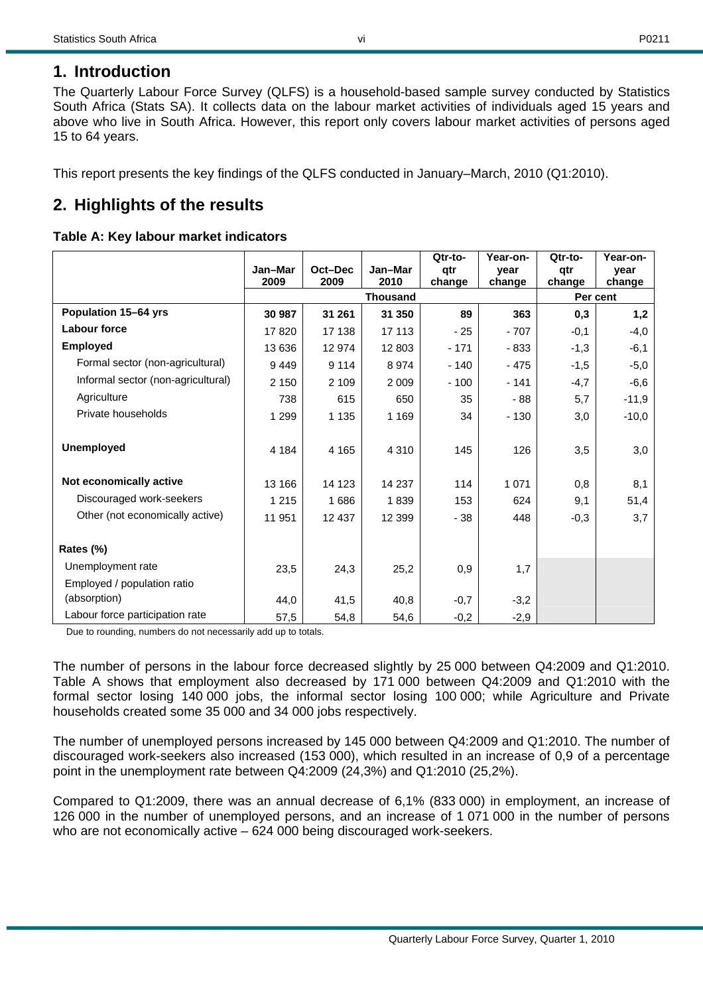# **1. Introduction**

The Quarterly Labour Force Survey (QLFS) is a household-based sample survey conducted by Statistics South Africa (Stats SA). It collects data on the labour market activities of individuals aged 15 years and above who live in South Africa. However, this report only covers labour market activities of persons aged 15 to 64 years.

This report presents the key findings of the QLFS conducted in January–March, 2010 (Q1:2010).

# **2. Highlights of the results**

### **Table A: Key labour market indicators**

|                                    |         |         |                 | Qtr-to- | Year-on- | Otr-to- | Year-on- |
|------------------------------------|---------|---------|-----------------|---------|----------|---------|----------|
|                                    | Jan-Mar | Oct-Dec | Jan-Mar         | qtr     | vear     | qtr     | vear     |
|                                    | 2009    | 2009    | 2010            | change  | change   | change  | change   |
|                                    |         |         | <b>Thousand</b> |         |          |         | Per cent |
| Population 15-64 yrs               | 30 987  | 31 261  | 31 350          | 89      | 363      | 0,3     | 1,2      |
| <b>Labour force</b>                | 17820   | 17 138  | 17 113          | $-25$   | $-707$   | $-0,1$  | $-4,0$   |
| <b>Employed</b>                    | 13 636  | 12 974  | 12 803          | $-171$  | - 833    | $-1,3$  | $-6,1$   |
| Formal sector (non-agricultural)   | 9449    | 9 1 1 4 | 8974            | $-140$  | $-475$   | $-1,5$  | $-5,0$   |
| Informal sector (non-agricultural) | 2 1 5 0 | 2 1 0 9 | 2 0 0 9         | $-100$  | $-141$   | $-4,7$  | $-6,6$   |
| Agriculture                        | 738     | 615     | 650             | 35      | - 88     | 5,7     | $-11,9$  |
| Private households                 | 1 2 9 9 | 1 1 3 5 | 1 1 6 9         | 34      | $-130$   | 3,0     | $-10,0$  |
|                                    |         |         |                 |         |          |         |          |
| <b>Unemployed</b>                  | 4 1 8 4 | 4 1 6 5 | 4 3 1 0         | 145     | 126      | 3,5     | 3,0      |
|                                    |         |         |                 |         |          |         |          |
| Not economically active            | 13 166  | 14 123  | 14 237          | 114     | 1 0 7 1  | 0,8     | 8,1      |
| Discouraged work-seekers           | 1 2 1 5 | 1686    | 1839            | 153     | 624      | 9,1     | 51,4     |
| Other (not economically active)    | 11 951  | 12 437  | 12 3 9 9        | $-38$   | 448      | $-0,3$  | 3,7      |
|                                    |         |         |                 |         |          |         |          |
| Rates (%)                          |         |         |                 |         |          |         |          |
| Unemployment rate                  | 23,5    | 24,3    | 25,2            | 0,9     | 1,7      |         |          |
| Employed / population ratio        |         |         |                 |         |          |         |          |
| (absorption)                       | 44,0    | 41,5    | 40,8            | $-0,7$  | $-3,2$   |         |          |
| Labour force participation rate    | 57,5    | 54,8    | 54,6            | $-0,2$  | $-2,9$   |         |          |

Due to rounding, numbers do not necessarily add up to totals.

The number of persons in the labour force decreased slightly by 25 000 between Q4:2009 and Q1:2010. Table A shows that employment also decreased by 171 000 between Q4:2009 and Q1:2010 with the formal sector losing 140 000 jobs, the informal sector losing 100 000; while Agriculture and Private households created some 35 000 and 34 000 jobs respectively.

The number of unemployed persons increased by 145 000 between Q4:2009 and Q1:2010. The number of discouraged work-seekers also increased (153 000), which resulted in an increase of 0,9 of a percentage point in the unemployment rate between Q4:2009 (24,3%) and Q1:2010 (25,2%).

Compared to Q1:2009, there was an annual decrease of 6,1% (833 000) in employment, an increase of 126 000 in the number of unemployed persons, and an increase of 1 071 000 in the number of persons who are not economically active – 624 000 being discouraged work-seekers.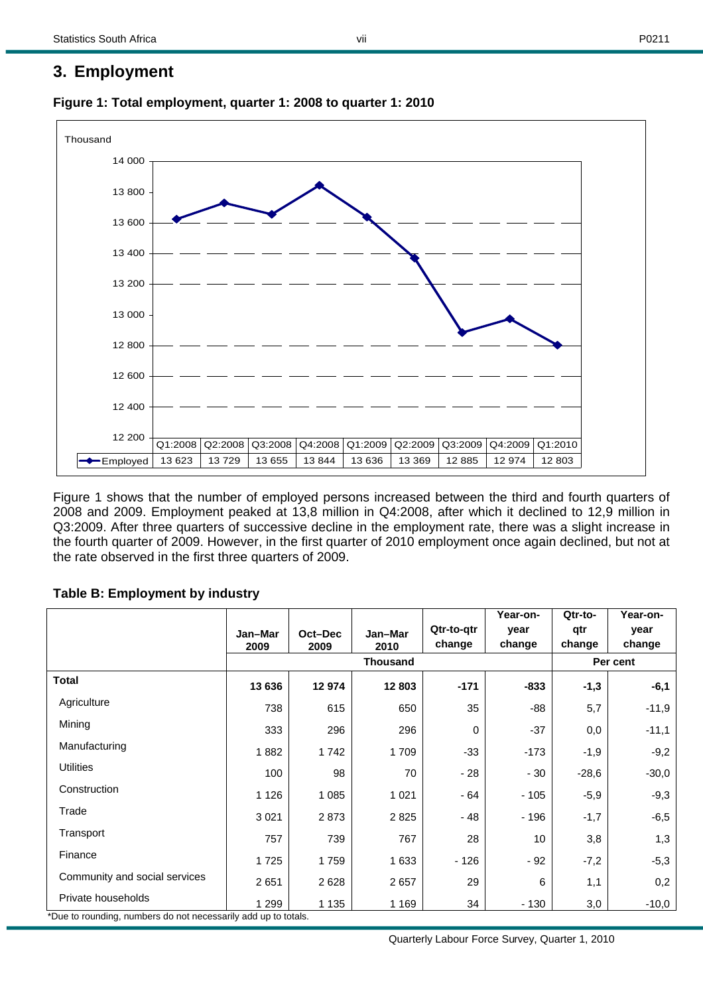### **3. Employment**



**Figure 1: Total employment, quarter 1: 2008 to quarter 1: 2010** 

Figure 1 shows that the number of employed persons increased between the third and fourth quarters of 2008 and 2009. Employment peaked at 13,8 million in Q4:2008, after which it declined to 12,9 million in Q3:2009. After three quarters of successive decline in the employment rate, there was a slight increase in the fourth quarter of 2009. However, in the first quarter of 2010 employment once again declined, but not at the rate observed in the first three quarters of 2009.

### **Table B: Employment by industry**

|                               |                 |                 |                 |                      | Year-on-       | Qtr-to-       | Year-on-       |  |
|-------------------------------|-----------------|-----------------|-----------------|----------------------|----------------|---------------|----------------|--|
|                               | Jan-Mar<br>2009 | Oct-Dec<br>2009 | Jan-Mar<br>2010 | Qtr-to-qtr<br>change | year<br>change | qtr<br>change | year<br>change |  |
|                               |                 |                 | <b>Thousand</b> |                      |                | Per cent      |                |  |
| <b>Total</b>                  | 13 636          | 12974           | 12 803          | $-171$               | -833           | $-1,3$        | $-6,1$         |  |
| Agriculture                   | 738             | 615             | 650             | 35                   | -88            | 5,7           | $-11,9$        |  |
| Mining                        | 333             | 296             | 296             | $\Omega$             | $-37$          | 0,0           | $-11,1$        |  |
| Manufacturing                 | 1882            | 1742            | 1709            | $-33$                | $-173$         | $-1,9$        | $-9,2$         |  |
| <b>Utilities</b>              | 100             | 98              | 70              | - 28                 | $-30$          | $-28,6$       | $-30,0$        |  |
| Construction                  | 1 1 2 6         | 1 0 8 5         | 1 0 2 1         | $-64$                | $-105$         | $-5,9$        | $-9,3$         |  |
| Trade                         | 3 0 21          | 2873            | 2825            | - 48                 | - 196          | $-1,7$        | $-6,5$         |  |
| Transport                     | 757             | 739             | 767             | 28                   | 10             | 3,8           | 1,3            |  |
| Finance                       | 1725            | 1759            | 1 6 3 3         | - 126                | $-92$          | $-7,2$        | $-5,3$         |  |
| Community and social services | 2651            | 2628            | 2657            | 29                   | 6              | 1,1           | 0,2            |  |
| Private households            | 1 2 9 9         | 1 1 3 5         | 1 1 6 9         | 34                   | - 130          | 3,0           | $-10,0$        |  |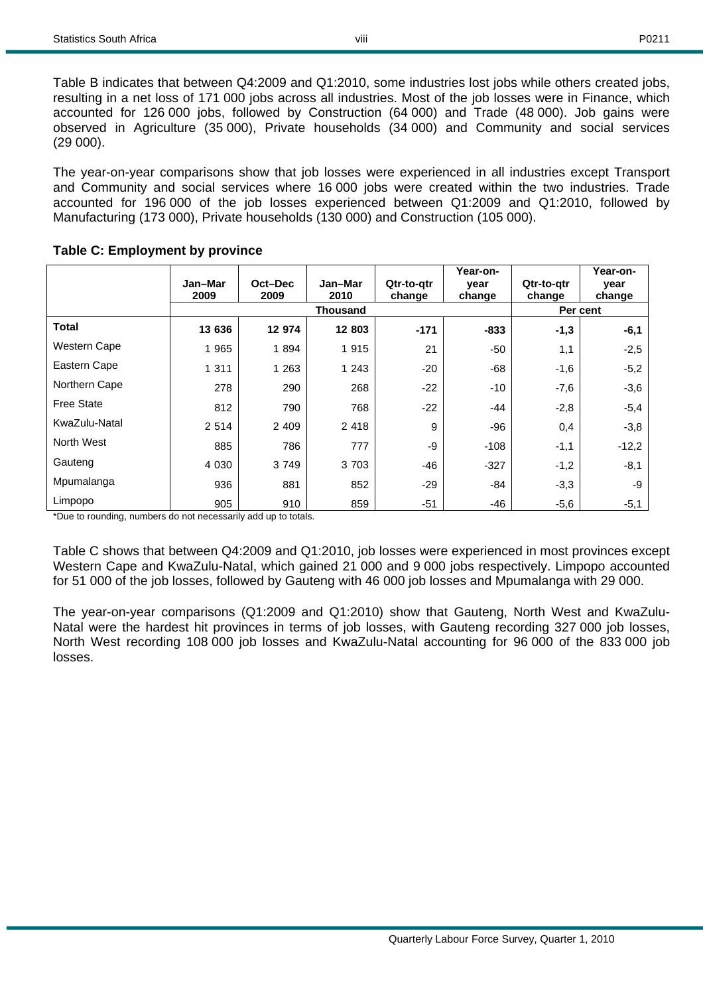Table B indicates that between Q4:2009 and Q1:2010, some industries lost jobs while others created jobs, resulting in a net loss of 171 000 jobs across all industries. Most of the job losses were in Finance, which accounted for 126 000 jobs, followed by Construction (64 000) and Trade (48 000). Job gains were observed in Agriculture (35 000), Private households (34 000) and Community and social services (29 000).

viii

The year-on-year comparisons show that job losses were experienced in all industries except Transport and Community and social services where 16 000 jobs were created within the two industries. Trade accounted for 196 000 of the job losses experienced between Q1:2009 and Q1:2010, followed by Manufacturing (173 000), Private households (130 000) and Construction (105 000).

|                     | Jan-Mar<br>2009 | Oct-Dec<br>2009 | Jan-Mar<br>2010 | Qtr-to-atr<br>change | Year-on-<br>year<br>change | Qtr-to-qtr<br>change | Year-on-<br>year<br>change |  |
|---------------------|-----------------|-----------------|-----------------|----------------------|----------------------------|----------------------|----------------------------|--|
|                     |                 |                 | <b>Thousand</b> |                      |                            |                      | Per cent                   |  |
| Total               | 13 636          | 12 974          | 12 803          | $-171$               | $-833$                     | $-1,3$               | $-6,1$                     |  |
| <b>Western Cape</b> | 1 9 6 5         | 1894            | 1915            | 21                   | -50                        | 1,1                  | $-2,5$                     |  |
| Eastern Cape        | 1 3 1 1         | 1 2 6 3         | 1 2 4 3         | $-20$                | $-68$                      | $-1,6$               | $-5,2$                     |  |
| Northern Cape       | 278             | 290             | 268             | $-22$                | $-10$                      | $-7,6$               | $-3,6$                     |  |
| <b>Free State</b>   | 812             | 790             | 768             | $-22$                | $-44$                      | $-2,8$               | $-5,4$                     |  |
| KwaZulu-Natal       | 2 5 1 4         | 2 4 0 9         | 2 4 1 8         | 9                    | -96                        | 0,4                  | $-3,8$                     |  |
| North West          | 885             | 786             | 777             | -9                   | $-108$                     | $-1,1$               | $-12,2$                    |  |
| Gauteng             | 4 0 3 0         | 3 7 4 9         | 3703            | -46                  | $-327$                     | $-1,2$               | $-8,1$                     |  |
| Mpumalanga          | 936             | 881             | 852             | $-29$                | -84                        | $-3,3$               | -9                         |  |
| Limpopo             | 905             | 910             | 859             | $-51$                | -46                        | $-5,6$               | $-5,1$                     |  |

### **Table C: Employment by province**

\*Due to rounding, numbers do not necessarily add up to totals.

Table C shows that between Q4:2009 and Q1:2010, job losses were experienced in most provinces except Western Cape and KwaZulu-Natal, which gained 21 000 and 9 000 jobs respectively. Limpopo accounted for 51 000 of the job losses, followed by Gauteng with 46 000 job losses and Mpumalanga with 29 000.

The year-on-year comparisons (Q1:2009 and Q1:2010) show that Gauteng, North West and KwaZulu-Natal were the hardest hit provinces in terms of job losses, with Gauteng recording 327 000 job losses, North West recording 108 000 job losses and KwaZulu-Natal accounting for 96 000 of the 833 000 job losses.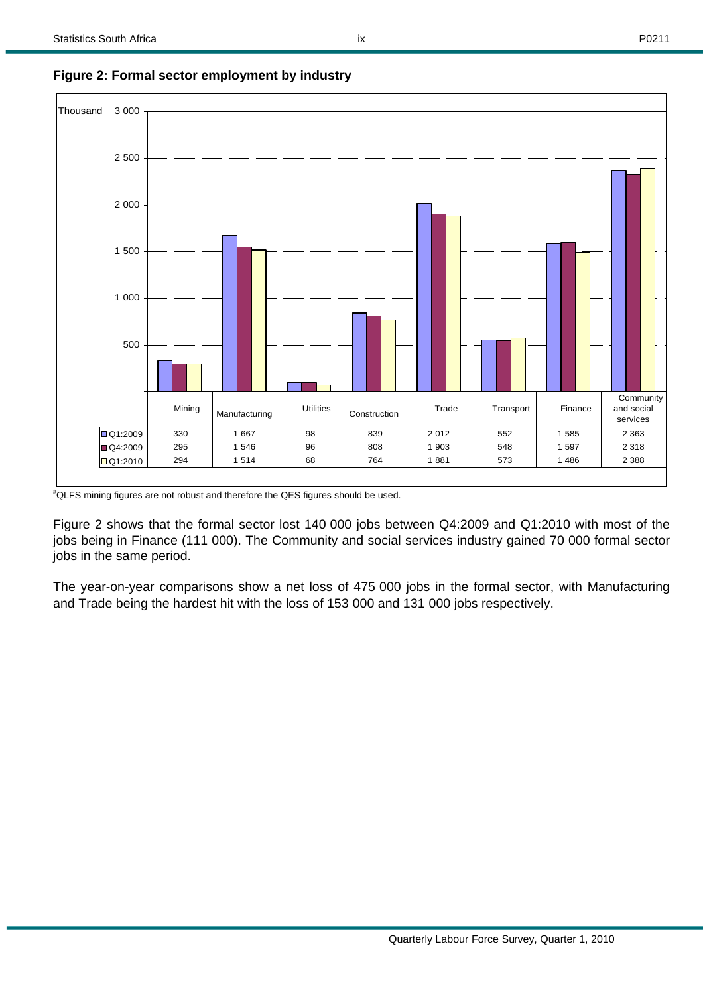

**Figure 2: Formal sector employment by industry** 

# QLFS mining figures are not robust and therefore the QES figures should be used.

Figure 2 shows that the formal sector lost 140 000 jobs between Q4:2009 and Q1:2010 with most of the jobs being in Finance (111 000). The Community and social services industry gained 70 000 formal sector jobs in the same period.

The year-on-year comparisons show a net loss of 475 000 jobs in the formal sector, with Manufacturing and Trade being the hardest hit with the loss of 153 000 and 131 000 jobs respectively.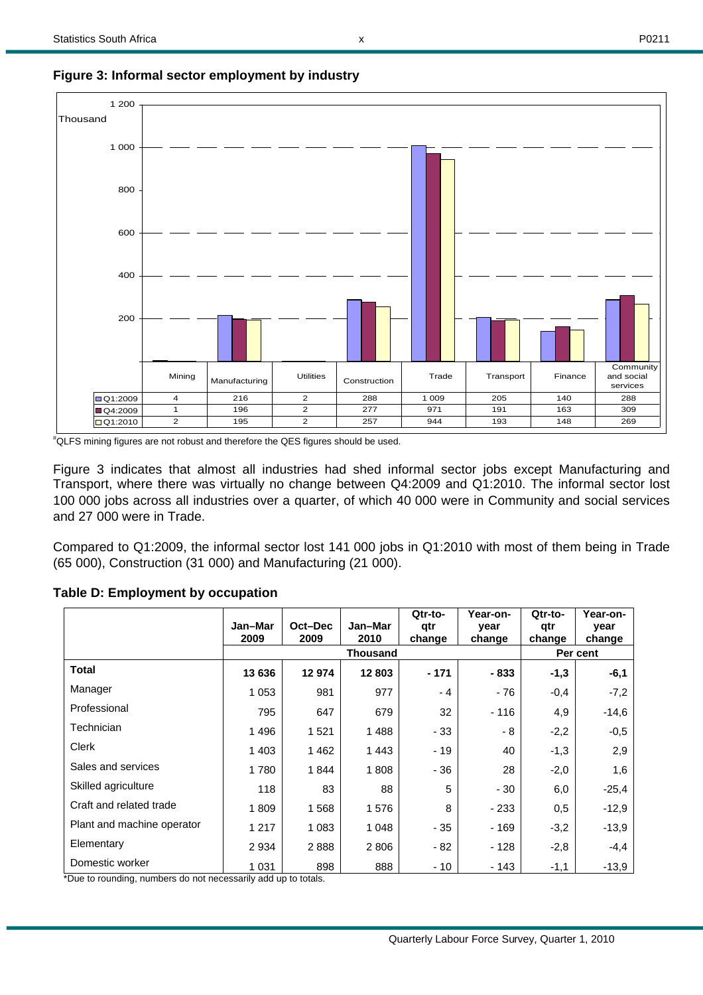

**Figure 3: Informal sector employment by industry** 

# QLFS mining figures are not robust and therefore the QES figures should be used.

Figure 3 indicates that almost all industries had shed informal sector jobs except Manufacturing and Transport, where there was virtually no change between Q4:2009 and Q1:2010. The informal sector lost 100 000 jobs across all industries over a quarter, of which 40 000 were in Community and social services and 27 000 were in Trade.

Compared to Q1:2009, the informal sector lost 141 000 jobs in Q1:2010 with most of them being in Trade (65 000), Construction (31 000) and Manufacturing (21 000).

|                            | Jan-Mar<br>2009 | Oct-Dec<br>2009 | Jan-Mar<br>2010 | Otr-to-<br>qtr<br>change | Year-on-<br>year<br>change | Qtr-to-<br>qtr<br>change | Year-on-<br>year<br>change |  |
|----------------------------|-----------------|-----------------|-----------------|--------------------------|----------------------------|--------------------------|----------------------------|--|
|                            |                 |                 | <b>Thousand</b> |                          |                            | Per cent                 |                            |  |
| <b>Total</b>               | 13 636          | 12974           | 12 803          | $-171$                   | - 833                      | $-1,3$                   | -6,1                       |  |
| Manager                    | 1 0 5 3         | 981             | 977             | $-4$                     | - 76                       | $-0,4$                   | $-7,2$                     |  |
| Professional               | 795             | 647             | 679             | 32                       | $-116$                     | 4,9                      | $-14,6$                    |  |
| Technician                 | 1496            | 1 5 2 1         | 1488            | - 33                     | - 8                        | $-2,2$                   | $-0,5$                     |  |
| Clerk                      | 1 4 0 3         | 1462            | 1443            | - 19                     | 40                         | $-1,3$                   | 2,9                        |  |
| Sales and services         | 1780            | 1844            | 1808            | - 36                     | 28                         | $-2,0$                   | 1,6                        |  |
| Skilled agriculture        | 118             | 83              | 88              | 5                        | - 30                       | 6,0                      | $-25,4$                    |  |
| Craft and related trade    | 1809            | 1568            | 1576            | 8                        | $-233$                     | 0,5                      | $-12.9$                    |  |
| Plant and machine operator | 1 2 1 7         | 1 0 8 3         | 1 0 4 8         | - 35                     | - 169                      | $-3,2$                   | $-13,9$                    |  |
| Elementary                 | 2 9 3 4         | 2888            | 2 8 0 6         | - 82                     | - 128                      | $-2,8$                   | $-4,4$                     |  |
| Domestic worker            | 1 0 3 1         | 898             | 888             | - 10                     | - 143                      | $-1,1$                   | $-13,9$                    |  |

**Table D: Employment by occupation**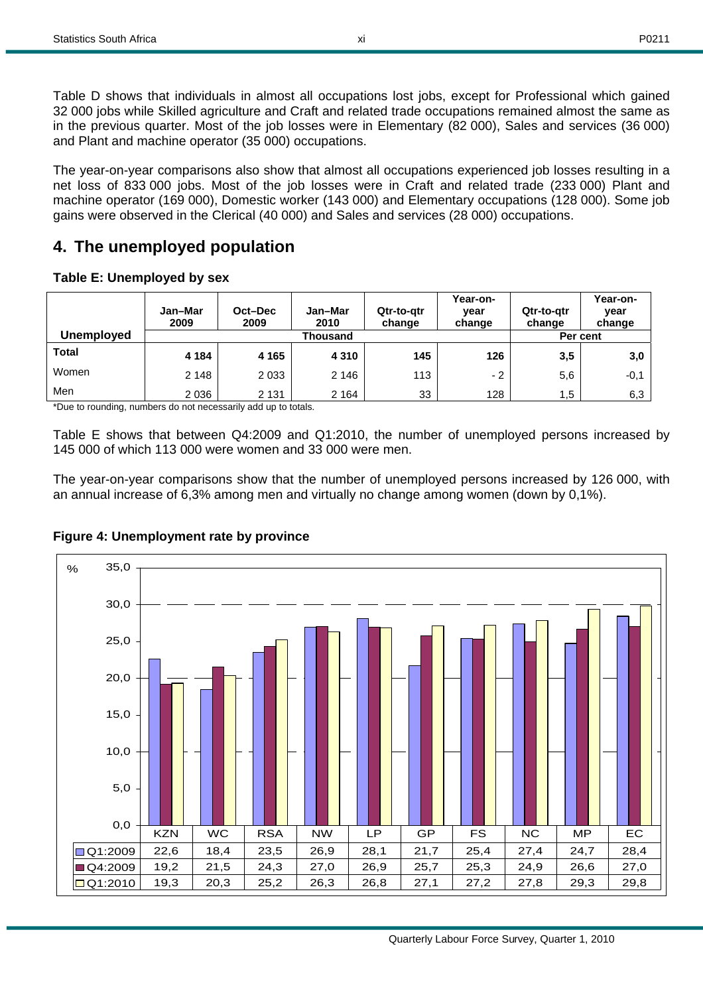Table D shows that individuals in almost all occupations lost jobs, except for Professional which gained 32 000 jobs while Skilled agriculture and Craft and related trade occupations remained almost the same as in the previous quarter. Most of the job losses were in Elementary (82 000), Sales and services (36 000) and Plant and machine operator (35 000) occupations.

The year-on-year comparisons also show that almost all occupations experienced job losses resulting in a net loss of 833 000 jobs. Most of the job losses were in Craft and related trade (233 000) Plant and machine operator (169 000), Domestic worker (143 000) and Elementary occupations (128 000). Some job gains were observed in the Clerical (40 000) and Sales and services (28 000) occupations.

# **4. The unemployed population**

| Table E: Unemployed by sex |  |
|----------------------------|--|
|----------------------------|--|

|            | Jan-Mar<br>2009 | Oct-Dec<br>2009 | Jan-Mar<br>2010 | Qtr-to-qtr<br>change | Year-on-<br>year<br>change | Qtr-to-qtr<br>change | Year-on-<br>vear<br>change |  |  |
|------------|-----------------|-----------------|-----------------|----------------------|----------------------------|----------------------|----------------------------|--|--|
| Unemployed |                 | Thousand        |                 |                      |                            |                      |                            |  |  |
| Total      | 4 1 8 4         | 4 1 6 5         | 4 3 1 0         | 145                  | 126                        | 3,5                  | 3,0                        |  |  |
| Women      | 2 1 4 8         | 2 0 3 3         | 2 1 4 6         | 113                  | $-2$                       | 5,6                  | $-0,1$                     |  |  |
| Men        | 2 0 3 6         | 2 1 3 1         | 2 1 6 4         | 33                   | 128                        | 1.5                  | 6,3                        |  |  |

\*Due to rounding, numbers do not necessarily add up to totals.

Table E shows that between Q4:2009 and Q1:2010, the number of unemployed persons increased by 145 000 of which 113 000 were women and 33 000 were men.

The year-on-year comparisons show that the number of unemployed persons increased by 126 000, with an annual increase of 6,3% among men and virtually no change among women (down by 0,1%).



### **Figure 4: Unemployment rate by province**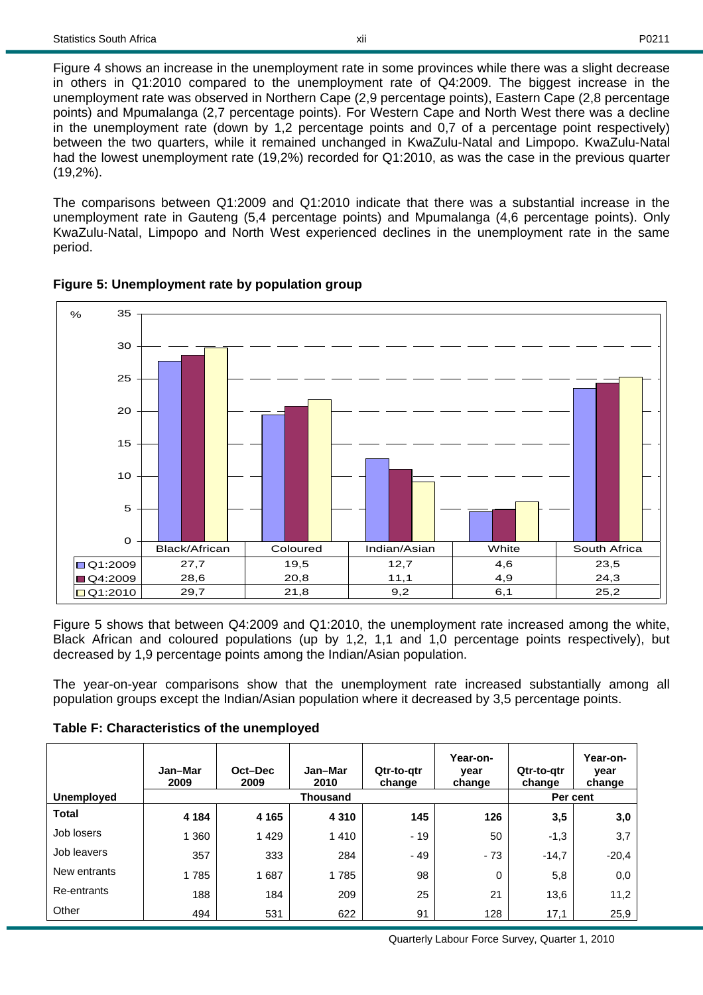Figure 4 shows an increase in the unemployment rate in some provinces while there was a slight decrease in others in Q1:2010 compared to the unemployment rate of Q4:2009. The biggest increase in the unemployment rate was observed in Northern Cape (2,9 percentage points), Eastern Cape (2,8 percentage points) and Mpumalanga (2,7 percentage points). For Western Cape and North West there was a decline in the unemployment rate (down by 1,2 percentage points and 0,7 of a percentage point respectively) between the two quarters, while it remained unchanged in KwaZulu-Natal and Limpopo. KwaZulu-Natal had the lowest unemployment rate (19,2%) recorded for Q1:2010, as was the case in the previous quarter (19,2%).

The comparisons between Q1:2009 and Q1:2010 indicate that there was a substantial increase in the unemployment rate in Gauteng (5,4 percentage points) and Mpumalanga (4,6 percentage points). Only KwaZulu-Natal, Limpopo and North West experienced declines in the unemployment rate in the same period.





Figure 5 shows that between Q4:2009 and Q1:2010, the unemployment rate increased among the white, Black African and coloured populations (up by 1,2, 1,1 and 1,0 percentage points respectively), but decreased by 1,9 percentage points among the Indian/Asian population.

The year-on-year comparisons show that the unemployment rate increased substantially among all population groups except the Indian/Asian population where it decreased by 3,5 percentage points.

| <b>Unemployed</b> | Jan-Mar<br>2009 | Oct-Dec<br>2009 | Jan-Mar<br>2010<br>Thousand | Qtr-to-gtr<br>change | Year-on-<br>year<br>change | Qtr-to-qtr<br>change | Year-on-<br>year<br>change<br>Per cent |
|-------------------|-----------------|-----------------|-----------------------------|----------------------|----------------------------|----------------------|----------------------------------------|
| <b>Total</b>      | 4 1 8 4         | 4 1 6 5         | 4 3 1 0                     | 145                  | 126                        | 3,5                  | 3,0                                    |
| Job losers        | 1 3 6 0         | 1429            | 1410                        | $-19$                | 50                         | $-1,3$               | 3,7                                    |
| Job leavers       | 357             | 333             | 284                         | - 49                 | $-73$                      | $-14.7$              | $-20,4$                                |
| New entrants      | 1785            | 1687            | 1785                        | 98                   | 0                          | 5,8                  | 0,0                                    |
| Re-entrants       | 188             | 184             | 209                         | 25                   | 21                         | 13,6                 | 11,2                                   |
| Other             | 494             | 531             | 622                         | 91                   | 128                        | 17,1                 | 25,9                                   |

### **Table F: Characteristics of the unemployed**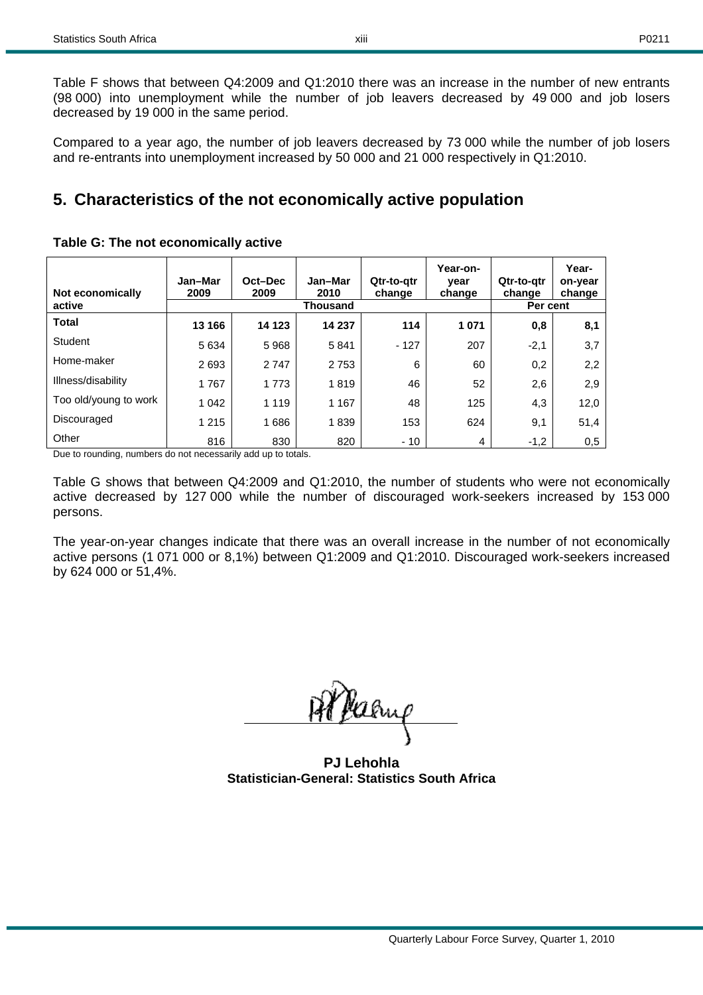Table F shows that between Q4:2009 and Q1:2010 there was an increase in the number of new entrants (98 000) into unemployment while the number of job leavers decreased by 49 000 and job losers decreased by 19 000 in the same period.

Compared to a year ago, the number of job leavers decreased by 73 000 while the number of job losers and re-entrants into unemployment increased by 50 000 and 21 000 respectively in Q1:2010.

# **5. Characteristics of the not economically active population**

| Not economically<br>active | Jan-Mar<br>2009 | Oct-Dec<br>2009 | Jan-Mar<br>2010<br>Thousand | Qtr-to-gtr<br>change | Year-on-<br>year<br>change | Qtr-to-gtr<br>change<br>Per cent | Year-<br>on-year<br>change |
|----------------------------|-----------------|-----------------|-----------------------------|----------------------|----------------------------|----------------------------------|----------------------------|
| <b>Total</b>               | 13 166          | 14 123          | 14 237                      | 114                  | 1 0 7 1                    | 0,8                              | 8,1                        |
| Student                    | 5 6 3 4         | 5968            | 5841                        | $-127$               | 207                        | $-2,1$                           | 3,7                        |
| Home-maker                 | 2693            | 2747            | 2753                        | 6                    | 60                         | 0,2                              | 2,2                        |
| Illness/disability         | 1767            | 1 7 7 3         | 1819                        | 46                   | 52                         | 2,6                              | 2,9                        |
| Too old/young to work      | 1 0 4 2         | 1 1 1 9         | 1 1 6 7                     | 48                   | 125                        | 4,3                              | 12,0                       |
| Discouraged                | 1 2 1 5         | 1686            | 1839                        | 153                  | 624                        | 9,1                              | 51,4                       |
| Other                      | 816             | 830             | 820                         | $-10$                | 4                          | $-1,2$                           | 0,5                        |

### **Table G: The not economically active**

Due to rounding, numbers do not necessarily add up to totals.

Table G shows that between Q4:2009 and Q1:2010, the number of students who were not economically active decreased by 127 000 while the number of discouraged work-seekers increased by 153 000 persons.

The year-on-year changes indicate that there was an overall increase in the number of not economically active persons (1 071 000 or 8,1%) between Q1:2009 and Q1:2010. Discouraged work-seekers increased by 624 000 or 51,4%.

<u>Jeang</u>

**PJ Lehohla Statistician-General: Statistics South Africa**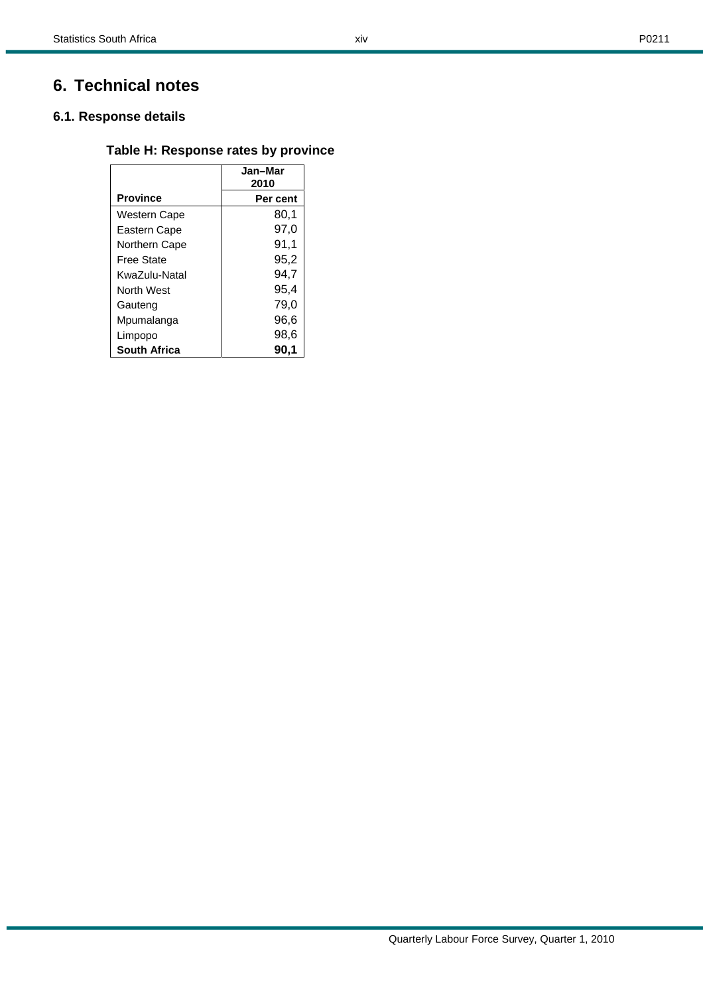# **6. Technical notes**

### **6.1. Response details**

### **Table H: Response rates by province**

xiv

|                   | Jan-Mar<br>2010 |
|-------------------|-----------------|
| <b>Province</b>   | Per cent        |
| Western Cape      | 80,1            |
| Eastern Cape      | 97,0            |
| Northern Cape     | 91,1            |
| Free State        | 95,2            |
| KwaZulu-Natal     | 94.7            |
| <b>North West</b> | 95,4            |
| Gauteng           | 79.0            |
| Mpumalanga        | 96.6            |
| Limpopo           | 98,6            |
| South Africa      | 90.1            |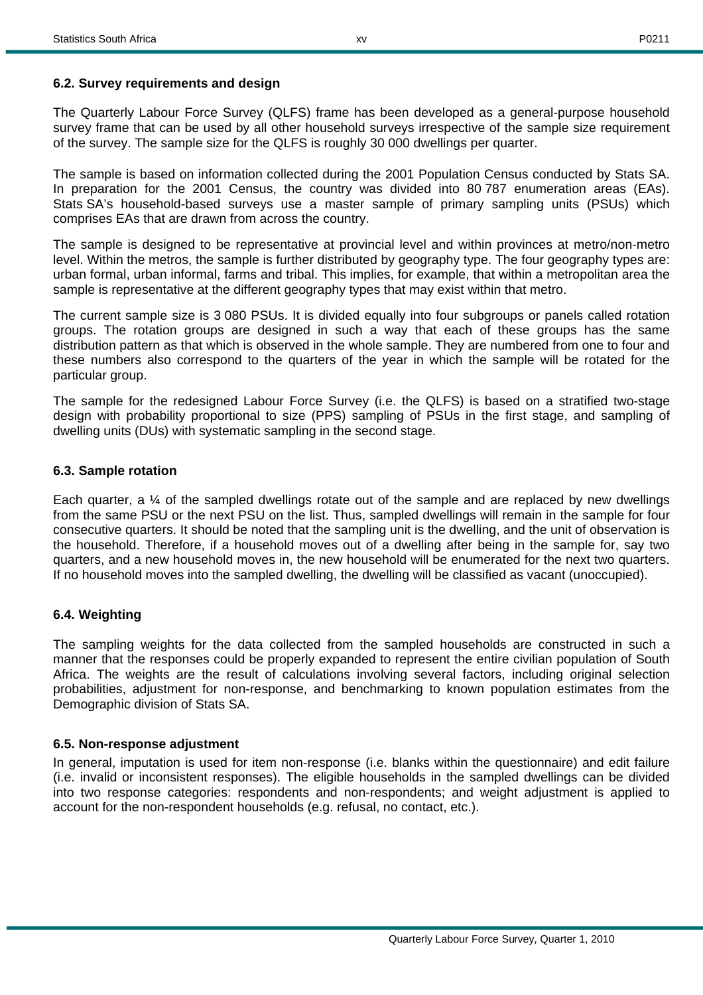### **6.2. Survey requirements and design**

The Quarterly Labour Force Survey (QLFS) frame has been developed as a general-purpose household survey frame that can be used by all other household surveys irrespective of the sample size requirement of the survey. The sample size for the QLFS is roughly 30 000 dwellings per quarter.

The sample is based on information collected during the 2001 Population Census conducted by Stats SA. In preparation for the 2001 Census, the country was divided into 80 787 enumeration areas (EAs). Stats SA's household-based surveys use a master sample of primary sampling units (PSUs) which comprises EAs that are drawn from across the country.

The sample is designed to be representative at provincial level and within provinces at metro/non-metro level. Within the metros, the sample is further distributed by geography type. The four geography types are: urban formal, urban informal, farms and tribal. This implies, for example, that within a metropolitan area the sample is representative at the different geography types that may exist within that metro.

The current sample size is 3 080 PSUs. It is divided equally into four subgroups or panels called rotation groups. The rotation groups are designed in such a way that each of these groups has the same distribution pattern as that which is observed in the whole sample. They are numbered from one to four and these numbers also correspond to the quarters of the year in which the sample will be rotated for the particular group.

The sample for the redesigned Labour Force Survey (i.e. the QLFS) is based on a stratified two-stage design with probability proportional to size (PPS) sampling of PSUs in the first stage, and sampling of dwelling units (DUs) with systematic sampling in the second stage.

### **6.3. Sample rotation**

Each quarter, a  $\%$  of the sampled dwellings rotate out of the sample and are replaced by new dwellings from the same PSU or the next PSU on the list. Thus, sampled dwellings will remain in the sample for four consecutive quarters. It should be noted that the sampling unit is the dwelling, and the unit of observation is the household. Therefore, if a household moves out of a dwelling after being in the sample for, say two quarters, and a new household moves in, the new household will be enumerated for the next two quarters. If no household moves into the sampled dwelling, the dwelling will be classified as vacant (unoccupied).

### **6.4. Weighting**

The sampling weights for the data collected from the sampled households are constructed in such a manner that the responses could be properly expanded to represent the entire civilian population of South Africa. The weights are the result of calculations involving several factors, including original selection probabilities, adjustment for non-response, and benchmarking to known population estimates from the Demographic division of Stats SA.

### **6.5. Non-response adjustment**

In general, imputation is used for item non-response (i.e. blanks within the questionnaire) and edit failure (i.e. invalid or inconsistent responses). The eligible households in the sampled dwellings can be divided into two response categories: respondents and non-respondents; and weight adjustment is applied to account for the non-respondent households (e.g. refusal, no contact, etc.).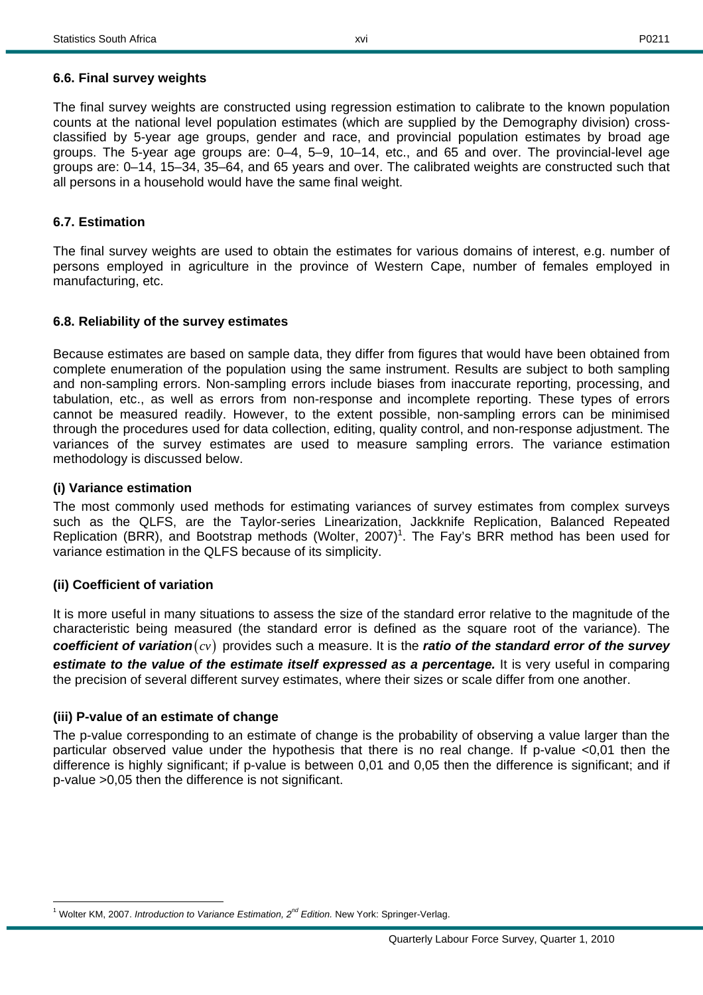The final survey weights are constructed using regression estimation to calibrate to the known population counts at the national level population estimates (which are supplied by the Demography division) crossclassified by 5-year age groups, gender and race, and provincial population estimates by broad age groups. The 5-year age groups are: 0–4, 5–9, 10–14, etc., and 65 and over. The provincial-level age groups are: 0–14, 15–34, 35–64, and 65 years and over. The calibrated weights are constructed such that all persons in a household would have the same final weight.

xvi

### **6.7. Estimation**

The final survey weights are used to obtain the estimates for various domains of interest, e.g. number of persons employed in agriculture in the province of Western Cape, number of females employed in manufacturing, etc.

### **6.8. Reliability of the survey estimates**

Because estimates are based on sample data, they differ from figures that would have been obtained from complete enumeration of the population using the same instrument. Results are subject to both sampling and non-sampling errors. Non-sampling errors include biases from inaccurate reporting, processing, and tabulation, etc., as well as errors from non-response and incomplete reporting. These types of errors cannot be measured readily. However, to the extent possible, non-sampling errors can be minimised through the procedures used for data collection, editing, quality control, and non-response adjustment. The variances of the survey estimates are used to measure sampling errors. The variance estimation methodology is discussed below.

### **(i) Variance estimation**

The most commonly used methods for estimating variances of survey estimates from complex surveys such as the QLFS, are the Taylor-series Linearization, Jackknife Replication, Balanced Repeated Replication (BRR), and Bootstrap methods (Wolter, 2007)<sup>1</sup>. The Fay's BRR method has been used for variance estimation in the QLFS because of its simplicity.

### **(ii) Coefficient of variation**

It is more useful in many situations to assess the size of the standard error relative to the magnitude of the characteristic being measured (the standard error is defined as the square root of the variance). The *coefficient of variation*( $cv$ ) provides such a measure. It is the *ratio of the standard error of the survey estimate to the value of the estimate itself expressed as a percentage.* It is very useful in comparing the precision of several different survey estimates, where their sizes or scale differ from one another.

### **(iii) P-value of an estimate of change**

The p-value corresponding to an estimate of change is the probability of observing a value larger than the particular observed value under the hypothesis that there is no real change. If p-value <0,01 then the difference is highly significant; if p-value is between 0,01 and 0,05 then the difference is significant; and if p-value >0,05 then the difference is not significant.

 $\overline{a}$ <sup>1</sup> Wolter KM, 2007. *Introduction to Variance Estimation, 2<sup>nd</sup> Edition*. New York: Springer-Verlag.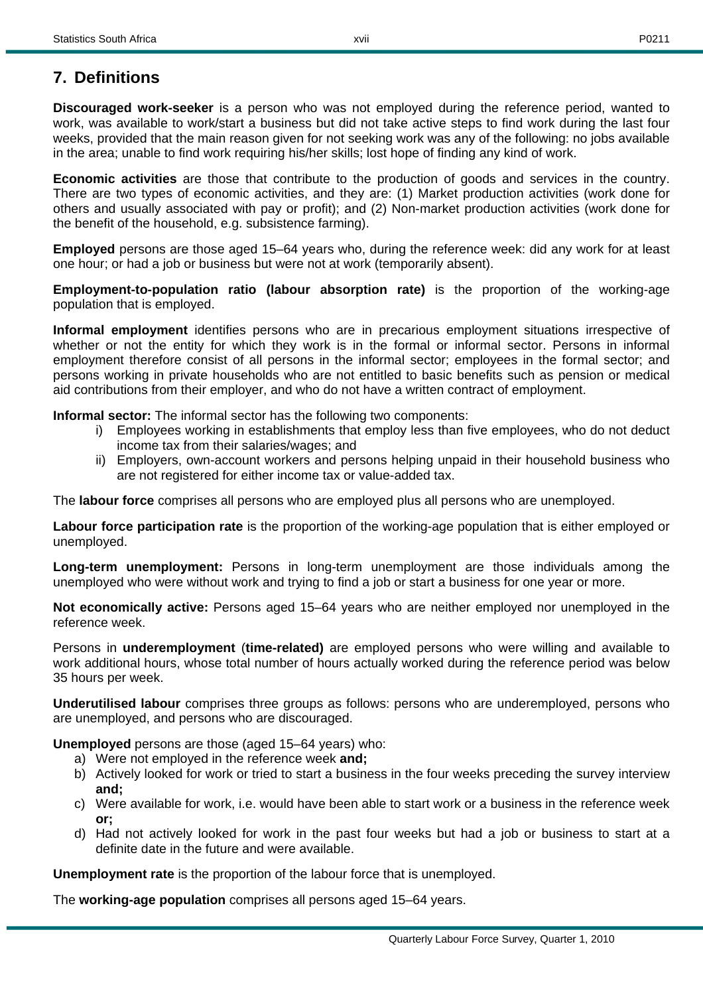**Discouraged work-seeker** is a person who was not employed during the reference period, wanted to work, was available to work/start a business but did not take active steps to find work during the last four weeks, provided that the main reason given for not seeking work was any of the following: no jobs available in the area; unable to find work requiring his/her skills; lost hope of finding any kind of work.

**Economic activities** are those that contribute to the production of goods and services in the country. There are two types of economic activities, and they are: (1) Market production activities (work done for others and usually associated with pay or profit); and (2) Non-market production activities (work done for the benefit of the household, e.g. subsistence farming).

**Employed** persons are those aged 15–64 years who, during the reference week: did any work for at least one hour; or had a job or business but were not at work (temporarily absent).

**Employment-to-population ratio (labour absorption rate)** is the proportion of the working-age population that is employed.

**Informal employment** identifies persons who are in precarious employment situations irrespective of whether or not the entity for which they work is in the formal or informal sector. Persons in informal employment therefore consist of all persons in the informal sector; employees in the formal sector; and persons working in private households who are not entitled to basic benefits such as pension or medical aid contributions from their employer, and who do not have a written contract of employment.

**Informal sector:** The informal sector has the following two components:

- i) Employees working in establishments that employ less than five employees, who do not deduct income tax from their salaries/wages; and
- ii) Employers, own-account workers and persons helping unpaid in their household business who are not registered for either income tax or value-added tax.

The **labour force** comprises all persons who are employed plus all persons who are unemployed.

**Labour force participation rate** is the proportion of the working-age population that is either employed or unemployed.

**Long-term unemployment:** Persons in long-term unemployment are those individuals among the unemployed who were without work and trying to find a job or start a business for one year or more.

**Not economically active:** Persons aged 15–64 years who are neither employed nor unemployed in the reference week.

Persons in **underemployment** (**time-related)** are employed persons who were willing and available to work additional hours, whose total number of hours actually worked during the reference period was below 35 hours per week.

**Underutilised labour** comprises three groups as follows: persons who are underemployed, persons who are unemployed, and persons who are discouraged.

**Unemployed** persons are those (aged 15–64 years) who:

- a) Were not employed in the reference week **and;**
- b) Actively looked for work or tried to start a business in the four weeks preceding the survey interview **and;**
- c) Were available for work, i.e. would have been able to start work or a business in the reference week **or;**
- d) Had not actively looked for work in the past four weeks but had a job or business to start at a definite date in the future and were available.

**Unemployment rate** is the proportion of the labour force that is unemployed.

The **working-age population** comprises all persons aged 15–64 years.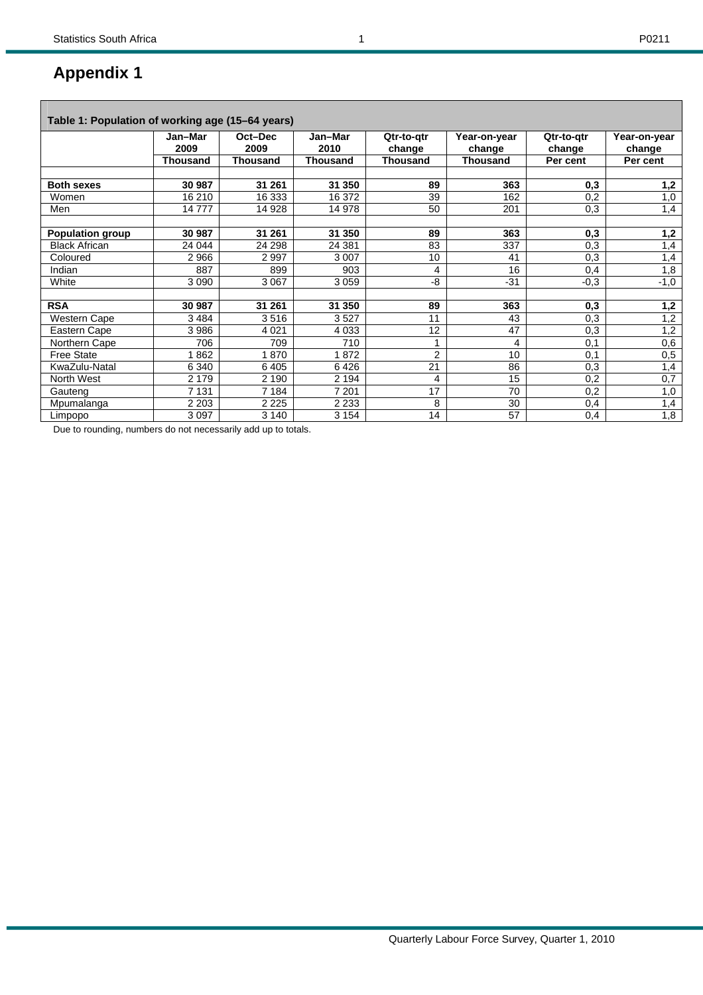Г

| Table 1: Population of working age (15–64 years) |                 |                 |                 |                      |                        |                      |                        |
|--------------------------------------------------|-----------------|-----------------|-----------------|----------------------|------------------------|----------------------|------------------------|
|                                                  | Jan-Mar<br>2009 | Oct-Dec<br>2009 | Jan-Mar<br>2010 | Qtr-to-atr<br>change | Year-on-year<br>change | Qtr-to-gtr<br>change | Year-on-year<br>change |
|                                                  | <b>Thousand</b> | <b>Thousand</b> | <b>Thousand</b> | <b>Thousand</b>      | <b>Thousand</b>        | Per cent             | Per cent               |
|                                                  |                 |                 |                 |                      |                        |                      |                        |
| <b>Both sexes</b>                                | 30 987          | 31 261          | 31 350          | 89                   | 363                    | 0,3                  | 1,2                    |
| Women                                            | 16 210          | 16 333          | 16 372          | 39                   | 162                    | 0,2                  | 1,0                    |
| Men                                              | 14777           | 14 928          | 14 978          | 50                   | 201                    | 0,3                  | 1,4                    |
|                                                  |                 |                 |                 |                      |                        |                      |                        |
| <b>Population group</b>                          | 30 987          | 31 261          | 31 350          | 89                   | 363                    | 0,3                  | 1,2                    |
| <b>Black African</b>                             | 24 044          | 24 298          | 24 381          | 83                   | 337                    | 0,3                  | 1,4                    |
| Coloured                                         | 2966            | 2997            | 3 0 0 7         | 10                   | 41                     | 0,3                  | 1,4                    |
| Indian                                           | 887             | 899             | 903             | 4                    | 16                     | 0,4                  | 1,8                    |
| White                                            | 3 0 9 0         | 3 0 6 7         | 3 0 5 9         | -8                   | $-31$                  | $-0,3$               | $-1,0$                 |
|                                                  |                 |                 |                 |                      |                        |                      |                        |
| <b>RSA</b>                                       | 30 987          | 31 261          | 31 350          | 89                   | 363                    | 0,3                  | 1,2                    |
| Western Cape                                     | 3484            | 3516            | 3527            | 11                   | 43                     | 0,3                  | 1,2                    |
| Eastern Cape                                     | 3986            | 4021            | 4 0 3 3         | 12                   | 47                     | 0,3                  | 1,2                    |
| Northern Cape                                    | 706             | 709             | 710             | 1                    | 4                      | 0,1                  | 0,6                    |
| <b>Free State</b>                                | 862             | 870             | 872             | 2                    | 10                     | 0,1                  | 0,5                    |
| KwaZulu-Natal                                    | 6 3 4 0         | 6405            | 6426            | 21                   | 86                     | 0,3                  | 1,4                    |
| North West                                       | 2 1 7 9         | 2 1 9 0         | 2 1 9 4         | $\overline{4}$       | 15                     | 0,2                  | 0,7                    |
| Gauteng                                          | 7 1 3 1         | 7 1 8 4         | 7 201           | 17                   | 70                     | 0,2                  | 1,0                    |
| Mpumalanga                                       | 2 2 0 3         | 2 2 2 5         | 2 2 3 3         | 8                    | 30                     | 0,4                  | 1,4                    |
| Limpopo                                          | 3 0 9 7         | 3 1 4 0         | 3 1 5 4         | 14                   | 57                     | 0,4                  | 1,8                    |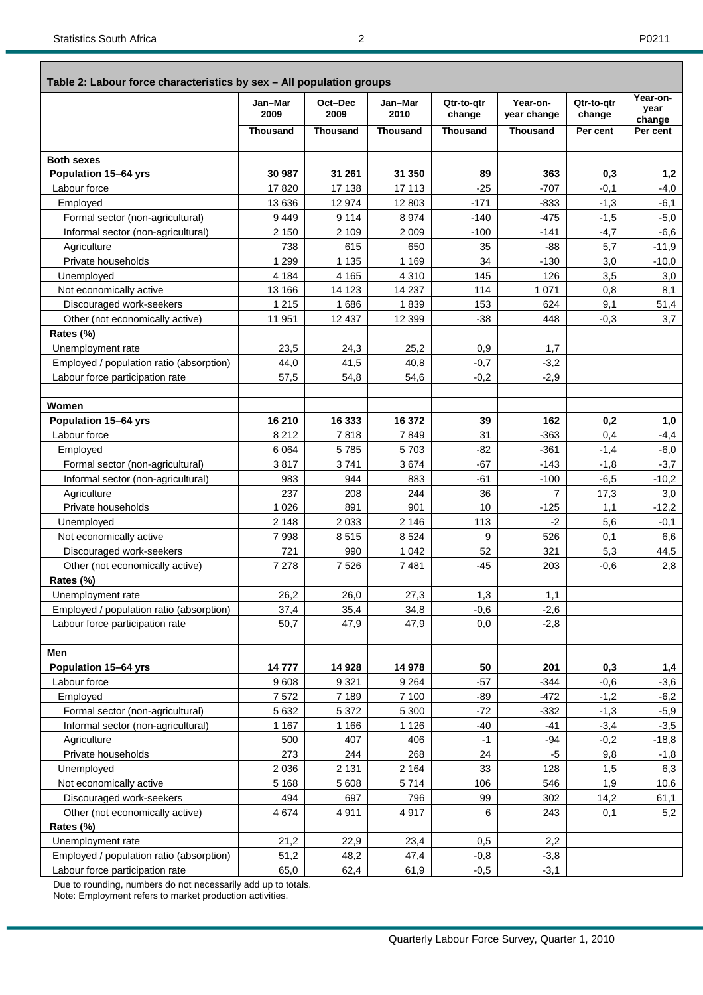#### **Table 2: Labour force characteristics by sex – All population groups**

| $\alpha$ and $\epsilon$ . Eased to be characteristics by sext the population groups | Jan-Mar<br>2009 | Oct-Dec<br>2009 | Jan-Mar<br>2010 | Qtr-to-qtr<br>change | Year-on-<br>year change | Qtr-to-atr<br>change | Year-on-<br>year<br>change |
|-------------------------------------------------------------------------------------|-----------------|-----------------|-----------------|----------------------|-------------------------|----------------------|----------------------------|
|                                                                                     | Thousand        | <b>Thousand</b> | <b>Thousand</b> | <b>Thousand</b>      | <b>Thousand</b>         | Per cent             | Per cent                   |
|                                                                                     |                 |                 |                 |                      |                         |                      |                            |
| <b>Both sexes</b>                                                                   |                 |                 |                 |                      |                         |                      |                            |
| Population 15-64 yrs                                                                | 30 987          | 31 261          | 31 350          | 89                   | 363                     | 0,3                  | 1,2                        |
| Labour force                                                                        | 17820           | 17 138          | 17 113          | $-25$                | $-707$                  | $-0,1$               | $-4,0$                     |
| Employed                                                                            | 13 636          | 12 974          | 12 803          | $-171$               | $-833$                  | $-1,3$               | $-6,1$                     |
| Formal sector (non-agricultural)                                                    | 9449            | 9 1 1 4         | 8974            | $-140$               | $-475$                  | $-1,5$               | $-5,0$                     |
| Informal sector (non-agricultural)                                                  | 2 1 5 0         | 2 1 0 9         | 2 0 0 9         | $-100$               | $-141$                  | $-4,7$               | $-6,6$                     |
| Agriculture                                                                         | 738             | 615             | 650             | 35                   | $-88$                   | 5,7                  | $-11,9$                    |
| Private households                                                                  | 1 2 9 9         | 1 1 3 5         | 1 1 6 9         | 34                   | $-130$                  | 3,0                  | $-10,0$                    |
| Unemployed                                                                          | 4 1 8 4         | 4 1 6 5         | 4 3 1 0         | 145                  | 126                     | 3,5                  | 3,0                        |
| Not economically active                                                             | 13 166          | 14 123          | 14 237          | 114                  | 1 0 7 1                 | 0,8                  | 8,1                        |
| Discouraged work-seekers                                                            | 1 2 1 5         | 1686            | 1839            | 153                  | 624                     | 9,1                  | 51,4                       |
| Other (not economically active)                                                     | 11 951          | 12 437          | 12 3 9 9        | $-38$                | 448                     | $-0,3$               | 3,7                        |
| Rates (%)                                                                           |                 |                 |                 |                      |                         |                      |                            |
| Unemployment rate                                                                   | 23,5            | 24,3            | 25,2            | 0,9                  | 1,7                     |                      |                            |
| Employed / population ratio (absorption)                                            | 44,0            | 41,5            | 40,8            | $-0,7$               | $-3,2$                  |                      |                            |
| Labour force participation rate                                                     | 57,5            | 54,8            | 54,6            | $-0,2$               | $-2,9$                  |                      |                            |
|                                                                                     |                 |                 |                 |                      |                         |                      |                            |
| Women                                                                               |                 |                 |                 |                      |                         |                      |                            |
| Population 15-64 yrs                                                                | 16 210          | 16 333          | 16 372          | 39                   | 162                     | 0,2                  | 1,0                        |
| Labour force                                                                        | 8 2 1 2         | 7818            | 7849            | 31                   | $-363$                  | 0,4                  | $-4,4$                     |
| Employed                                                                            | 6 0 64          | 5785            | 5703            | $-82$                | $-361$                  | $-1,4$               | $-6,0$                     |
| Formal sector (non-agricultural)                                                    | 3817            | 3741            | 3674            | $-67$                | $-143$                  | $-1,8$               | $-3,7$                     |
| Informal sector (non-agricultural)                                                  | 983             | 944             | 883             | $-61$                | $-100$                  | $-6,5$               | $-10,2$                    |
| Agriculture                                                                         | 237             | 208             | 244             | 36                   | $\overline{7}$          | 17,3                 | 3,0                        |
| Private households                                                                  | 1 0 2 6         | 891             | 901             | 10                   | $-125$                  | 1,1                  | $-12,2$                    |
| Unemployed                                                                          | 2 1 4 8         | 2 0 3 3         | 2 1 4 6         | 113                  | $-2$                    | 5,6                  | $-0,1$                     |
| Not economically active                                                             | 7998            | 8515            | 8524            | 9                    | 526                     | 0,1                  | 6,6                        |
| Discouraged work-seekers                                                            | 721             | 990             | 1 0 4 2         | 52                   | 321                     | 5,3                  | 44,5                       |
| Other (not economically active)                                                     | 7 2 7 8         | 7 5 2 6         | 7481            | $-45$                | 203                     | $-0,6$               | 2,8                        |
| Rates (%)                                                                           |                 |                 |                 |                      |                         |                      |                            |
| Unemployment rate                                                                   | 26,2            | 26,0            | 27,3            | 1,3                  | 1,1                     |                      |                            |
| Employed / population ratio (absorption)                                            | 37,4            | 35,4            | 34,8            | $-0,6$               | $-2,6$                  |                      |                            |
| Labour force participation rate                                                     | 50,7            | 47,9            | 47,9            | 0,0                  | $-2,8$                  |                      |                            |
|                                                                                     |                 |                 |                 |                      |                         |                      |                            |
| Men                                                                                 |                 |                 |                 |                      |                         |                      |                            |
| Population 15-64 yrs                                                                | 14777           | 14 928          | 14 978          | 50                   | 201                     | 0,3                  | 1,4                        |
| Labour force                                                                        | 9608            | 9 3 21          | 9 2 6 4         | $-57$                | $-344$                  | $-0,6$               | -3,6                       |
| Employed                                                                            | 7572            | 7 1 8 9         | 7 100           | -89                  | $-472$                  | $-1,2$               | $-6,2$                     |
| Formal sector (non-agricultural)                                                    | 5 6 3 2         | 5 3 7 2         | 5 3 0 0         | $-72$                | $-332$                  | $-1,3$               | $-5,9$                     |
| Informal sector (non-agricultural)                                                  | 1 1 6 7         | 1 1 6 6         | 1 1 2 6         | $-40$                | $-41$                   | $-3,4$               | $-3,5$                     |
| Agriculture                                                                         | 500             | 407             | 406             | $-1$                 | $-94$                   | $-0,2$               | $-18,8$                    |
| Private households                                                                  | 273             | 244             | 268             | 24                   | $-5$                    | 9,8                  | $-1,8$                     |
| Unemployed                                                                          | 2036            | 2 1 3 1         | 2 1 6 4         | 33                   | 128                     | 1,5                  | 6,3                        |
| Not economically active                                                             | 5 1 6 8         | 5 6 0 8         | 5714            | 106                  | 546                     | 1,9                  | 10,6                       |
| Discouraged work-seekers                                                            | 494             | 697             | 796             | 99                   | 302                     | 14,2                 | 61,1                       |
| Other (not economically active)                                                     | 4674            | 4911            | 4917            | 6                    | 243                     | 0,1                  | 5,2                        |
| Rates (%)                                                                           |                 |                 |                 |                      |                         |                      |                            |
| Unemployment rate                                                                   | 21,2            | 22,9            | 23,4            | 0,5                  | 2,2                     |                      |                            |
| Employed / population ratio (absorption)                                            | 51,2            | 48,2            | 47,4            | $-0,8$               | $-3,8$                  |                      |                            |
| Labour force participation rate                                                     | 65,0            | 62,4            | 61,9            | $-0,5$               | $-3,1$                  |                      |                            |

Due to rounding, numbers do not necessarily add up to totals. Note: Employment refers to market production activities.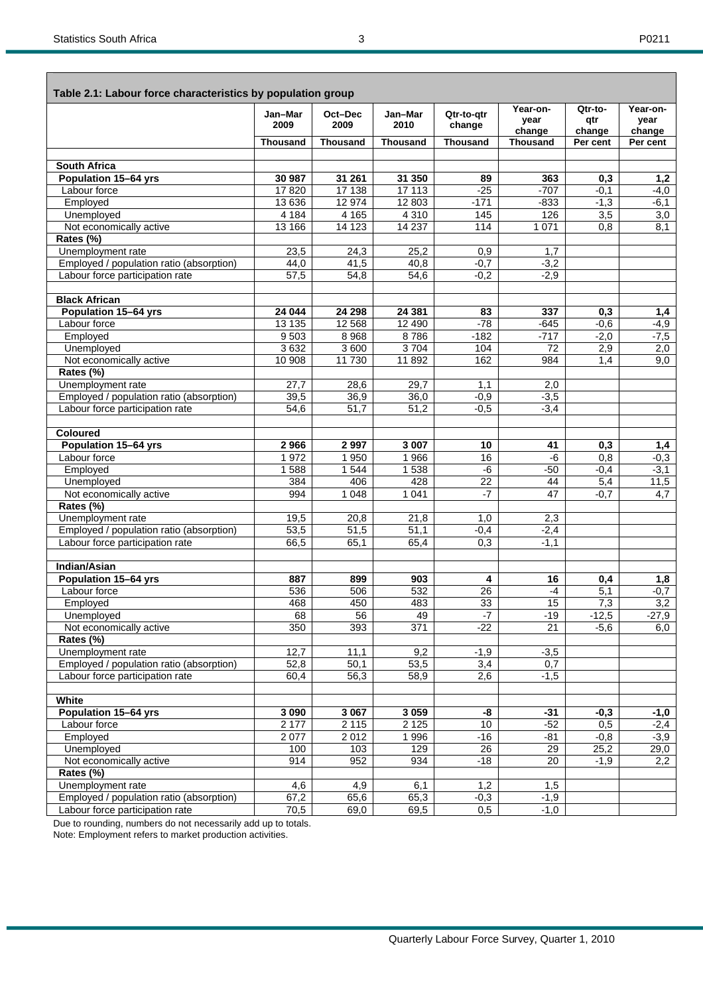| Table 2.1: Labour force characteristics by population group |                 |                  |                  |                      |                            |                          |                            |
|-------------------------------------------------------------|-----------------|------------------|------------------|----------------------|----------------------------|--------------------------|----------------------------|
|                                                             | Jan-Mar<br>2009 | Oct-Dec<br>2009  | Jan-Mar<br>2010  | Qtr-to-qtr<br>change | Year-on-<br>year<br>change | Qtr-to-<br>qtr<br>change | Year-on-<br>year<br>change |
|                                                             | <b>Thousand</b> | <b>Thousand</b>  | <b>Thousand</b>  | <b>Thousand</b>      | <b>Thousand</b>            | Per cent                 | Per cent                   |
|                                                             |                 |                  |                  |                      |                            |                          |                            |
| <b>South Africa</b>                                         |                 |                  |                  |                      |                            |                          |                            |
| Population 15-64 yrs<br>Labour force                        | 30 987<br>17820 | 31 261<br>17 138 | 31 350<br>17 113 | 89<br>$-25$          | 363<br>$-707$              | 0,3                      | 1,2                        |
| Employed                                                    | 13 6 36         | 12 9 74          | 12 803           | $-171$               | $-833$                     | $-0,1$<br>$-1,3$         | $-4,0$                     |
| Unemployed                                                  | 4 1 8 4         | 4 1 6 5          | 4 3 1 0          | 145                  | 126                        | 3,5                      | $-6,1$<br>3,0              |
| Not economically active                                     | 13 166          | 14 123           | 14 2 37          | 114                  | 1 0 7 1                    | 0,8                      | 8,1                        |
| Rates (%)                                                   |                 |                  |                  |                      |                            |                          |                            |
| Unemployment rate                                           | 23,5            | 24,3             | 25,2             | 0,9                  | 1,7                        |                          |                            |
| Employed / population ratio (absorption)                    | 44,0            | 41,5             | 40,8             | $-0,7$               | $-3,2$                     |                          |                            |
| Labour force participation rate                             | 57,5            | 54,8             | 54,6             | $-0,2$               | $-2,9$                     |                          |                            |
|                                                             |                 |                  |                  |                      |                            |                          |                            |
| <b>Black African</b>                                        |                 |                  |                  |                      |                            |                          |                            |
| Population 15-64 yrs                                        | 24 044          | 24 298           | 24 381           | 83                   | 337                        | 0.3                      | 1,4                        |
| Labour force                                                | 13 135          | 12 5 68          | 12 490           | $-78$                | $-645$                     | $-0,6$                   | $-4,9$                     |
| Employed                                                    | 9503            | 8968             | 8786             | $-182$               | $-717$                     | $-2,0$                   | $-7,5$                     |
| Unemployed                                                  | 3632            | 3 600            | 3704             | 104                  | 72                         | 2,9                      | 2,0                        |
| Not economically active                                     | 10 908          | 11 730           | 11 892           | 162                  | 984                        | 1,4                      | 9,0                        |
| Rates (%)                                                   |                 |                  |                  |                      |                            |                          |                            |
| Unemployment rate                                           | 27,7            | 28,6             | 29,7             | 1,1                  | 2,0                        |                          |                            |
| Employed / population ratio (absorption)                    | 39,5            | 36,9             | 36,0             | $-0,9$               | $-3,5$                     |                          |                            |
| Labour force participation rate                             | 54,6            | 51,7             | 51,2             | $-0,5$               | $-3,4$                     |                          |                            |
|                                                             |                 |                  |                  |                      |                            |                          |                            |
| <b>Coloured</b>                                             |                 |                  |                  |                      |                            |                          |                            |
| Population 15-64 yrs                                        | 2966            | 2 9 9 7          | 3 0 0 7          | 10                   | 41                         | 0,3                      | 1,4                        |
| Labour force<br>Employed                                    | 1972<br>1588    | 1 950<br>1 5 4 4 | 1 966<br>1538    | 16<br>-6             | $-6$<br>$-50$              | 0,8                      | $-0,3$                     |
| Unemployed                                                  | 384             | 406              | 428              | $\overline{22}$      | 44                         | $-0,4$<br>5,4            | $-3,1$                     |
| Not economically active                                     | 994             | 1 0 4 8          | 1041             | $-7$                 | $\overline{47}$            | $-0,7$                   | 11,5<br>4,7                |
| Rates (%)                                                   |                 |                  |                  |                      |                            |                          |                            |
| Unemployment rate                                           | 19,5            | 20,8             | 21,8             | 1,0                  | 2,3                        |                          |                            |
| Employed / population ratio (absorption)                    | 53,5            | 51,5             | 51,1             | $-0,4$               | $-2,4$                     |                          |                            |
| Labour force participation rate                             | 66,5            | 65,1             | 65,4             | 0,3                  | $-1,1$                     |                          |                            |
|                                                             |                 |                  |                  |                      |                            |                          |                            |
| <b>Indian/Asian</b>                                         |                 |                  |                  |                      |                            |                          |                            |
| Population 15-64 yrs                                        | 887             | 899              | 903              | 4                    | 16                         | 0,4                      | 1,8                        |
| Labour force                                                | 536             | 506              | 532              | $\overline{26}$      | -4                         | 5,1                      | $-0,7$                     |
| Employed                                                    | 468             | 450              | 483              | 33                   | 15                         | 7,3                      | 3,2                        |
| Unemployed                                                  | 68              | 56               | 49               | $-7$                 | $-19$                      | $-12,5$                  | $-27,9$                    |
| Not economically active                                     | 350             | 393              | 371              | $-22$                | 21                         | $-5,6$                   | 6,0                        |
| Rates (%)                                                   |                 |                  |                  |                      |                            |                          |                            |
| Unemployment rate                                           | 12,7            | 11,1             | 9,2              | $-1,9$               | $-3,5$                     |                          |                            |
| Employed / population ratio (absorption)                    | 52,8            | 50,1             | 53,5             | 3,4                  | $\overline{0,7}$           |                          |                            |
| Labour force participation rate                             | 60,4            | 56,3             | 58,9             | 2,6                  | $-1,5$                     |                          |                            |
|                                                             |                 |                  |                  |                      |                            |                          |                            |
| White<br>Population 15-64 yrs                               | 3 0 9 0         | 3 0 6 7          | 3059             | -8                   | $-31$                      | $-0,3$                   | $-1,0$                     |
| Labour force                                                | 2 177           | 2 1 1 5          | 2 1 2 5          | 10                   | $-52$                      | 0,5                      | $-2,4$                     |
| Employed                                                    | 2077            | 2012             | 1996             | $-16$                | $-81$                      | $-0,8$                   | $-3,9$                     |
| Unemployed                                                  | 100             | 103              | 129              | 26                   | $\overline{29}$            | 25,2                     | 29,0                       |
| Not economically active                                     | 914             | 952              | 934              | $-18$                | $\overline{20}$            | $-1,9$                   | 2,2                        |
| Rates (%)                                                   |                 |                  |                  |                      |                            |                          |                            |
| Unemployment rate                                           | 4,6             | 4,9              | 6,1              | 1,2                  | 1,5                        |                          |                            |
| Employed / population ratio (absorption)                    | 67,2            | 65,6             | 65,3             | $-0,3$               | $-1,9$                     |                          |                            |
| Labour force participation rate                             | 70,5            | 69,0             | 69,5             | 0,5                  | $-1,0$                     |                          |                            |

Due to rounding, numbers do not necessarily add up to totals. Note: Employment refers to market production activities.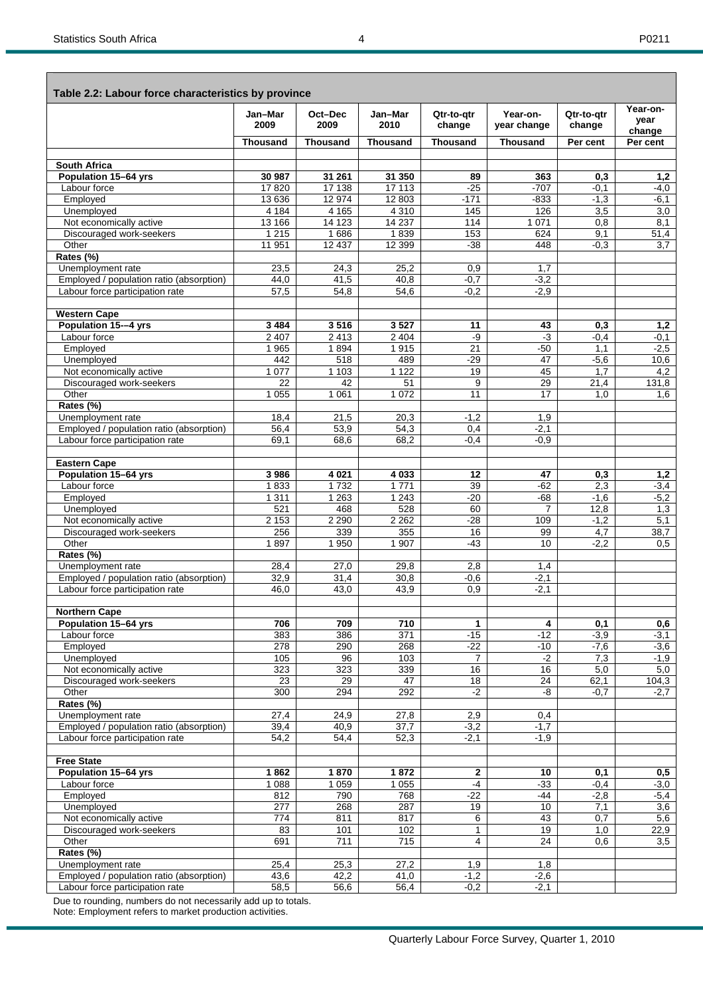|                                                     | Jan-Mar           | Oct-Dec           | Jan-Mar            | Qtr-to-qtr           | Year-on-                 | Qtr-to-qtr     | Year-on-<br>year |
|-----------------------------------------------------|-------------------|-------------------|--------------------|----------------------|--------------------------|----------------|------------------|
|                                                     | 2009              | 2009              | 2010               | change               | year change              | change         | change           |
|                                                     | <b>Thousand</b>   | <b>Thousand</b>   | <b>Thousand</b>    | <b>Thousand</b>      | <b>Thousand</b>          | Per cent       | Per cent         |
| <b>South Africa</b>                                 |                   |                   |                    |                      |                          |                |                  |
| Population 15-64 yrs                                | 30 987            | 31 261            | 31 350             | 89                   | 363                      | 0,3            | 1,2              |
| Labour force                                        | 17820             | 17 138            | 17 113             | $-25$                | $-707$                   | $-0,1$         | -4,0             |
| Employed                                            | 13636             | 12 974            | 12 803             | $-171$               | -833                     | $-1,3$         | $-6,1$           |
| Unemployed<br>Not economically active               | 4 1 8 4           | 4 1 6 5<br>14 123 | 4 3 1 0<br>14 2 37 | 145                  | 126<br>1 0 7 1           | 3,5<br>0,8     | 3,0<br>8,1       |
| Discouraged work-seekers                            | 13 166<br>1 2 1 5 | 1686              | 1839               | 114<br>153           | 624                      | 9,1            | 51,4             |
| Other                                               | 11 951            | 12 437            | 12 3 9 9           | $-38$                | 448                      | $-0.3$         | 3,7              |
| Rates (%)                                           |                   |                   |                    |                      |                          |                |                  |
| Unemployment rate                                   | 23,5              | 24,3              | 25,2               | 0,9                  | 1,7                      |                |                  |
| Employed / population ratio (absorption)            | 44,0              | 41,5              | 40,8               | $-0,7$               | $-3,2$                   |                |                  |
| Labour force participation rate                     | 57,5              | 54,8              | 54,6               | $-0.2$               | $-2,9$                   |                |                  |
| <b>Western Cape</b>                                 |                   |                   |                    |                      |                          |                |                  |
| Population 15--4 yrs                                | 3484              | 3516              | 3527               | 11                   | 43                       | 0.3            | 1,2              |
| Labour force                                        | 2 4 0 7           | 2413              | 2 4 0 4            | -9                   | $-3$                     | $-0,4$         | $-0,1$           |
| Employed                                            | 1965              | 1894<br>518       | 1915               | 21                   | $-50$<br>$\overline{47}$ | 1,1            | $-2,5$           |
| Unemployed<br>Not economically active               | 442<br>1 0 7 7    | 1 1 0 3           | 489<br>1 1 2 2     | $-29$<br>19          | 45                       | $-5,6$<br>1,7  | 10,6<br>4,2      |
| Discouraged work-seekers                            | 22                | 42                | 51                 | 9                    | 29                       | 21,4           | 131,8            |
| Other                                               | 1 0 5 5           | 1 0 6 1           | 1 0 7 2            | 11                   | 17                       | 1.0            | 1,6              |
| Rates (%)                                           |                   |                   |                    |                      |                          |                |                  |
| Unemployment rate                                   | 18,4              | 21,5              | 20,3               | $-1,2$               | 1,9                      |                |                  |
| Employed / population ratio (absorption)            | 56,4              | 53,9              | 54,3               | 0,4                  | $-2,1$                   |                |                  |
| Labour force participation rate                     | 69,1              | 68,6              | 68,2               | $-0,4$               | $-0.9$                   |                |                  |
| <b>Eastern Cape</b>                                 |                   |                   |                    |                      |                          |                |                  |
| <b>Population 15-64 yrs</b>                         | 3986              | 4 0 21            | 4 0 3 3            | 12                   | 47                       | 0,3            | 1,2              |
| Labour force                                        | 1833              | 1732              | 1771               | 39                   | $-62$                    | 2,3            | $-3,4$           |
| Employed<br>Unemployed                              | 1 3 1 1<br>521    | 1 2 6 3<br>468    | 1 2 4 3<br>528     | $-20$<br>60          | -68<br>7                 | $-1,6$<br>12,8 | $-5,2$<br>1,3    |
| Not economically active                             | 2 1 5 3           | 2 2 9 0           | 2 2 6 2            | $-28$                | 109                      | $-1,2$         | 5,1              |
| Discouraged work-seekers                            | 256               | 339               | 355                | 16                   | 99                       | 4,7            | 38,7             |
| Other                                               | 1897              | 1 9 5 0           | 1 907              | $-43$                | 10                       | $-2,2$         | 0.5              |
| Rates (%)                                           |                   |                   |                    |                      |                          |                |                  |
| Unemployment rate                                   | 28,4              | 27,0              | 29,8               | 2,8                  | 1,4                      |                |                  |
| Employed / population ratio (absorption)            | 32,9              | 31,4              | 30,8               | $-0,6$               | $-2,1$                   |                |                  |
| Labour force participation rate                     | 46,0              | 43,0              | 43,9               | 0,9                  | $-2,1$                   |                |                  |
| <b>Northern Cape</b>                                |                   |                   |                    |                      |                          |                |                  |
| Population 15-64 yrs                                | 706               | 709               | 710                | 1                    | 4                        | 0,1            | 0,6              |
| Labour force                                        | 383               | 386               | 371                | $-15$                | $-12$                    | $-3,9$         | $-3,1$           |
| Employed                                            | 278               | 290               | 268                | $-22$                | $-10$                    | $-7,6$         | $-3,6$           |
| Unemployed<br>Not economically active               | 105<br>323        | 96<br>323         | 103<br>339         | $\overline{7}$<br>16 | $-2$<br>16               | 7,3<br>5,0     | $-1,9$<br>5,0    |
| Discouraged work-seekers                            | 23                | 29                | 47                 | 18                   | 24                       | 62,1           | 104,3            |
| Other                                               | 300               | 294               | 292                | $-2$                 | -8                       | $-0,7$         | $-2,7$           |
| Rates (%)                                           |                   |                   |                    |                      |                          |                |                  |
| Unemployment rate                                   | 27,4              | 24,9              | 27,8               | 2,9                  | 0,4                      |                |                  |
| Employed / population ratio (absorption)            | 39,4              | 40,9              | 37,7               | $-3,2$               | $-1,7$                   |                |                  |
| Labour force participation rate                     | 54,2              | 54,4              | 52,3               | $-2,1$               | $-1,9$                   |                |                  |
| <b>Free State</b>                                   |                   |                   |                    |                      |                          |                |                  |
| Population 15-64 yrs                                | 1862              | 1870              | 1872               | $\mathbf{2}$         | 10                       | 0,1            | 0,5              |
| Labour force                                        | 1 0 8 8           | 1 0 5 9           | 1 0 5 5            | $-4$                 | $-33$                    | $-0,4$         | $-3,0$           |
| Employed                                            | 812               | 790               | 768                | $-22$                | $-44$                    | $-2,8$         | $-5,4$           |
| Unemployed                                          | $\overline{277}$  | 268               | 287                | 19                   | 10                       | 7,1            | 3,6              |
| Not economically active<br>Discouraged work-seekers | 774<br>83         | 811<br>101        | 817<br>102         | 6<br>1               | 43<br>19                 | 0,7<br>1,0     | 5,6<br>22,9      |
| Other                                               | 691               | 711               | 715                | 4                    | 24                       | 0,6            | 3,5              |
| Rates (%)                                           |                   |                   |                    |                      |                          |                |                  |
| Unemployment rate                                   | 25,4              | 25,3              | 27,2               | 1,9                  | 1,8                      |                |                  |
| Employed / population ratio (absorption)            | 43,6              | 42,2              | 41,0               | $-1,2$               | $-2,6$                   |                |                  |
| Labour force participation rate                     | 58,5              | 56,6              | 56,4               | $-0,2$               | $-2,1$                   |                |                  |

Due to rounding, numbers do not necessarily add up to totals. Note: Employment refers to market production activities.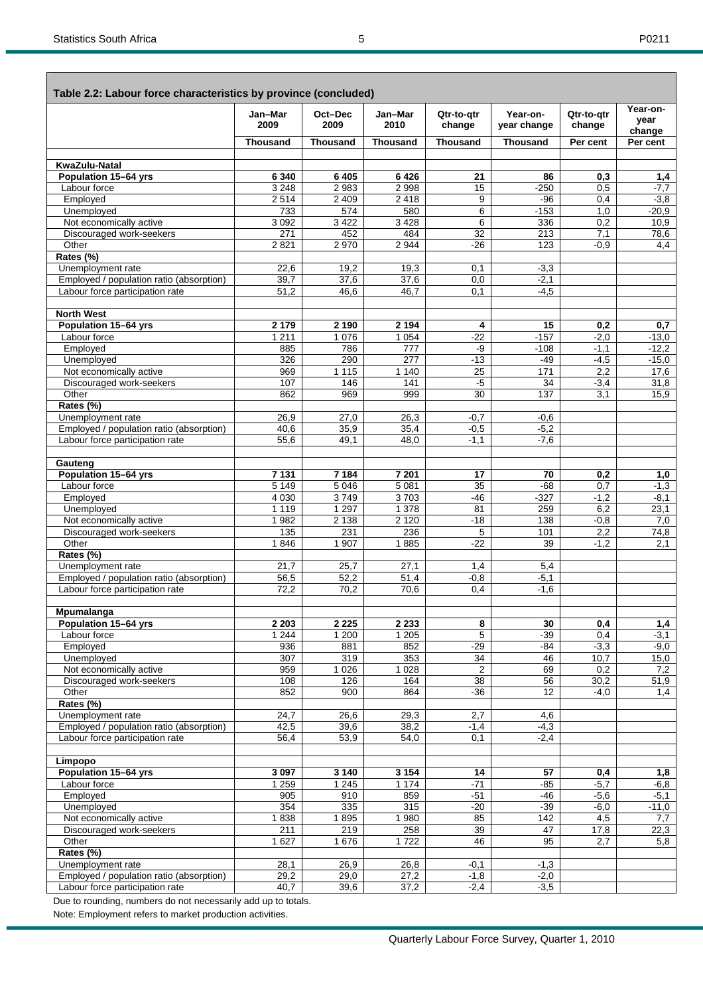| Table 2.2: Labour force characteristics by province (concluded) |                    |                 |                             |                      |                         |                      | Year-on-          |
|-----------------------------------------------------------------|--------------------|-----------------|-----------------------------|----------------------|-------------------------|----------------------|-------------------|
|                                                                 | Jan-Mar<br>2009    | Oct-Dec<br>2009 | Jan-Mar<br>2010             | Qtr-to-gtr<br>change | Year-on-<br>year change | Qtr-to-qtr<br>change | year<br>change    |
|                                                                 | <b>Thousand</b>    | <b>Thousand</b> | <b>Thousand</b>             | <b>Thousand</b>      | <b>Thousand</b>         | Per cent             | Per cent          |
| KwaZulu-Natal                                                   |                    |                 |                             |                      |                         |                      |                   |
| Population 15-64 yrs                                            | 6 3 4 0            | 6 4 0 5         | 6426                        | 21                   | 86                      | 0,3                  | 1,4               |
| Labour force                                                    | 3 2 4 8            | 2983            | 2998                        | 15                   | $-250$                  | 0,5                  | $-7,7$            |
| Employed                                                        | 2514               | 2 4 0 9         | 2418                        | 9                    | -96                     | 0,4                  | $-3,8$            |
| Unemployed                                                      | 733                | 574             | 580                         | 6                    | $-153$                  | 1,0                  | $-20.9$           |
| Not economically active<br>Discouraged work-seekers             | 3 0 9 2<br>271     | 3 4 2 2<br>452  | 3 4 2 8<br>484              | 6<br>32              | 336<br>213              | 0,2<br>7,1           | 10,9<br>78,6      |
| Other                                                           | 2821               | 2 9 7 0         | 2 9 4 4                     | $-26$                | 123                     | $-0.9$               | 4,4               |
| Rates (%)                                                       |                    |                 |                             |                      |                         |                      |                   |
| Unemployment rate                                               | 22,6               | 19,2            | 19,3                        | 0,1                  | $-3,3$                  |                      |                   |
| Employed / population ratio (absorption)                        | 39,7               | 37,6            | 37,6                        | 0,0                  | $-2,1$                  |                      |                   |
| Labour force participation rate                                 | 51,2               | 46,6            | 46,7                        | 0,1                  | $-4,5$                  |                      |                   |
| <b>North West</b>                                               |                    |                 |                             |                      |                         |                      |                   |
| Population 15-64 yrs                                            | 2 1 7 9            | 2 1 9 0         | 2 1 9 4                     | 4                    | 15                      | 0,2                  | 0,7               |
| Labour force                                                    | 1 2 1 1            | 1 0 7 6         | 1 0 5 4                     | $-22$                | $-157$                  | $-2,0$               | $-13,0$           |
| Employed                                                        | 885                | 786             | 777                         | -9                   | $-108$                  | $-1,1$               | $-12,2$           |
| Unemployed<br>Not economically active                           | 326<br>969         | 290<br>1 1 1 5  | $\overline{277}$<br>1 1 4 0 | $-13$<br>25          | $-49$<br>171            | $-4,5$               | $-15,0$<br>17,6   |
| Discouraged work-seekers                                        | 107                | 146             | 141                         | $-5$                 | 34                      | 2,2<br>$-3,4$        | 31,8              |
| Other                                                           | 862                | 969             | 999                         | $\overline{30}$      | 137                     | 3,1                  | 15,9              |
| Rates (%)                                                       |                    |                 |                             |                      |                         |                      |                   |
| Unemployment rate                                               | 26,9               | 27,0            | 26,3                        | $-0,7$               | $-0,6$                  |                      |                   |
| Employed / population ratio (absorption)                        | 40,6               | 35,9            | 35,4                        | $-0.5$               | $-5,2$                  |                      |                   |
| Labour force participation rate                                 | 55,6               | 49,1            | 48,0                        | $-1,1$               | $-7,6$                  |                      |                   |
| Gauteng                                                         |                    |                 |                             |                      |                         |                      |                   |
| Population 15-64 yrs                                            | 7 1 3 1            | 7 1 8 4         | 7 201                       | 17                   | 70                      | 0,2                  | 1,0               |
| Labour force                                                    | 5 1 4 9            | 5 0 4 6         | 5 0 8 1                     | 35                   | $-68$                   | 0.7                  | $-1,3$            |
| Employed                                                        | 4 0 3 0<br>1 1 1 9 | 3749<br>1 2 9 7 | 3703<br>1 3 7 8             | -46<br>81            | $-327$<br>259           | $-1,2$<br>6,2        | -8,1              |
| Unemployed<br>Not economically active                           | 1 982              | 2 1 3 8         | 2 1 2 0                     | $-18$                | 138                     | $-0,8$               | 23,1<br>7,0       |
| Discouraged work-seekers                                        | 135                | 231             | 236                         | 5                    | 101                     | 2,2                  | 74,8              |
| Other                                                           | 1846               | 1 907           | 1885                        | $-22$                | 39                      | $-1,2$               | 2.1               |
| Rates (%)                                                       |                    |                 |                             |                      |                         |                      |                   |
| Unemployment rate                                               | 21,7               | 25,7            | 27,1                        | 1,4                  | 5,4                     |                      |                   |
| Employed / population ratio (absorption)                        | 56,5               | 52,2            | 51,4                        | $-0,8$               | $-5,1$                  |                      |                   |
| Labour force participation rate                                 | 72,2               | 70,2            | 70,6                        | 0,4                  | $-1,6$                  |                      |                   |
| Mpumalanga                                                      |                    |                 |                             |                      |                         |                      |                   |
| Population 15-64 yrs                                            | 2 2 0 3            | 2 2 2 5         | 2 2 3 3                     | 8                    | 30                      | 0,4                  | 1,4               |
| Labour force                                                    | 1244               | 1 200           | 1 2 0 5                     | 5                    | $-39$                   | 0,4                  | $-3,1$            |
| Employed<br>Unemployed                                          | 936<br>307         | 881<br>319      | 852<br>353                  | $-29$<br>34          | $-84$<br>46             | $-3,3$<br>10,7       | $-9,0$<br>15,0    |
| Not economically active                                         | 959                | 1 0 2 6         | 1 0 28                      | $\overline{2}$       | 69                      | 0,2                  | 7,2               |
| Discouraged work-seekers                                        | 108                | 126             | 164                         | 38                   | 56                      | 30,2                 | 51,9              |
| Other                                                           | 852                | 900             | 864                         | $-36$                | 12                      | $-4,0$               | 1,4               |
| Rates (%)                                                       |                    |                 |                             |                      |                         |                      |                   |
| Unemployment rate                                               | 24,7               | 26,6            | 29,3                        | 2,7                  | 4,6                     |                      |                   |
| Employed / population ratio (absorption)                        | 42,5               | 39,6            | 38,2                        | $-1,4$               | $-4,3$                  |                      |                   |
| Labour force participation rate                                 | 56,4               | 53,9            | 54,0                        | 0,1                  | $-2,4$                  |                      |                   |
| Limpopo                                                         |                    |                 |                             |                      |                         |                      |                   |
| Population 15-64 yrs                                            | 3097               | 3 1 4 0         | 3154                        | 14                   | 57                      | 0,4                  | 1,8               |
| Labour force                                                    | 1 2 5 9            | 1245            | 1 1 7 4                     | $-71$                | $-85$                   | $-5,7$               | $-6,8$            |
| Employed<br>Unemployed                                          | 905<br>354         | 910<br>335      | 859<br>315                  | $-51$<br>$-20$       | -46<br>$-39$            | $-5,6$<br>$-6,0$     | $-5,1$<br>$-11,0$ |
| Not economically active                                         | 1838               | 1895            | 1980                        | 85                   | 142                     | 4,5                  | 7,7               |
| Discouraged work-seekers                                        | 211                | 219             | 258                         | 39                   | 47                      | 17,8                 | 22,3              |
| Other                                                           | 1627               | 1676            | 1722                        | 46                   | 95                      | 2,7                  | 5,8               |
| Rates (%)                                                       |                    |                 |                             |                      |                         |                      |                   |
| Unemployment rate                                               | 28,1               | 26,9            | 26,8                        | -0,1                 | $-1,3$                  |                      |                   |
| Employed / population ratio (absorption)                        | 29,2               | 29,0            | 27,2                        | $-1,8$               | $-2,0$                  |                      |                   |
| Labour force participation rate                                 | 40,7               | 39,6            | 37,2                        | $-2,4$               | $-3,5$                  |                      |                   |

Due to rounding, numbers do not necessarily add up to totals.

Note: Employment refers to market production activities.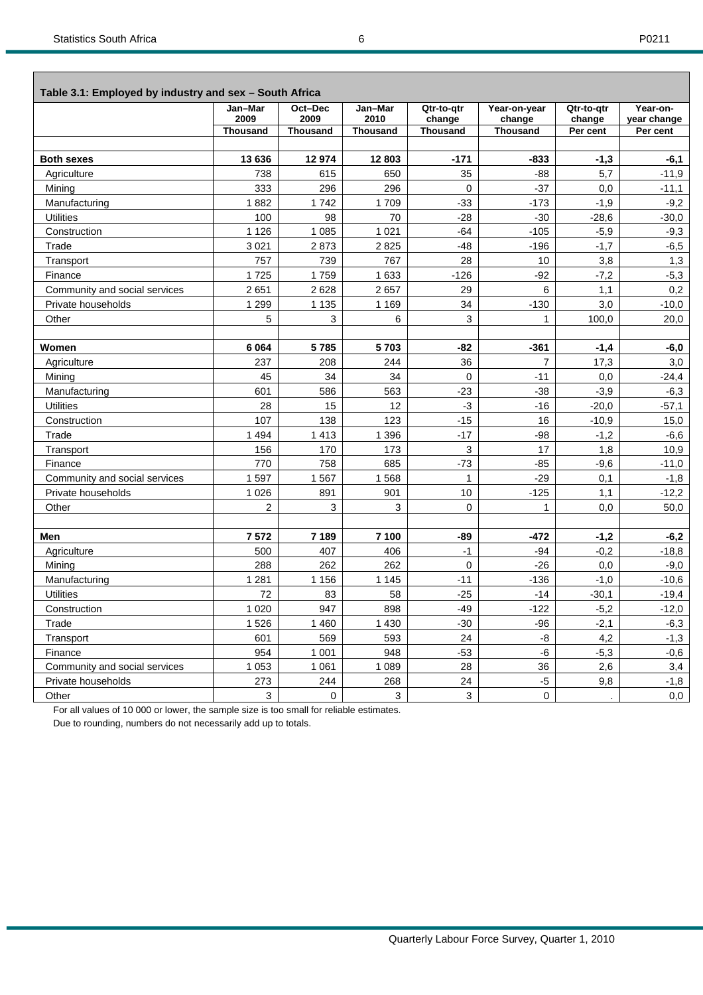| Table 3.1: Employed by industry and sex - South Africa |                                    |                                    |                                    |                                         |                                           |                                  |                                     |  |  |  |
|--------------------------------------------------------|------------------------------------|------------------------------------|------------------------------------|-----------------------------------------|-------------------------------------------|----------------------------------|-------------------------------------|--|--|--|
|                                                        | Jan-Mar<br>2009<br><b>Thousand</b> | Oct-Dec<br>2009<br><b>Thousand</b> | Jan-Mar<br>2010<br><b>Thousand</b> | Qtr-to-qtr<br>change<br><b>Thousand</b> | Year-on-year<br>change<br><b>Thousand</b> | Qtr-to-gtr<br>change<br>Per cent | Year-on-<br>year change<br>Per cent |  |  |  |
|                                                        |                                    |                                    |                                    |                                         |                                           |                                  |                                     |  |  |  |
| <b>Both sexes</b>                                      | 13 636                             | 12974                              | 12803                              | $-171$                                  | $-833$                                    | $-1,3$                           | $-6,1$                              |  |  |  |
| Agriculture                                            | 738                                | 615                                | 650                                | 35                                      | $-88$                                     | 5,7                              | $-11,9$                             |  |  |  |
| Mining                                                 | 333                                | 296                                | 296                                | $\Omega$                                | $-37$                                     | 0,0                              | $-11.1$                             |  |  |  |
| Manufacturing                                          | 1882                               | 1742                               | 1709                               | $-33$                                   | $-173$                                    | $-1,9$                           | $-9,2$                              |  |  |  |
| <b>Utilities</b>                                       | 100                                | 98                                 | 70                                 | $-28$                                   | $-30$                                     | $-28,6$                          | $-30.0$                             |  |  |  |
| Construction                                           | 1 1 2 6                            | 1 0 8 5                            | 1 0 2 1                            | $-64$                                   | $-105$                                    | $-5,9$                           | $-9,3$                              |  |  |  |
| Trade                                                  | 3 0 21                             | 2873                               | 2825                               | -48                                     | $-196$                                    | $-1,7$                           | $-6,5$                              |  |  |  |
| Transport                                              | 757                                | 739                                | 767                                | 28                                      | 10                                        | 3,8                              | 1,3                                 |  |  |  |
| Finance                                                | 1725                               | 1759                               | 1633                               | $-126$                                  | $-92$                                     | $-7,2$                           | $-5,3$                              |  |  |  |
| Community and social services                          | 2651                               | 2628                               | 2657                               | 29                                      | 6                                         | 1,1                              | 0,2                                 |  |  |  |
| Private households                                     | 1 2 9 9                            | 1 1 3 5                            | 1 1 6 9                            | 34                                      | $-130$                                    | 3,0                              | $-10,0$                             |  |  |  |
| Other                                                  | 5                                  | 3                                  | 6                                  | 3                                       | $\mathbf{1}$                              | 100,0                            | 20,0                                |  |  |  |
|                                                        |                                    |                                    |                                    |                                         |                                           |                                  |                                     |  |  |  |
| Women                                                  | 6 0 64                             | 5785                               | 5703                               | -82                                     | $-361$                                    | $-1,4$                           | $-6,0$                              |  |  |  |
| Agriculture                                            | 237                                | 208                                | 244                                | 36                                      | $\overline{7}$                            | 17,3                             | 3,0                                 |  |  |  |
| Mining                                                 | 45                                 | 34                                 | 34                                 | $\Omega$                                | $-11$                                     | 0,0                              | $-24,4$                             |  |  |  |
| Manufacturing                                          | 601                                | 586                                | 563                                | $-23$                                   | $-38$                                     | $-3,9$                           | $-6,3$                              |  |  |  |
| <b>Utilities</b>                                       | 28                                 | 15                                 | 12                                 | $-3$                                    | $-16$                                     | $-20,0$                          | $-57,1$                             |  |  |  |
| Construction                                           | 107                                | 138                                | 123                                | $-15$                                   | 16                                        | $-10,9$                          | 15,0                                |  |  |  |
| Trade                                                  | 1 4 9 4                            | 1 4 1 3                            | 1 3 9 6                            | $-17$                                   | $-98$                                     | $-1,2$                           | $-6,6$                              |  |  |  |
| Transport                                              | 156                                | 170                                | 173                                | 3                                       | 17                                        | 1,8                              | 10,9                                |  |  |  |
| Finance                                                | 770                                | 758                                | 685                                | $-73$                                   | $-85$                                     | $-9,6$                           | $-11,0$                             |  |  |  |
| Community and social services                          | 1597                               | 1567                               | 1568                               | $\mathbf{1}$                            | $-29$                                     | 0,1                              | $-1,8$                              |  |  |  |
| Private households                                     | 1 0 2 6                            | 891                                | 901                                | 10                                      | $-125$                                    | 1,1                              | $-12,2$                             |  |  |  |
| Other                                                  | $\overline{2}$                     | 3                                  | 3                                  | $\mathbf 0$                             | $\mathbf{1}$                              | 0,0                              | 50,0                                |  |  |  |
|                                                        |                                    |                                    |                                    |                                         |                                           |                                  |                                     |  |  |  |
| Men                                                    | 7572                               | 7 189                              | 7 100                              | -89                                     | -472                                      | $-1,2$                           | $-6,2$                              |  |  |  |
| Agriculture                                            | 500                                | 407                                | 406                                | $-1$                                    | $-94$                                     | $-0,2$                           | $-18,8$                             |  |  |  |
| Mining                                                 | 288                                | 262                                | 262                                | $\mathbf 0$                             | $-26$                                     | 0,0                              | $-9,0$                              |  |  |  |
| Manufacturing                                          | 1 2 8 1                            | 1 1 5 6                            | 1 1 4 5                            | $-11$                                   | $-136$                                    | $-1,0$                           | $-10,6$                             |  |  |  |
| <b>Utilities</b>                                       | 72                                 | 83                                 | 58                                 | $-25$                                   | $-14$                                     | $-30,1$                          | $-19,4$                             |  |  |  |
| Construction                                           | 1 0 2 0                            | 947                                | 898                                | $-49$                                   | $-122$                                    | $-5,2$                           | $-12,0$                             |  |  |  |
| Trade                                                  | 1526                               | 1 4 6 0                            | 1 4 3 0                            | -30                                     | $-96$                                     | $-2,1$                           | $-6,3$                              |  |  |  |
| Transport                                              | 601                                | 569                                | 593                                | 24                                      | -8                                        | 4,2                              | $-1,3$                              |  |  |  |
| Finance                                                | 954                                | 1 0 0 1                            | 948                                | $-53$                                   | -6                                        | $-5,3$                           | $-0,6$                              |  |  |  |
| Community and social services                          | 1 0 5 3                            | 1 0 6 1                            | 1 0 8 9                            | 28                                      | 36                                        | 2,6                              | 3,4                                 |  |  |  |
| Private households                                     | 273                                | 244                                | 268                                | 24                                      | -5                                        | 9,8                              | $-1,8$                              |  |  |  |
| Other                                                  | 3                                  | $\mathbf 0$                        | 3                                  | 3                                       | 0                                         |                                  | 0,0                                 |  |  |  |

For all values of 10 000 or lower, the sample size is too small for reliable estimates.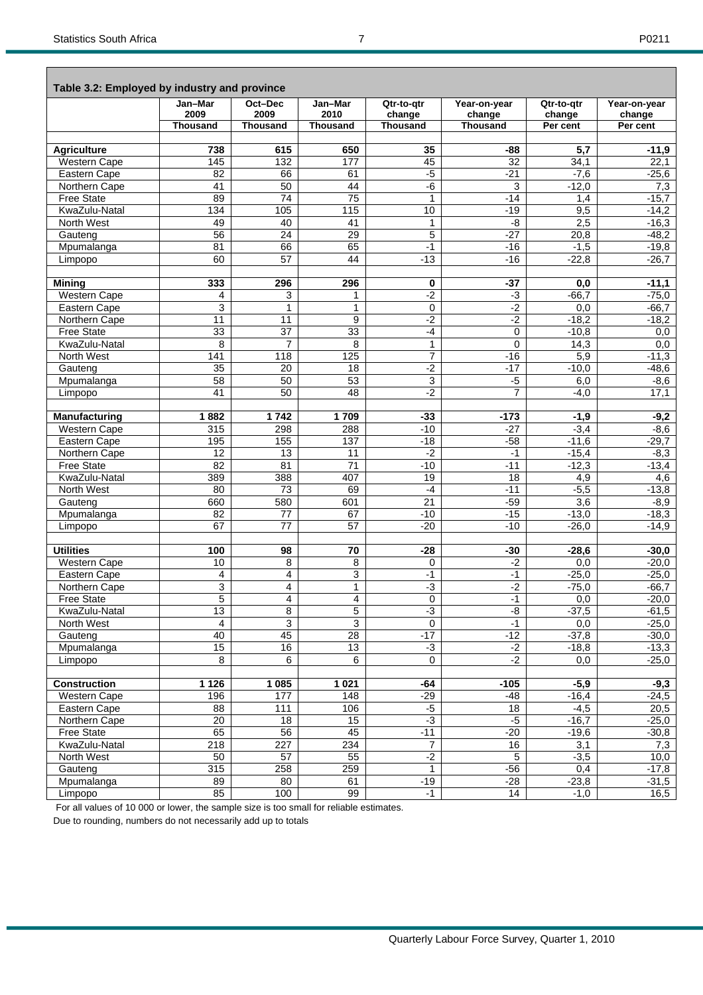| Table 3.2: Employed by industry and province | Jan-Mar         | Oct-Dec         | Jan-Mar         | Qtr-to-qtr      | Year-on-year    | Qtr-to-qtr | Year-on-year |
|----------------------------------------------|-----------------|-----------------|-----------------|-----------------|-----------------|------------|--------------|
|                                              | 2009            | 2009            | 2010            | change          | change          | change     | change       |
|                                              | <b>Thousand</b> | <b>Thousand</b> | <b>Thousand</b> | <b>Thousand</b> | <b>Thousand</b> | Per cent   | Per cent     |
|                                              |                 |                 |                 |                 |                 |            |              |
| <b>Agriculture</b>                           | 738             | 615             | 650             | 35              | -88             | 5,7        | $-11,9$      |
| Western Cape                                 | 145             | 132             | 177             | 45              | 32              | 34,1       | 22,1         |
| Eastern Cape                                 | 82              | 66              | 61              | $-5$            | $-21$           | $-7,6$     | $-25,6$      |
| Northern Cape                                | 41              | 50              | 44              | -6              | 3               | $-12,0$    | 7,3          |
| <b>Free State</b>                            | 89              | 74              | $\overline{75}$ | $\mathbf{1}$    | $-14$           | 1,4        | $-15,7$      |
| KwaZulu-Natal                                | 134             | 105             | 115             | 10              | $-19$           | 9,5        | $-14,2$      |
| North West                                   | 49              | 40              | 41              | $\mathbf{1}$    | -8              | 2,5        | $-16,3$      |
| Gauteng                                      | 56              | 24              | 29              | 5               | $-27$           | 20,8       | $-48,2$      |
| Mpumalanga                                   | 81              | 66              | 65              | $-1$            | $-16$           | $-1,5$     | $-19,8$      |
| Limpopo                                      | 60              | $\overline{57}$ | 44              | $-13$           | $-16$           | $-22,8$    | $-26,7$      |
|                                              |                 |                 |                 |                 |                 |            |              |
| <b>Mining</b>                                | 333             | 296             | 296             | 0               | $-37$           | 0,0        | $-11,1$      |
| <b>Western Cape</b>                          | 4               | 3               | 1               | $-2$            | $-3$            | $-66,7$    | $-75,0$      |
| Eastern Cape                                 | 3               | $\mathbf{1}$    | $\mathbf{1}$    | $\mathbf 0$     | $-2$            | 0,0        | $-66,7$      |
| Northern Cape                                | 11              | 11              | 9               | $-2$            | $-2$            | $-18,2$    | $-18,2$      |
| <b>Free State</b>                            | 33              | $\overline{37}$ | 33              | $-4$            | 0               | $-10,8$    | 0,0          |
| KwaZulu-Natal                                | 8               | $\overline{7}$  | 8               | $\mathbf{1}$    | 0               | 14,3       | 0,0          |
| North West                                   | 141             | 118             | 125             | $\overline{7}$  | $-16$           | 5,9        | $-11,3$      |
| Gauteng                                      | 35              | 20              | 18              | $-2$            | $-17$           | $-10,0$    | $-48,6$      |
| Mpumalanga                                   | 58              | 50              | 53              | $\overline{3}$  | $-5$            | 6,0        | $-8,6$       |
| Limpopo                                      | 41              | 50              | 48              | $-2$            | $\overline{7}$  | $-4,0$     | 17,1         |
|                                              |                 |                 |                 |                 |                 |            |              |
| <b>Manufacturing</b>                         | 1882            | 1742            | 1709            | $-33$           | $-173$          | $-1,9$     | $-9,2$       |
| Western Cape                                 | 315             | 298             | 288             | $-10$           | $-27$           | $-3,4$     | $-8,6$       |
| Eastern Cape                                 | 195             | 155             | 137             | $-18$           | $-58$           | $-11,6$    | $-29,7$      |
| Northern Cape                                | 12              | 13              | 11              | $-2$            | $-1$            | $-15,4$    | $-8,3$       |
| <b>Free State</b>                            | $\overline{82}$ | 81              | $\overline{71}$ | $-10$           | $-11$           | $-12,3$    | $-13,4$      |
| KwaZulu-Natal                                | 389             | 388             | 407             | $\overline{19}$ | 18              | 4,9        | 4,6          |
| North West                                   | 80              | 73              | 69              | $-4$            | $-11$           | $-5,5$     | $-13,8$      |
| Gauteng                                      | 660             | 580             | 601             | 21              | $-59$           | 3,6        | $-8,9$       |
| Mpumalanga                                   | 82              | $\overline{77}$ | 67              | $-10$           | $-15$           | $-13,0$    | $-18,3$      |
| Limpopo                                      | 67              | 77              | 57              | $-20$           | $-10$           | $-26,0$    | $-14,9$      |
|                                              |                 |                 |                 |                 |                 |            |              |
| <b>Utilities</b>                             | 100             | 98              | 70              | $-28$           | $-30$           | $-28,6$    | $-30,0$      |
| <b>Western Cape</b>                          | 10              | $\overline{8}$  | 8               | $\mathbf 0$     | $-2$            | 0,0        | $-20,0$      |
| Eastern Cape                                 | 4               | 4               | 3               | $-1$            | $-1$            | $-25,0$    | $-25,0$      |
| Northern Cape                                | $\overline{3}$  | $\overline{4}$  | $\overline{1}$  | $-3$            | $-2$            | $-75,0$    | $-66,7$      |
| <b>Free State</b>                            | 5               | $\overline{4}$  | 4               | $\mathbf 0$     | $-1$            | 0,0        | $-20,0$      |
| KwaZulu-Natal                                | 13              | 8               | 5               | $-3$            | -8              | $-37,5$    | $-61,5$      |
| North West                                   | $\overline{4}$  | $\overline{3}$  | $\overline{3}$  | $\mathbf 0$     | $-1$            | 0,0        | $-25,0$      |
| Gauteng                                      | 40              | 45              | 28              | $-17$           | $-12$           | $-37,8$    | $-30,0$      |
| Mpumalanga                                   | 15              | 16              | 13              | $-3$            | $-2$            | $-18,8$    | $-13,3$      |
| Limpopo                                      | 8               | 6               | 6               | $\mathbf 0$     | $-2$            | 0,0        | $-25,0$      |
|                                              |                 |                 |                 |                 |                 |            |              |
| <b>Construction</b>                          | 1 1 2 6         | 1 0 8 5         | 1021            | $-64$           | $-105$          | $-5,9$     | $-9,3$       |
| Western Cape                                 | 196             | 177             | 148             | $-29$           | -48             | $-16,4$    | $-24,5$      |
| Eastern Cape                                 | 88              | 111             | 106             | -5              | 18              | $-4,5$     | 20,5         |
| Northern Cape                                | 20              | 18              | 15              | لۍ.             | $-5$            | $-16,7$    | $-25,0$      |
| Free State                                   | 65              | 56              | 45              | $-11$           | $-20$           | $-19,6$    | $-30,8$      |

 Free State 65 56 45 -11 -20 -19,6 -30,8 KwaZulu-Natal 218 227 234 7 16 3,1 7,3 North West 50 57 55 -2 5 -3,5 10,0 Gauteng 315 258 259 1 -56 0,4 -17,8 Mpumalanga | 89 | 80 | 61 | -19 | -28 | -23,8 | -31,5 Limpopo | 85 | 100 | 99 | -1 | 14 | -1,0 | 16,5

For all values of 10 000 or lower, the sample size is too small for reliable estimates.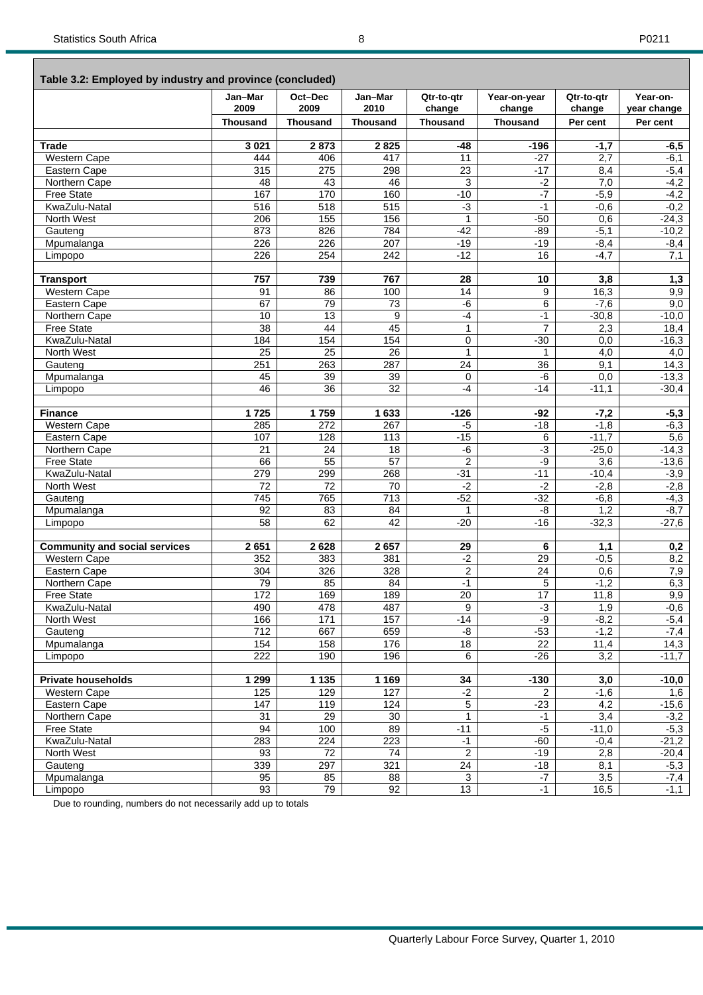#### **Table 3.2: Employed by industry and province (concluded)**

|                                      | Jan-Mar<br>2009  | Oct-Dec<br>2009  | Jan-Mar<br>2010  | Qtr-to-gtr<br>change | Year-on-year<br>change | Qtr-to-gtr<br>change | Year-on-<br>year change |
|--------------------------------------|------------------|------------------|------------------|----------------------|------------------------|----------------------|-------------------------|
|                                      | <b>Thousand</b>  | <b>Thousand</b>  | <b>Thousand</b>  | <b>Thousand</b>      | <b>Thousand</b>        | Per cent             | Per cent                |
|                                      |                  |                  |                  |                      |                        |                      |                         |
| <b>Trade</b>                         | 3 0 21           | 2873             | 2825             | $-48$                | $-196$                 | $-1,7$               | $-6,5$                  |
| <b>Western Cape</b>                  | 444              | 406              | 417              | 11                   | $-27$                  | 2,7                  | $-6,1$                  |
| Eastern Cape                         | 315              | 275              | 298              | $\overline{23}$      | $-17$                  | 8,4                  | $-5,4$                  |
| Northern Cape                        | 48               | 43               | 46               | 3                    | $-2$                   | 7,0                  | $-4,2$                  |
| <b>Free State</b>                    | 167              | 170              | 160              | $-10$                | $-7$                   | $-5,9$               | $-4,2$                  |
| KwaZulu-Natal                        | $\overline{516}$ | 518              | 515              | $-3$                 | $-1$                   | $-0,6$               | $-0,2$                  |
| North West                           | 206              | 155              | 156              | $\mathbf{1}$         | $-50$                  | 0,6                  | $-24,3$                 |
| Gauteng                              | 873              | 826              | 784              | $-42$                | $-89$                  | $-5,1$               | $-10,2$                 |
| Mpumalanga                           | 226              | 226              | 207              | $-19$                | $-19$                  | $-8,4$               | $-8,4$                  |
| Limpopo                              | 226              | 254              | 242              | $-12$                | 16                     | $-4,7$               | 7,1                     |
|                                      |                  |                  |                  |                      |                        |                      |                         |
| <b>Transport</b>                     | 757              | 739              | 767              | 28                   | 10                     | $\overline{3,8}$     | 1,3                     |
| Western Cape                         | 91               | 86               | 100              | 14                   | 9                      | 16,3                 | 9,9                     |
| Eastern Cape                         | 67               | 79               | 73               | $-6$                 | 6                      | $-7,6$               | 9,0                     |
| Northern Cape                        | 10               | 13               | $\overline{9}$   | $-4$                 | $-1$                   | $-30,8$              | $-10,0$                 |
| <b>Free State</b>                    | $\overline{38}$  | 44               | 45               | $\mathbf{1}$         | $\overline{7}$         | 2,3                  | 18,4                    |
| KwaZulu-Natal                        | 184              | 154              | 154              | 0                    | $-30$                  | 0,0                  | $-16,3$                 |
|                                      | $\overline{25}$  | 25               | 26               | $\mathbf{1}$         | $\mathbf{1}$           |                      |                         |
| North West                           |                  |                  |                  |                      |                        | 4,0                  | 4,0                     |
| Gauteng                              | 251              | 263              | 287              | 24                   | 36                     | 9,1                  | 14,3                    |
| Mpumalanga                           | 45               | 39               | 39               | $\mathbf 0$          | -6                     | 0,0                  | $-13,3$                 |
| Limpopo                              | 46               | 36               | $\overline{32}$  | $-4$                 | $-14$                  | $-11,1$              | $-30,4$                 |
|                                      |                  |                  |                  |                      |                        |                      |                         |
| <b>Finance</b>                       | 1725             | 1759             | 1633             | $-126$               | -92                    | $-7,2$               | $-5,3$                  |
| <b>Western Cape</b>                  | 285              | 272              | 267              | $-5$                 | $-18$                  | $-1,8$               | $-6,3$                  |
| Eastern Cape                         | 107              | 128              | 113              | $-15$                | 6                      | $-11,7$              | 5,6                     |
| Northern Cape                        | $\overline{21}$  | 24               | $\overline{18}$  | -6                   | $-3$                   | $-25,0$              | $-14,3$                 |
| <b>Free State</b>                    | 66               | 55               | 57               | $\overline{2}$       | -9                     | $\overline{3,6}$     | $-13,6$                 |
| KwaZulu-Natal                        | 279              | 299              | 268              | $-31$                | $-11$                  | $-10,4$              | $-3,9$                  |
| North West                           | $\overline{72}$  | 72               | 70               | $-2$                 | $-2$                   | $-2,8$               | $-2,8$                  |
| Gauteng                              | 745              | 765              | 713              | $-52$                | $-32$                  | $-6,8$               | $-4,3$                  |
| Mpumalanga                           | 92               | 83               | 84               | $\mathbf{1}$         | -8                     | 1,2                  | $-8,7$                  |
| Limpopo                              | 58               | 62               | 42               | $-20$                | $-16$                  | $-32,3$              | $-27,6$                 |
|                                      |                  |                  |                  |                      |                        |                      |                         |
| <b>Community and social services</b> | 2651             | 2628             | 2657             | $\overline{29}$      | 6                      | 1,1                  | 0,2                     |
| Western Cape                         | 352              | 383              | 381              | $-2$                 | $\overline{29}$        | $-0,5$               | 8,2                     |
| Eastern Cape                         | $\overline{304}$ | 326              | 328              | $\overline{c}$       | $\overline{24}$        | 0,6                  | 7,9                     |
| Northern Cape                        | 79               | 85               | 84               | $-1$                 | $\overline{5}$         | $-1,2$               | 6,3                     |
| <b>Free State</b>                    | 172              | 169              | 189              | $\overline{20}$      | $\overline{17}$        | 11,8                 | 9,9                     |
| KwaZulu-Natal                        | 490              | 478              | 487              | 9                    | $-3$                   | 1,9                  | $-0,6$                  |
| North West                           | 166              | 171              | 157              | $-14$                | -9                     | $-8,2$               | $-5,4$                  |
| Gauteng                              | 712              | 667              | 659              | -8                   | $-53$                  | $-1,2$               | $-7,4$                  |
| Mpumalanga                           | 154              | 158              | 176              | 18                   | $\overline{22}$        | 11,4                 | 14,3                    |
| Limpopo                              | 222              | 190              | 196              | 6                    | $-26$                  | $\overline{3,2}$     | $-11,7$                 |
|                                      |                  |                  |                  |                      |                        |                      |                         |
| <b>Private households</b>            | 1 2 9 9          | 1 1 3 5          | 1 1 6 9          | 34                   | $-130$                 | 3,0                  | $-10,0$                 |
| Western Cape                         | 125              | 129              | 127              | $-2$                 | 2                      | $-1,6$               | 1,6                     |
| Eastern Cape                         | 147              | 119              | 124              | $\overline{5}$       | $-23$                  | 4,2                  | $-15,6$                 |
| Northern Cape                        | 31               | 29               | 30               | 1                    | $-1$                   | 3,4                  | $-3,2$                  |
| <b>Free State</b>                    | 94               | 100              | 89               | $-11$                | $-5$                   | $-11,0$              | $-5,3$                  |
| KwaZulu-Natal                        | 283              | $\overline{224}$ | $\overline{223}$ | $-1$                 | $-60$                  | $-0,4$               | $-21,2$                 |
| North West                           | 93               | 72               | 74               | $\overline{2}$       | $-19$                  | 2,8                  | $-20,4$                 |
| Gauteng                              | 339              | 297              | 321              | $\overline{24}$      | $-18$                  | 8,1                  | $-5,3$                  |
| Mpumalanga                           | 95               | 85               | 88               | $\overline{\omega}$  | $-7$                   | $\overline{3,5}$     | $-7,4$                  |
|                                      | 93               | 79               | 92               | 13                   | $-1$                   |                      | $-1,1$                  |
| Limpopo                              |                  |                  |                  |                      |                        | 16,5                 |                         |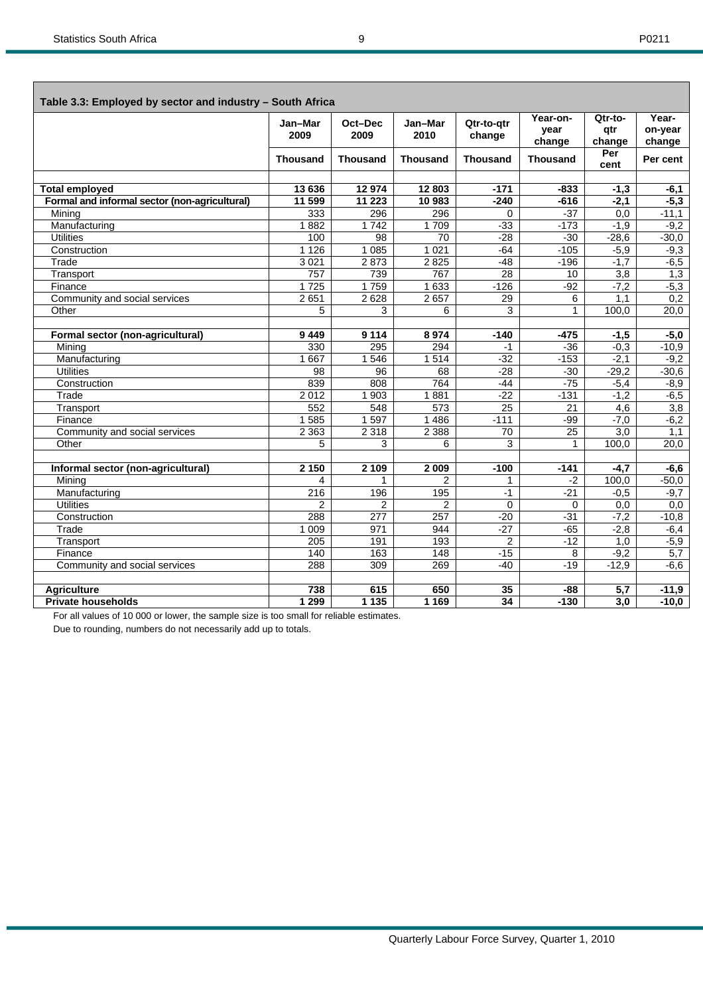Г

| Table 3.3: Employed by sector and industry - South Africa |                 |                 |                 |                      |                            |                          |                            |
|-----------------------------------------------------------|-----------------|-----------------|-----------------|----------------------|----------------------------|--------------------------|----------------------------|
|                                                           | Jan-Mar<br>2009 | Oct-Dec<br>2009 | Jan-Mar<br>2010 | Qtr-to-atr<br>change | Year-on-<br>vear<br>change | Qtr-to-<br>qtr<br>change | Year-<br>on-year<br>change |
|                                                           | <b>Thousand</b> | <b>Thousand</b> | <b>Thousand</b> | <b>Thousand</b>      | <b>Thousand</b>            | Per<br>cent              | Per cent                   |
|                                                           |                 |                 |                 |                      |                            |                          |                            |
| <b>Total employed</b>                                     | 13 636          | 12974           | 12803           | $-171$               | $-833$                     | $-1,3$                   | $-6,1$                     |
| Formal and informal sector (non-agricultural)             | 11 599          | 11 223          | 10 983          | $-240$               | $-616$                     | $-2.1$                   | $-5,3$                     |
| Mining                                                    | 333             | 296             | 296             | $\Omega$             | $-37$                      | 0,0                      | $-11,1$                    |
| Manufacturing                                             | 1882            | 1742            | 1709            | $-33$                | $-173$                     | $-1,9$                   | $-9,2$                     |
| <b>Utilities</b>                                          | 100             | 98              | 70              | $-28$                | $-30$                      | $-28,6$                  | $-30,0$                    |
| Construction                                              | 1 1 2 6         | 1 0 8 5         | 1 0 2 1         | $-64$                | $-105$                     | $-5,9$                   | $-9,3$                     |
| Trade                                                     | 3021            | 2873            | 2825            | $-48$                | $-196$                     | $-1,7$                   | $-6,5$                     |
| Transport                                                 | 757             | 739             | 767             | 28                   | 10                         | 3,8                      | 1,3                        |
| Finance                                                   | 1725            | 1759            | 1 633           | $-126$               | $-92$                      | $-7,2$                   | $-5,3$                     |
| Community and social services                             | 2 6 5 1         | 2 6 2 8         | 2 6 5 7         | 29                   | 6                          | 1,1                      | 0,2                        |
| Other                                                     | 5               | 3               | 6               | 3                    | $\mathbf{1}$               | 100,0                    | 20,0                       |
| Formal sector (non-agricultural)                          | 9449            | 9 1 1 4         | 8974            | $-140$               | -475                       | $-1,5$                   | $-5,0$                     |
| Mining                                                    | 330             | 295             | 294             | -1                   | $-36$                      | $-0.3$                   | $-10,9$                    |
| Manufacturing                                             | 1 6 6 7         | 1546            | 1514            | $-32$                | $-153$                     | $-2,1$                   | $-9,2$                     |
| <b>Utilities</b>                                          | 98              | 96              | 68              | $-28$                | $-30$                      | $-29,2$                  | $-30,6$                    |
| Construction                                              | 839             | 808             | 764             | $-44$                | $-75$                      | $-5,4$                   | $-8,9$                     |
| Trade                                                     | 2012            | 1 903           | 1881            | $-22$                | $-131$                     | $-1,2$                   | $-6,5$                     |
| Transport                                                 | 552             | 548             | 573             | $\overline{25}$      | 21                         | 4,6                      | 3,8                        |
| Finance                                                   | 1 5 8 5         | 1 5 9 7         | 1 4 8 6         | $-111$               | $-99$                      | $-7,0$                   | $-6,2$                     |
| Community and social services                             | 2 3 6 3         | 2 3 1 8         | 2 3 8 8         | 70                   | 25                         | 3,0                      | 1,1                        |
| Other                                                     | 5               | 3               | 6               | 3                    | $\mathbf{1}$               | 100,0                    | 20,0                       |
| Informal sector (non-agricultural)                        | 2 150           | 2 1 0 9         | 2 0 0 9         | $-100$               | $-141$                     | $-4,7$                   | $-6,6$                     |
| Minina                                                    | 4               | 1               | 2               | 1                    | $-2$                       | 100.0                    | $-50,0$                    |
| Manufacturing                                             | 216             | 196             | 195             | $-1$                 | $-21$                      | $-0.5$                   | $-9,7$                     |
| <b>Utilities</b>                                          | $\overline{2}$  | 2               | $\overline{2}$  | $\Omega$             | $\Omega$                   | 0,0                      | 0,0                        |
| Construction                                              | 288             | 277             | 257             | $-20$                | $-31$                      | $-7,2$                   | $-10,8$                    |
| Trade                                                     | 1 0 0 9         | 971             | 944             | $-27$                | $-65$                      | $-2,8$                   | $-6,4$                     |
| Transport                                                 | 205             | 191             | 193             | $\overline{2}$       | $-12$                      | 1,0                      | $-5,9$                     |
| Finance                                                   | 140             | 163             | 148             | $-15$                | 8                          | $-9,2$                   | 5,7                        |
| Community and social services                             | 288             | 309             | 269             | $-40$                | $-19$                      | $-12,9$                  | $-6,6$                     |
| <b>Agriculture</b>                                        | 738             | 615             | 650             | 35                   | -88                        | 5,7                      | $-11,9$                    |
| <b>Private households</b>                                 | 1 2 9 9         | 1 1 3 5         | 1 1 6 9         | $\overline{34}$      | $-130$                     | 3,0                      | $-10,0$                    |

For all values of 10 000 or lower, the sample size is too small for reliable estimates.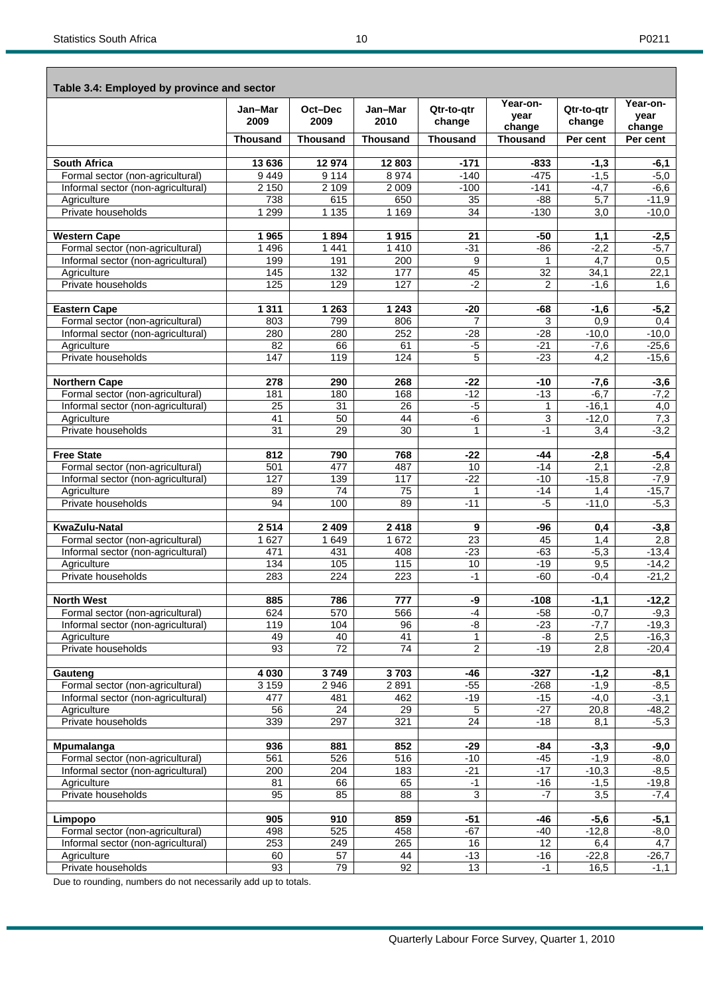|--|--|

| Table 3.4: Employed by province and sector                             |                 |                    |                 |                      |                            |                      |                            |
|------------------------------------------------------------------------|-----------------|--------------------|-----------------|----------------------|----------------------------|----------------------|----------------------------|
|                                                                        | Jan-Mar<br>2009 | Oct-Dec<br>2009    | Jan-Mar<br>2010 | Qtr-to-qtr<br>change | Year-on-<br>vear<br>change | Qtr-to-atr<br>change | Year-on-<br>year<br>change |
|                                                                        | <b>Thousand</b> | <b>Thousand</b>    | <b>Thousand</b> | <b>Thousand</b>      | <b>Thousand</b>            | Per cent             | Per cent                   |
|                                                                        |                 |                    |                 |                      |                            |                      |                            |
| <b>South Africa</b>                                                    | 13 636          | 12 974             | 12 803          | $-171$               | $-833$                     | $-1,3$               | $-6,1$                     |
| Formal sector (non-agricultural)                                       | 9449            | 9 1 1 4            | 8 9 7 4         | $-140$               | $-475$                     | $-1,5$               | $-5,0$                     |
| Informal sector (non-agricultural)<br>Agriculture                      | 2 1 5 0<br>738  | 2 1 0 9<br>615     | 2 0 0 9<br>650  | $-100$<br>35         | $-141$<br>$-88$            | $-4,7$<br>5,7        | $-6,6$<br>$-11,9$          |
| Private households                                                     | 1 2 9 9         | 1 1 3 5            | 1 1 6 9         | 34                   | $-130$                     | 3.0                  | $-10.0$                    |
| <b>Western Cape</b>                                                    | 1965            | 1894               | 1915            | 21                   | $-50$                      | 1,1                  | $-2,5$                     |
| Formal sector (non-agricultural)                                       | 1 4 9 6         | 1 4 4 1            | 1410            | $-31$                | $-86$                      | $-2,2$               | $-5,7$                     |
| Informal sector (non-agricultural)                                     | 199             | 191                | 200             | 9                    |                            | $\overline{4,7}$     | 0,5                        |
| Agriculture                                                            | 145             | 132                | 177             | 45                   | 32                         | 34,1                 | 22,1                       |
| Private households                                                     | 125             | 129                | 127             | $-2$                 | 2                          | $-1,6$               | 1,6                        |
|                                                                        |                 |                    |                 |                      |                            |                      |                            |
| <b>Eastern Cape</b><br>Formal sector (non-agricultural)                | 1 3 1 1<br>803  | 1 2 6 3<br>799     | 1 2 4 3<br>806  | $-20$<br>7           | -68<br>3                   | $-1,6$<br>0,9        | $-5,2$<br>0,4              |
| Informal sector (non-agricultural)                                     | 280             | 280                | 252             | -28                  | $-28$                      | $-10,0$              | $-10,0$                    |
| Agriculture                                                            | $\overline{82}$ | 66                 | 61              | $-5$                 | $-21$                      | $-7,6$               | $-25,6$                    |
| Private households                                                     | 147             | 119                | 124             | 5                    | $-23$                      | 4,2                  | $-15,6$                    |
|                                                                        |                 |                    |                 |                      |                            |                      |                            |
| <b>Northern Cape</b>                                                   | 278             | 290<br>180         | 268<br>168      | $-22$<br>$-12$       | -10<br>$-13$               | $-7,6$<br>$-6.7$     | $-3,6$                     |
| Formal sector (non-agricultural)<br>Informal sector (non-agricultural) | 181<br>25       | 31                 | 26              | $-5$                 | 1                          | $-16,1$              | $-7,2$<br>4,0              |
| Agriculture                                                            | 41              | 50                 | 44              | $-6$                 | 3                          | $-12,0$              | 7,3                        |
| Private households                                                     | 31              | 29                 | 30              | 1                    | $-1$                       | 3,4                  | $-3,2$                     |
|                                                                        |                 |                    |                 |                      |                            |                      |                            |
| <b>Free State</b>                                                      | 812             | 790                | 768             | $-22$                | -44                        | $-2,8$               | $-5,4$                     |
| Formal sector (non-agricultural)                                       | 501             | 477                | 487             | 10                   | $-14$                      | 2,1                  | $-2,8$                     |
| Informal sector (non-agricultural)<br>Agriculture                      | 127<br>89       | 139<br>74          | 117<br>75       | $-22$<br>1           | $-10$<br>$-14$             | $-15,8$<br>1,4       | $-7,9$<br>$-15,7$          |
| Private households                                                     | 94              | 100                | 89              | $-11$                | $-5$                       | $-11,0$              | $-5,3$                     |
| <b>KwaZulu-Natal</b>                                                   |                 |                    |                 |                      |                            |                      |                            |
| Formal sector (non-agricultural)                                       | 2514<br>1 627   | 2 4 0 9<br>1 6 4 9 | 2 4 1 8<br>1672 | 9<br>23              | -96<br>45                  | 0,4<br>1,4           | $-3,8$<br>2,8              |
| Informal sector (non-agricultural)                                     | 471             | 431                | 408             | $-23$                | $-63$                      | $-5,3$               | $-13,4$                    |
| Agriculture                                                            | 134             | 105                | 115             | 10                   | $-19$                      | 9,5                  | $-14,2$                    |
| Private households                                                     | 283             | 224                | 223             | $-1$                 | -60                        | $-0,4$               | $-21,2$                    |
|                                                                        |                 |                    |                 |                      |                            |                      |                            |
| <b>North West</b><br>Formal sector (non-agricultural)                  | 885<br>624      | 786<br>570         | 777<br>566      | -9<br>$-4$           | $-108$<br>$-58$            | $-1,1$<br>$-0,7$     | $-12,2$<br>$-9,3$          |
| Informal sector (non-agricultural)                                     | 119             | 104                | 96              | -8                   | $-23$                      | $-7,7$               | $-19,3$                    |
| Agriculture                                                            | 49              | 40                 | 41              | 1                    | -8                         | 2,5                  | $-16,3$                    |
| Private households                                                     | 93              | $\overline{72}$    | $\overline{74}$ | $\overline{c}$       | $-19$                      | 2,8                  | $-20,4$                    |
| Gauteng                                                                | 4 0 3 0         | 3749               | $3\,703$        | -46                  | $-327$                     | $-1,2$               | $-8,1$                     |
| Formal sector (non-agricultural)                                       | 3 1 5 9         | 2 9 4 6            | 2891            | $-55$                | $-268$                     | $-1,9$               | $-8,5$                     |
| Informal sector (non-agricultural)                                     | 477             | 481                | 462             | $-19$                | $-15$                      | $-4,0$               | $-3,1$                     |
| Agriculture                                                            | 56              | 24                 | 29              | 5                    | $-27$                      | 20,8                 | $-48,2$                    |
| Private households                                                     | 339             | 297                | 321             | 24                   | $-18$                      | 8,1                  | $-5,3$                     |
| Mpumalanga                                                             | 936             | 881                | 852             | $-29$                | -84                        | $-3,3$               | -9,0                       |
| Formal sector (non-agricultural)                                       | 561             | 526                | 516             | $-10$                | $-45$                      | $-1,9$               | -8,0                       |
| Informal sector (non-agricultural)                                     | 200             | 204                | 183             | $-21$                | $-17$                      | $-10,3$              | $-8,5$                     |
| Agriculture                                                            | 81              | 66                 | 65              | $-1$                 | $-16$                      | $-1,5$               | $-19,8$                    |
| Private households                                                     | 95              | 85                 | $\overline{88}$ | 3                    | -7                         | 3,5                  | $-7,4$                     |
|                                                                        |                 |                    |                 |                      |                            |                      |                            |
| Limpopo<br>Formal sector (non-agricultural)                            | 905<br>498      | 910<br>525         | 859<br>458      | $-51$<br>$-67$       | -46<br>-40                 | $-5,6$<br>$-12,8$    | $-5,1$<br>-8,0             |
| Informal sector (non-agricultural)                                     | 253             | 249                | 265             | 16                   | 12                         | 6,4                  | 4,7                        |
| Agriculture                                                            | 60              | 57                 | 44              | $-13$                | $-16$                      | $-22,8$              | $-26,7$                    |
| Private households                                                     | 93              | 79                 | 92              | 13                   | $-1$                       | 16,5                 | $-1,1$                     |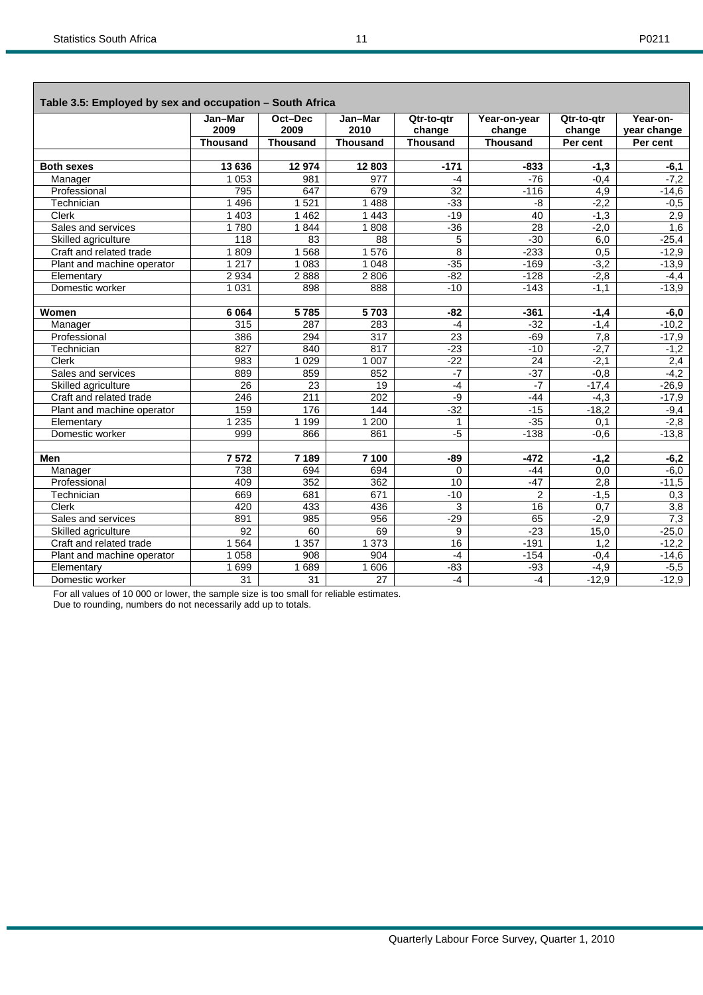|                            | Jan-Mar<br>2009 | Oct-Dec<br>2009 | Jan-Mar                 | Qtr-to-gtr      | Year-on-year              | Qtr-to-gtr       | Year-on-<br>year change |
|----------------------------|-----------------|-----------------|-------------------------|-----------------|---------------------------|------------------|-------------------------|
|                            | Thousand        | <b>Thousand</b> | 2010<br><b>Thousand</b> | change          | change<br><b>Thousand</b> | change           | Per cent                |
|                            |                 |                 |                         | <b>Thousand</b> |                           | Per cent         |                         |
| <b>Both sexes</b>          | 13 636          | 12974           | 12 803                  | $-171$          | $-833$                    | $-1,3$           | $-6,1$                  |
| Manager                    | 1 0 5 3         | 981             | $\overline{977}$        | $-4$            | $-76$                     | $-0.4$           | $-7,2$                  |
| Professional               | 795             | 647             | 679                     | $\overline{32}$ | $-116$                    | 4,9              | $-14,6$                 |
| Technician                 | 1 4 9 6         | 1 5 2 1         | 1 4 8 8                 | $-33$           | -8                        | $-2,2$           | $-0,5$                  |
| <b>Clerk</b>               | 1 4 0 3         | 1462            | 1 4 4 3                 | $-19$           | 40                        | $-1.3$           | 2,9                     |
| Sales and services         | 1780            | 1844            | 1808                    | $-36$           | $\overline{28}$           | $-2,0$           | 1,6                     |
| Skilled agriculture        | 118             | 83              | $\overline{88}$         | 5               | $-30$                     | 6,0              | $-25,4$                 |
| Craft and related trade    | 1809            | 1 5 6 8         | 1576                    | 8               | $-233$                    | 0,5              | $-12,9$                 |
| Plant and machine operator | 1217            | 1 0 8 3         | 1 0 4 8                 | $-35$           | $-169$                    | $-3,2$           | $-13,9$                 |
| Elementary                 | 2 9 3 4         | 2888            | 2806                    | $-82$           | $-128$                    | $-2,8$           | $-4,4$                  |
| Domestic worker            | 1 0 3 1         | 898             | 888                     | $-10$           | $-143$                    | $-1,1$           | $-13,9$                 |
|                            |                 |                 |                         |                 |                           |                  |                         |
| Women                      | 6 0 64          | 5785            | 5703                    | $-82$           | $-361$                    | $-1,4$           | $-6,0$                  |
| Manager                    | 315             | 287             | 283                     | $-4$            | $-32$                     | $-1,4$           | $-10,2$                 |
| Professional               | 386             | 294             | 317                     | $\overline{23}$ | $-69$                     | 7,8              | $-17,9$                 |
| Technician                 | 827             | 840             | 817                     | $-23$           | $-10$                     | $-2.7$           | $-1,2$                  |
| <b>Clerk</b>               | 983             | 1 0 2 9         | 1 0 0 7                 | $-22$           | 24                        | $-2,1$           | 2,4                     |
| Sales and services         | 889             | 859             | 852                     | $-7$            | $-37$                     | $-0,8$           | $-4,2$                  |
| Skilled agriculture        | 26              | 23              | 19                      | $-4$            | $-7$                      | $-17,4$          | $-26,9$                 |
| Craft and related trade    | 246             | 211             | $\overline{202}$        | -9              | $-44$                     | $-4,3$           | $-17,9$                 |
| Plant and machine operator | 159             | 176             | 144                     | $-32$           | $-15$                     | $-18,2$          | $-9,4$                  |
| Elementary                 | 1 2 3 5         | 1 1 9 9         | 1200                    | 1               | $-35$                     | 0,1              | $-2,8$                  |
| Domestic worker            | 999             | 866             | 861                     | $-5$            | $-138$                    | $-0.6$           | $-13,8$                 |
|                            |                 |                 |                         |                 |                           |                  |                         |
| <b>Men</b>                 | 7572            | 7 189           | 7 100                   | -89             | $-472$                    | $-1,2$           | $-6,2$                  |
| Manager                    | 738             | 694             | 694                     | $\Omega$        | $-44$                     | $\overline{0,0}$ | $-6,0$                  |
| Professional               | 409             | 352             | 362                     | 10              | $-47$                     | 2,8              | $-11,5$                 |
| Technician                 | 669             | 681             | 671                     | $-10$           | $\overline{c}$            | $-1,5$           | 0,3                     |
| Clerk                      | 420             | 433             | 436                     | 3               | 16                        | $\overline{0,7}$ | 3,8                     |
| Sales and services         | 891             | 985             | 956                     | $-29$           | 65                        | $-2,9$           | 7,3                     |
| Skilled agriculture        | 92              | 60              | 69                      | 9               | $-23$                     | 15,0             | $-25,0$                 |
| Craft and related trade    | 564             | 1 3 5 7         | 1 3 7 3                 | $\overline{16}$ | $-191$                    | 1,2              | $-12,2$                 |
| Plant and machine operator | 1 0 5 8         | 908             | 904                     | $-4$            | $-154$                    | $-0,4$           | $-14,6$                 |
| Elementary                 | 1699            | 1689            | 1 60 6                  | $-83$           | $-93$                     | $-4,9$           | $-5,5$                  |
| Domestic worker            | 31              | 31              | 27                      | $-4$            | $-4$                      | $-12,9$          | $-12,9$                 |

For all values of 10 000 or lower, the sample size is too small for reliable estimates. Due to rounding, numbers do not necessarily add up to totals.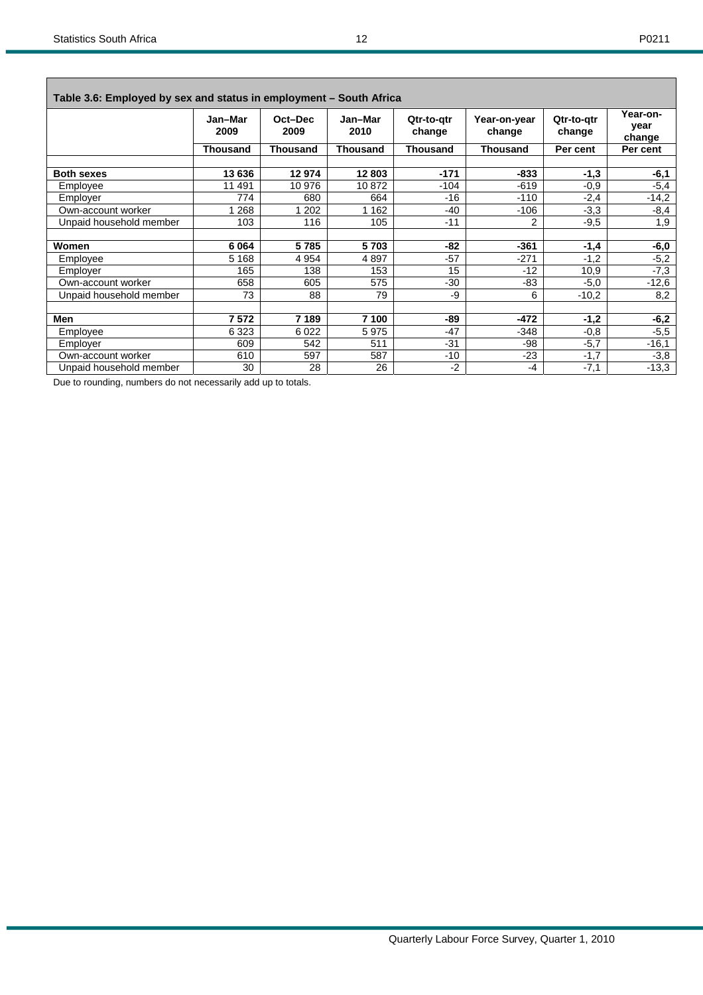| ۰, |  |  |  |
|----|--|--|--|
|----|--|--|--|

| Table 3.6: Employed by sex and status in employment - South Africa |                 |                 |                 |                      |                        |                      |                            |
|--------------------------------------------------------------------|-----------------|-----------------|-----------------|----------------------|------------------------|----------------------|----------------------------|
|                                                                    | Jan-Mar<br>2009 | Oct-Dec<br>2009 | Jan-Mar<br>2010 | Qtr-to-gtr<br>change | Year-on-year<br>change | Qtr-to-atr<br>change | Year-on-<br>year<br>change |
|                                                                    | <b>Thousand</b> | <b>Thousand</b> | <b>Thousand</b> | Thousand             | Thousand               | Per cent             | Per cent                   |
| <b>Both sexes</b>                                                  | 13 636          | 12974           | 12 803          | $-171$               | $-833$                 | $-1,3$               | $-6,1$                     |
| Employee                                                           | 11 491          | 10 976          | 10872           | $-104$               | $-619$                 | $-0,9$               | $-5,4$                     |
| Employer                                                           | 774             | 680             | 664             | $-16$                | $-110$                 | $-2,4$               | $-14,2$                    |
| Own-account worker                                                 | 268             | 202             | 162             | $-40$                | $-106$                 | $-3,3$               | $-8,4$                     |
| Unpaid household member                                            | 103             | 116             | 105             | $-11$                | 2                      | $-9,5$               | 1,9                        |
| Women                                                              | 6064            | 5785            | 5703            | -82                  | $-361$                 | $-1,4$               | -6,0                       |
| Employee                                                           | 5 1 6 8         | 4 9 5 4         | 4897            | $-57$                | $-271$                 | $-1,2$               | $-5,2$                     |
| Employer                                                           | 165             | 138             | 153             | 15                   | $-12$                  | 10,9                 | $-7,3$                     |
| Own-account worker                                                 | 658             | 605             | 575             | $-30$                | -83                    | $-5,0$               | $-12,6$                    |
| Unpaid household member                                            | 73              | 88              | 79              | -9                   | 6                      | $-10,2$              | 8,2                        |
| Men                                                                | 7572            | 7 189           | 7 100           | -89                  | -472                   | $-1,2$               | $-6,2$                     |
| Employee                                                           | 6 3 2 3         | 6 0 2 2         | 5975            | $-47$                | -348                   | $-0.8$               | $-5,5$                     |
| Employer                                                           | 609             | 542             | 511             | $-31$                | -98                    | $-5,7$               | $-16,1$                    |
| Own-account worker                                                 | 610             | 597             | 587             | $-10$                | $-23$                  | $-1,7$               | $-3,8$                     |
| Unpaid household member                                            | 30              | 28              | 26              | $-2$                 | -4                     | $-7,1$               | $-13,3$                    |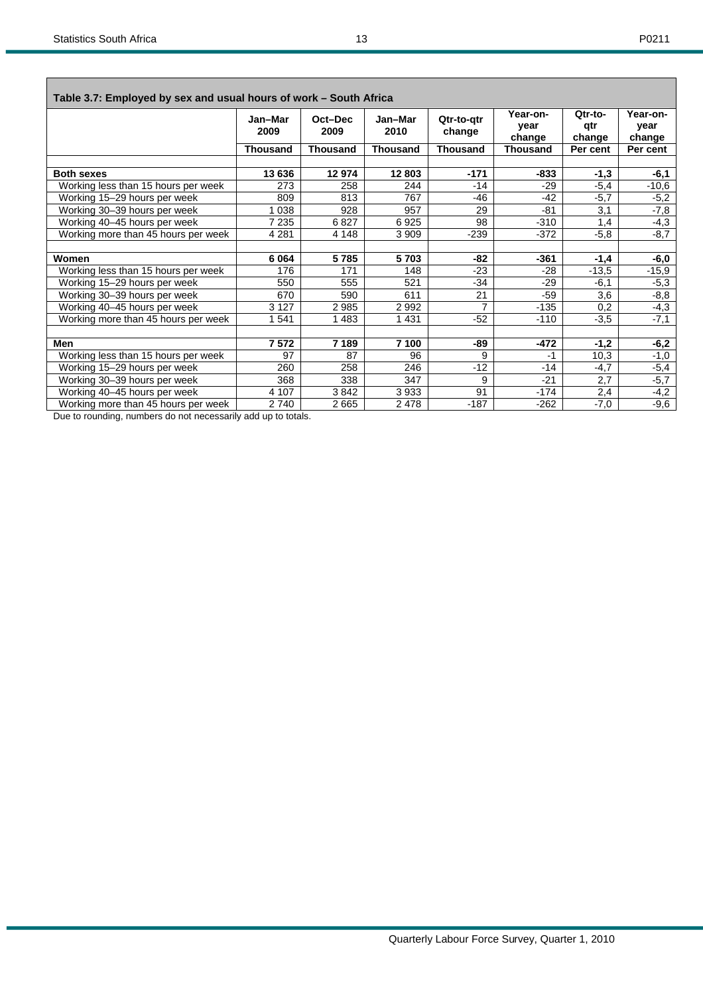| ۰, |  |
|----|--|
|----|--|

| Table 3.7: Employed by sex and usual hours of work – South Africa |                 |                 |                 |                      |                            |                          |                            |  |  |  |  |
|-------------------------------------------------------------------|-----------------|-----------------|-----------------|----------------------|----------------------------|--------------------------|----------------------------|--|--|--|--|
|                                                                   | Jan-Mar<br>2009 | Oct-Dec<br>2009 | Jan-Mar<br>2010 | Qtr-to-gtr<br>change | Year-on-<br>year<br>change | Qtr-to-<br>qtr<br>change | Year-on-<br>vear<br>change |  |  |  |  |
|                                                                   | <b>Thousand</b> | <b>Thousand</b> | <b>Thousand</b> | <b>Thousand</b>      | <b>Thousand</b>            | Per cent                 | Per cent                   |  |  |  |  |
|                                                                   |                 |                 |                 |                      |                            |                          |                            |  |  |  |  |
| <b>Both sexes</b>                                                 | 13 636          | 12 974          | 12803           | $-171$               | $-833$                     | $-1,3$                   | $-6,1$                     |  |  |  |  |
| Working less than 15 hours per week                               | 273             | 258             | 244             | $-14$                | -29                        | $-5,4$                   | $-10,6$                    |  |  |  |  |
| Working 15-29 hours per week                                      | 809             | 813             | 767             | $-46$                | $-42$                      | $-5,7$                   | $-5,2$                     |  |  |  |  |
| Working 30-39 hours per week                                      | 1 0 3 8         | 928             | 957             | 29                   | -81                        | 3,1                      | $-7,8$                     |  |  |  |  |
| Working 40-45 hours per week                                      | 7 2 3 5         | 6827            | 6925            | 98                   | $-310$                     | 1,4                      | $-4,3$                     |  |  |  |  |
| Working more than 45 hours per week                               | 4 2 8 1         | 4 1 4 8         | 3 9 0 9         | $-239$               | $-372$                     | $-5,8$                   | $-8,7$                     |  |  |  |  |
|                                                                   |                 |                 |                 |                      |                            |                          |                            |  |  |  |  |
| Women                                                             | 6 0 64          | 5785            | 5703            | -82                  | $-361$                     | $-1,4$                   | -6,0                       |  |  |  |  |
| Working less than 15 hours per week                               | 176             | 171             | 148             | -23                  | -28                        | $-13,5$                  | $-15,9$                    |  |  |  |  |
| Working 15-29 hours per week                                      | 550             | 555             | 521             | -34                  | $-29$                      | $-6,1$                   | $-5,3$                     |  |  |  |  |
| Working 30-39 hours per week                                      | 670             | 590             | 611             | 21                   | $-59$                      | 3,6                      | $-8,8$                     |  |  |  |  |
| Working 40-45 hours per week                                      | 3 1 2 7         | 2985            | 2992            | $\overline{7}$       | $-135$                     | 0,2                      | -4,3                       |  |  |  |  |
| Working more than 45 hours per week                               | 1541            | 1483            | 1431            | $-52$                | $-110$                     | $-3,5$                   | $-7,1$                     |  |  |  |  |
|                                                                   |                 |                 |                 |                      |                            |                          |                            |  |  |  |  |
| <b>Men</b>                                                        | 7 572           | 7 189           | 7 100           | -89                  | $-472$                     | $-1,2$                   | -6,2                       |  |  |  |  |
| Working less than 15 hours per week                               | 97              | 87              | 96              | 9                    | $-1$                       | 10,3                     | $-1,0$                     |  |  |  |  |
| Working 15-29 hours per week                                      | 260             | 258             | 246             | $-12$                | $-14$                      | $-4,7$                   | $-5,4$                     |  |  |  |  |
| Working 30-39 hours per week                                      | 368             | 338             | 347             | 9                    | $-21$                      | 2,7                      | $-5,7$                     |  |  |  |  |
| Working 40-45 hours per week                                      | 4 107           | 3842            | 3933            | 91                   | $-174$                     | 2,4                      | $-4,2$                     |  |  |  |  |
| Working more than 45 hours per week                               | 2740            | 2665            | 2478            | $-187$               | $-262$                     | $-7,0$                   | $-9,6$                     |  |  |  |  |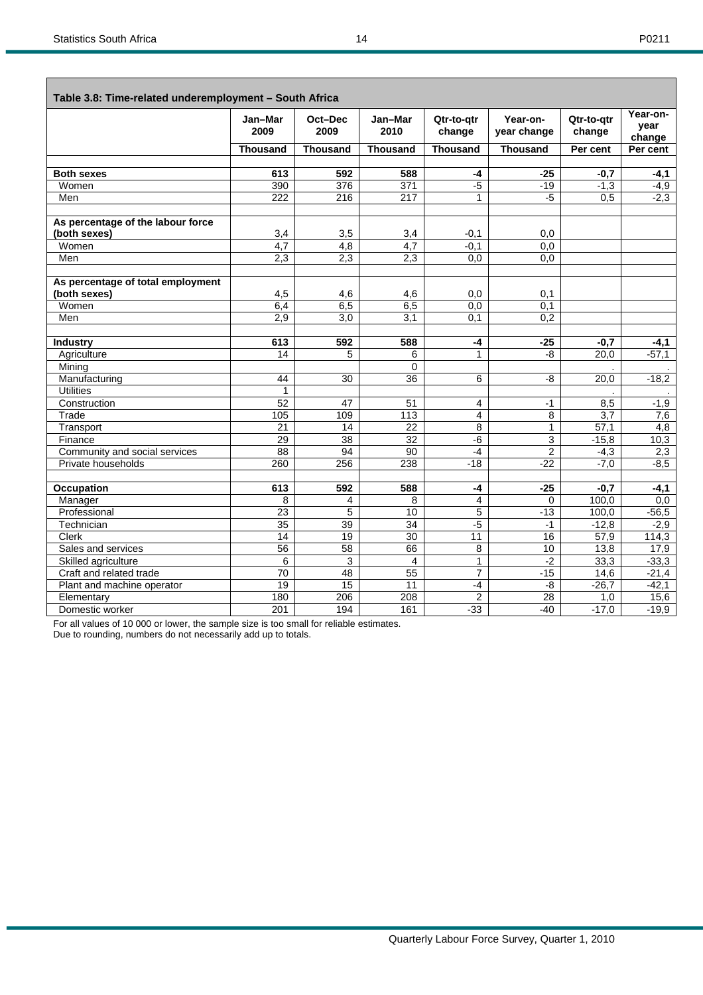Г

| ۰, |  |
|----|--|
|----|--|

٦

| Table 3.8: Time-related underemployment - South Africa |                  |                         |                 |                      |                         |                      |                            |  |  |  |  |
|--------------------------------------------------------|------------------|-------------------------|-----------------|----------------------|-------------------------|----------------------|----------------------------|--|--|--|--|
|                                                        | Jan-Mar<br>2009  | Oct-Dec<br>2009         | Jan-Mar<br>2010 | Qtr-to-gtr<br>change | Year-on-<br>year change | Qtr-to-qtr<br>change | Year-on-<br>year<br>change |  |  |  |  |
|                                                        | <b>Thousand</b>  | <b>Thousand</b>         | <b>Thousand</b> | <b>Thousand</b>      | <b>Thousand</b>         | Per cent             | Per cent                   |  |  |  |  |
|                                                        |                  |                         |                 |                      |                         |                      |                            |  |  |  |  |
| <b>Both sexes</b>                                      | 613              | 592                     | 588             | -4                   | -25                     | $-0,7$               | $-4,1$                     |  |  |  |  |
| Women                                                  | 390              | 376                     | 371             | $-5$                 | $-19$                   | $-1,3$               | $-4,9$                     |  |  |  |  |
| Men                                                    | 222              | 216                     | 217             | 1                    | $-5$                    | 0,5                  | $-2,3$                     |  |  |  |  |
|                                                        |                  |                         |                 |                      |                         |                      |                            |  |  |  |  |
| As percentage of the labour force                      |                  |                         |                 |                      |                         |                      |                            |  |  |  |  |
| (both sexes)                                           | 3,4              | 3,5                     | 3,4             | $-0,1$               | 0,0                     |                      |                            |  |  |  |  |
| Women                                                  | $\overline{4,7}$ | 4,8                     | 4,7             | $-0,1$               | 0,0                     |                      |                            |  |  |  |  |
| Men                                                    | 2,3              | 2,3                     | 2,3             | 0,0                  | 0,0                     |                      |                            |  |  |  |  |
|                                                        |                  |                         |                 |                      |                         |                      |                            |  |  |  |  |
| As percentage of total employment                      |                  |                         |                 |                      |                         |                      |                            |  |  |  |  |
| (both sexes)                                           | 4,5              | 4,6                     | 4,6             | 0,0                  | 0,1                     |                      |                            |  |  |  |  |
| Women                                                  | 6,4              | 6,5                     | 6,5             | 0,0                  | 0,1                     |                      |                            |  |  |  |  |
| Men                                                    | 2,9              | 3,0                     | 3,1             | 0.1                  | $\overline{0.2}$        |                      |                            |  |  |  |  |
|                                                        |                  |                         |                 |                      |                         |                      |                            |  |  |  |  |
| <b>Industry</b>                                        | 613              | 592                     | 588             | $-4$                 | $-25$                   | $-0,7$               | $-4,1$                     |  |  |  |  |
| Agriculture                                            | $\overline{14}$  | 5                       | 6               | $\overline{1}$       | -8                      | 20,0                 | $-57,1$                    |  |  |  |  |
| Mining                                                 |                  |                         | $\Omega$        |                      |                         |                      |                            |  |  |  |  |
| Manufacturing                                          | 44               | 30                      | 36              | 6                    | -8                      | $\overline{20,0}$    | $-18,2$                    |  |  |  |  |
| <b>Utilities</b>                                       | $\mathbf{1}$     |                         |                 |                      |                         |                      |                            |  |  |  |  |
| Construction                                           | 52               | 47                      | 51              | 4                    | $-1$                    | 8,5                  | $-1,9$                     |  |  |  |  |
| Trade                                                  | 105              | 109                     | 113             | 4                    | 8                       | 3,7                  | 7,6                        |  |  |  |  |
| Transport                                              | 21               | 14                      | 22              | 8                    | $\mathbf{1}$            | $\overline{57,1}$    | 4,8                        |  |  |  |  |
| Finance                                                | 29               | $\overline{38}$         | $\overline{32}$ | $-6$                 | 3                       | $-15,8$              | 10,3                       |  |  |  |  |
| Community and social services                          | 88               | 94                      | 90              | $-4$                 | $\overline{2}$          | $-4,3$               | 2,3                        |  |  |  |  |
| Private households                                     | 260              | 256                     | 238             | $-18$                | $-22$                   | $-7,0$               | $-8,5$                     |  |  |  |  |
|                                                        |                  |                         |                 |                      |                         |                      |                            |  |  |  |  |
| Occupation                                             | 613              | 592                     | 588             | $-4$                 | $-25$                   | $-0,7$               | $-4,1$                     |  |  |  |  |
| Manager                                                | 8                | $\overline{\mathbf{4}}$ | 8               | $\overline{4}$       | $\Omega$                | 100,0                | 0.0                        |  |  |  |  |
| Professional                                           | $\overline{23}$  | 5                       | 10              | 5                    | $-13$                   | 100,0                | $-56,5$                    |  |  |  |  |
| Technician                                             | 35               | 39                      | 34              | $-5$                 | $-1$                    | $-12,8$              | $-2,9$                     |  |  |  |  |
| Clerk                                                  | 14               | 19                      | $\overline{30}$ | $\overline{11}$      | 16                      | 57,9                 | 114,3                      |  |  |  |  |
| Sales and services                                     | $\overline{56}$  | 58                      | 66              | 8                    | 10                      | 13,8                 | 17,9                       |  |  |  |  |
| Skilled agriculture                                    | 6                | 3                       | 4               | 1                    | $-2$                    | 33,3                 | $-33,3$                    |  |  |  |  |
| Craft and related trade                                | 70               | 48                      | 55              | $\overline{7}$       | $-15$                   | 14,6                 | $-21,4$                    |  |  |  |  |
| Plant and machine operator                             | $\overline{19}$  | 15                      | 11              | $-4$                 | $-8$                    | $-26,7$              | $-42,1$                    |  |  |  |  |
| Elementary                                             | 180              | 206                     | 208             | 2                    | 28                      | 1,0                  | 15,6                       |  |  |  |  |
| Domestic worker                                        | 201              | 194                     | 161             | $-33$                | $-40$                   | $-17,0$              | $-19,9$                    |  |  |  |  |

For all values of 10 000 or lower, the sample size is too small for reliable estimates.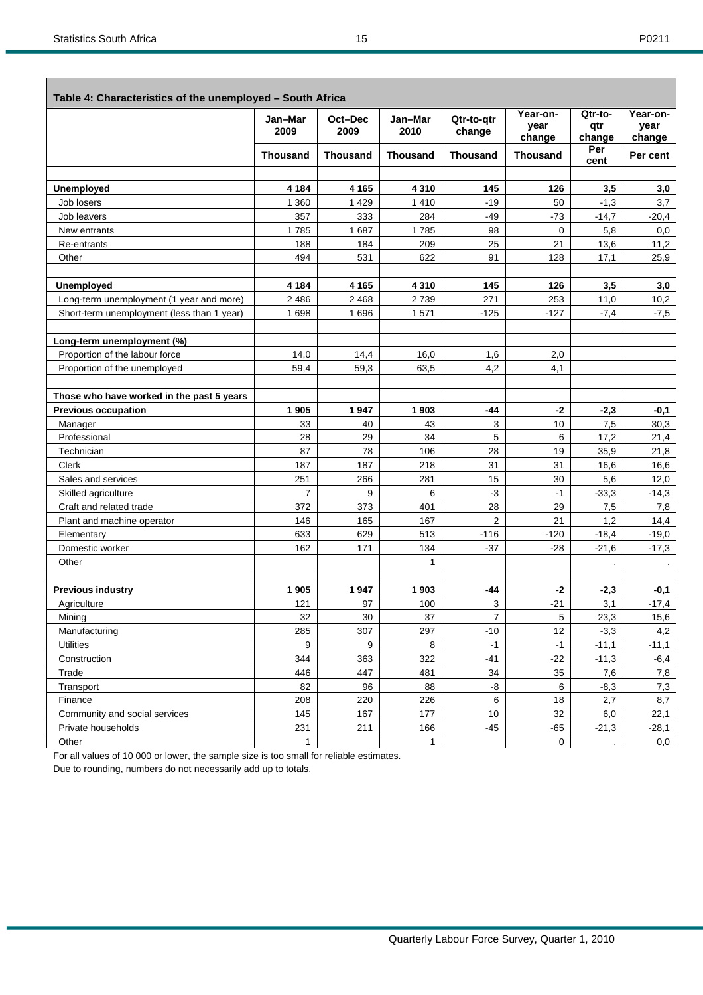| ۰, |  |
|----|--|
|----|--|

| Table 4: Characteristics of the unemployed - South Africa |                 |                 |                 |                      |                            |                          |                            |
|-----------------------------------------------------------|-----------------|-----------------|-----------------|----------------------|----------------------------|--------------------------|----------------------------|
|                                                           | Jan-Mar<br>2009 | Oct-Dec<br>2009 | Jan-Mar<br>2010 | Qtr-to-qtr<br>change | Year-on-<br>year<br>change | Qtr-to-<br>qtr<br>change | Year-on-<br>year<br>change |
|                                                           | <b>Thousand</b> | <b>Thousand</b> | <b>Thousand</b> | <b>Thousand</b>      | <b>Thousand</b>            | Per<br>cent              | Per cent                   |
|                                                           |                 |                 |                 |                      |                            |                          |                            |
| <b>Unemployed</b>                                         | 4 1 8 4         | 4 1 6 5         | 4 3 1 0         | 145                  | 126                        | 3,5                      | 3,0                        |
| Job losers                                                | 1 3 6 0         | 1 4 2 9         | 1 4 1 0         | $-19$                | 50                         | $-1,3$                   | 3,7                        |
| Job leavers                                               | 357             | 333             | 284             | $-49$                | $-73$                      | $-14,7$                  | $-20,4$                    |
| New entrants                                              | 1785            | 1687            | 1785            | 98                   | 0                          | 5,8                      | 0,0                        |
| Re-entrants                                               | 188             | 184             | 209             | 25                   | 21                         | 13,6                     | 11,2                       |
| Other                                                     | 494             | 531             | 622             | 91                   | 128                        | 17,1                     | 25,9                       |
| <b>Unemployed</b>                                         | 4 1 8 4         | 4 1 6 5         | 4 3 1 0         | 145                  | 126                        | 3,5                      | 3,0                        |
| Long-term unemployment (1 year and more)                  | 2 4 8 6         | 2 4 6 8         | 2739            | 271                  | 253                        | 11,0                     | 10,2                       |
| Short-term unemployment (less than 1 year)                | 1698            | 1696            | 1571            | $-125$               | $-127$                     | $-7,4$                   | $-7,5$                     |
| Long-term unemployment (%)                                |                 |                 |                 |                      |                            |                          |                            |
| Proportion of the labour force                            | 14,0            | 14,4            | 16,0            | 1,6                  | 2,0                        |                          |                            |
| Proportion of the unemployed                              | 59,4            | 59,3            | 63,5            | 4,2                  | 4,1                        |                          |                            |
|                                                           |                 |                 |                 |                      |                            |                          |                            |
| Those who have worked in the past 5 years                 |                 |                 |                 |                      |                            |                          |                            |
| <b>Previous occupation</b>                                | 1905            | 1947            | 1903            | -44                  | $-2$                       | $-2,3$                   | -0,1                       |
| Manager                                                   | 33              | 40              | 43              | 3                    | 10                         | 7,5                      | 30,3                       |
| Professional                                              | 28              | 29              | 34              | 5                    | 6                          | 17,2                     | 21,4                       |
| Technician                                                | 87              | 78              | 106             | 28                   | 19                         | 35,9                     | 21,8                       |
| Clerk                                                     | 187             | 187             | 218             | 31                   | 31                         | 16,6                     | 16,6                       |
| Sales and services                                        | 251             | 266             | 281             | 15                   | 30                         | 5,6                      | 12,0                       |
| Skilled agriculture                                       | $\overline{7}$  | 9               | 6               | $-3$                 | $-1$                       | $-33,3$                  | $-14,3$                    |
| Craft and related trade                                   | 372             | 373             | 401             | 28                   | 29                         | 7,5                      | 7,8                        |
| Plant and machine operator                                | 146             | 165             | 167             | $\overline{2}$       | 21                         | 1,2                      | 14,4                       |
| Elementary                                                | 633             | 629             | 513             | $-116$               | $-120$                     | $-18,4$                  | $-19,0$                    |
| Domestic worker                                           | 162             | 171             | 134             | $-37$                | $-28$                      | $-21,6$                  | $-17,3$                    |
| Other                                                     |                 |                 | $\mathbf{1}$    |                      |                            |                          |                            |
| <b>Previous industry</b>                                  | 1905            | 1947            | 1903            | -44                  | $-2$                       | $-2,3$                   | -0,1                       |
| Agriculture                                               | 121             | 97              | 100             | 3                    | $-21$                      | 3,1                      | $-17,4$                    |
| Mining                                                    | 32              | 30              | 37              | 7                    | 5                          | 23,3                     | 15,6                       |
| Manufacturing                                             | 285             | 307             | 297             | $-10$                | 12                         | $-3,3$                   | 4,2                        |
| <b>Utilities</b>                                          | 9               | 9               | 8               | $-1$                 | $-1$                       | $-11,1$                  | $-11,1$                    |
| Construction                                              | 344             | 363             | 322             | $-41$                | $-22$                      | $-11,3$                  | $-6,4$                     |
| Trade                                                     | 446             | 447             | 481             | 34                   | 35                         | 7,6                      | 7,8                        |
| Transport                                                 | 82              | 96              | 88              | -8                   | 6                          | $-8,3$                   | 7,3                        |
| Finance                                                   | 208             | 220             | 226             | 6                    | 18                         | 2,7                      | 8,7                        |
| Community and social services                             | 145             | 167             | 177             | 10                   | 32                         | 6,0                      | 22,1                       |
| Private households                                        | 231             | 211             | 166             | $-45$                | $-65$                      | $-21,3$                  | $-28,1$                    |
| Other                                                     | 1               |                 | $\mathbf{1}$    |                      | 0                          |                          | 0,0                        |

For all values of 10 000 or lower, the sample size is too small for reliable estimates.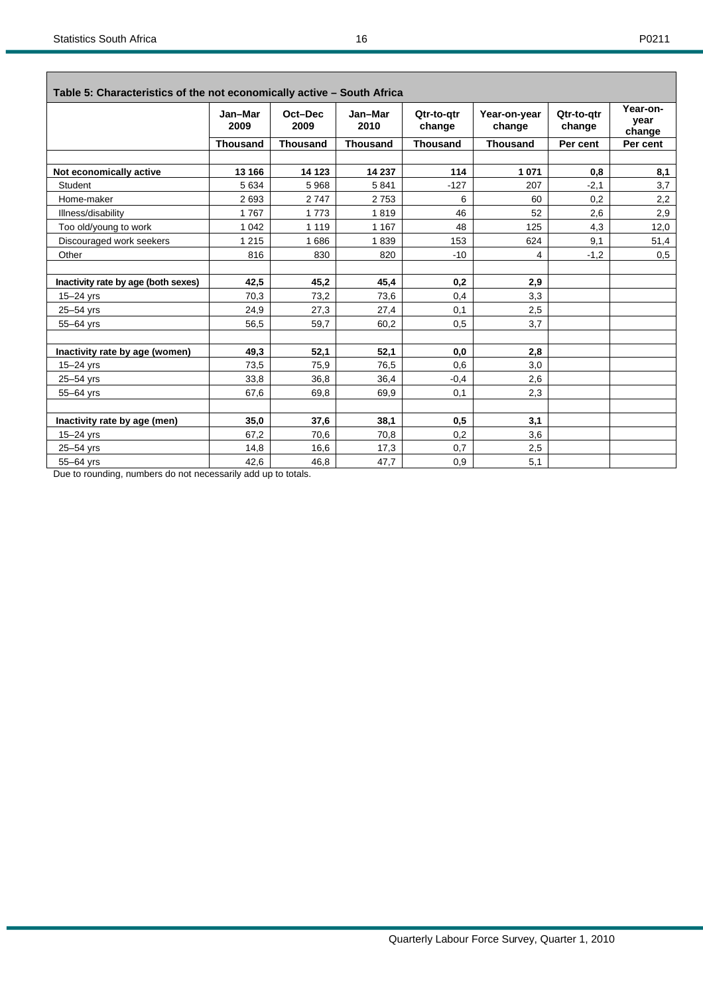| ۰, |
|----|
|----|

| Table 5: Characteristics of the not economically active - South Africa |                 |                 |                 |                      |                        |                      |                            |  |  |  |  |
|------------------------------------------------------------------------|-----------------|-----------------|-----------------|----------------------|------------------------|----------------------|----------------------------|--|--|--|--|
|                                                                        | Jan-Mar<br>2009 | Oct-Dec<br>2009 | Jan-Mar<br>2010 | Qtr-to-atr<br>change | Year-on-year<br>change | Qtr-to-atr<br>change | Year-on-<br>year<br>change |  |  |  |  |
|                                                                        | <b>Thousand</b> | <b>Thousand</b> | <b>Thousand</b> | <b>Thousand</b>      | <b>Thousand</b>        | Per cent             | Per cent                   |  |  |  |  |
|                                                                        | 13 166          | 14 123          | 14 237          | 114                  | 1 0 7 1                |                      |                            |  |  |  |  |
| Not economically active                                                |                 |                 |                 |                      |                        | 0,8                  | 8,1                        |  |  |  |  |
| Student                                                                | 5 6 3 4         | 5968            | 5841            | $-127$               | 207                    | $-2,1$               | 3,7                        |  |  |  |  |
| Home-maker                                                             | 2693            | 2747            | 2753            | 6                    | 60                     | 0,2                  | 2,2                        |  |  |  |  |
| Illness/disability                                                     | 1767            | 1773            | 1819            | 46                   | 52                     | 2,6                  | 2,9                        |  |  |  |  |
| Too old/young to work                                                  | 1 0 4 2         | 1 1 1 9         | 1 1 6 7         | 48                   | 125                    | 4,3                  | 12,0                       |  |  |  |  |
| Discouraged work seekers                                               | 1 2 1 5         | 1686            | 1839            | 153                  | 624                    | 9,1                  | 51,4                       |  |  |  |  |
| Other                                                                  | 816             | 830             | 820             | $-10$                | 4                      | $-1,2$               | 0,5                        |  |  |  |  |
| Inactivity rate by age (both sexes)                                    | 42,5            | 45,2            | 45,4            | 0,2                  | 2,9                    |                      |                            |  |  |  |  |
| $15 - 24$ yrs                                                          | 70,3            | 73,2            | 73,6            | 0,4                  | 3,3                    |                      |                            |  |  |  |  |
| 25-54 yrs                                                              | 24,9            | 27,3            | 27,4            | 0,1                  | 2,5                    |                      |                            |  |  |  |  |
| 55-64 yrs                                                              | 56,5            | 59,7            | 60,2            | 0,5                  | 3,7                    |                      |                            |  |  |  |  |
|                                                                        |                 |                 |                 |                      |                        |                      |                            |  |  |  |  |
| Inactivity rate by age (women)                                         | 49,3            | 52,1            | 52,1            | 0,0                  | 2,8                    |                      |                            |  |  |  |  |
| $15 - 24$ yrs                                                          | 73,5            | 75,9            | 76,5            | 0.6                  | 3,0                    |                      |                            |  |  |  |  |
| 25-54 yrs                                                              | 33,8            | 36.8            | 36,4            | $-0,4$               | 2,6                    |                      |                            |  |  |  |  |
| 55-64 yrs                                                              | 67,6            | 69,8            | 69,9            | 0,1                  | 2,3                    |                      |                            |  |  |  |  |
| Inactivity rate by age (men)                                           | 35,0            | 37,6            | 38,1            | 0,5                  | 3,1                    |                      |                            |  |  |  |  |
| $15 - 24$ yrs                                                          | 67,2            | 70,6            | 70,8            | 0,2                  | 3,6                    |                      |                            |  |  |  |  |
| 25-54 yrs                                                              | 14,8            | 16,6            | 17,3            | 0,7                  | 2,5                    |                      |                            |  |  |  |  |
| 55-64 yrs                                                              | 42.6            | 46,8            | 47.7            | 0.9                  | 5,1                    |                      |                            |  |  |  |  |
| Due to rounding, numbers do not necessarily add up to totals.          |                 |                 |                 |                      |                        |                      |                            |  |  |  |  |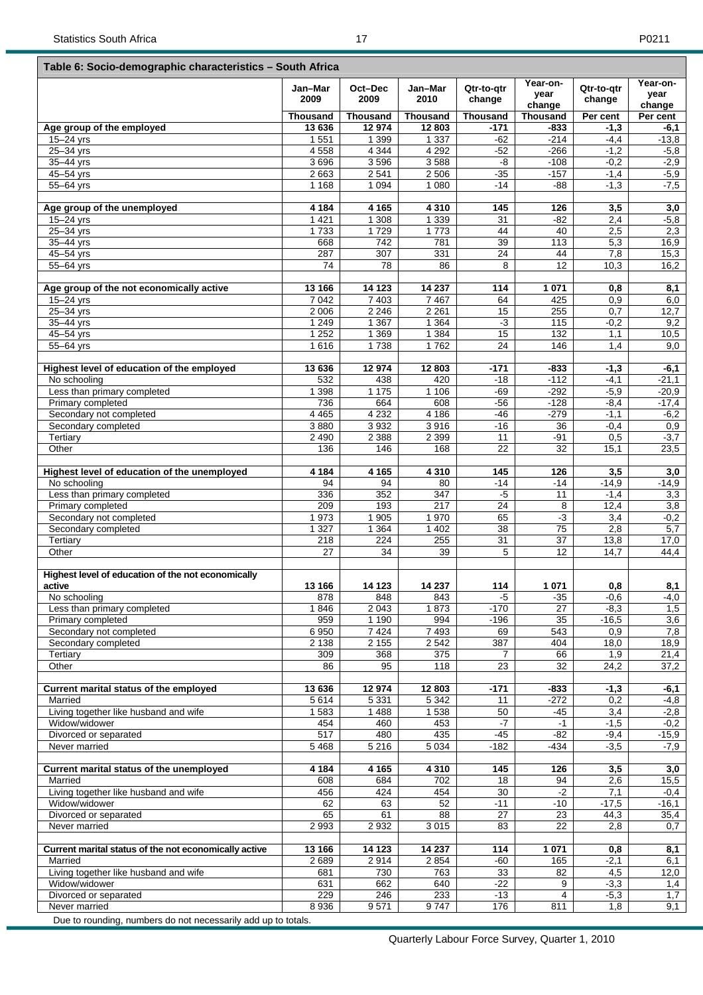|                                                            | Jan-Mar<br>2009    | Oct-Dec<br>2009   | Jan-Mar<br>2010   | Qtr-to-gtr<br>change | Year-on-<br>year<br>change | Qtr-to-qtr<br>change | Year-on-<br>year<br>change |
|------------------------------------------------------------|--------------------|-------------------|-------------------|----------------------|----------------------------|----------------------|----------------------------|
|                                                            | <b>Thousand</b>    | Thousand          | <b>Thousand</b>   | <b>Thousand</b>      | <b>Thousand</b>            | Per cent             | Per cent                   |
| Age group of the employed                                  | 13 636             | 12 974            | 12803             | -171                 | -833                       | $-1,3$               | -6,1                       |
| $15 - 24$ yrs                                              | 1 5 5 1            | 1 3 9 9           | 1 3 3 7           | $-62$                | $-214$                     | $-4,4$               | $-13,8$                    |
| 25-34 yrs                                                  | 4558               | 4 3 4 4           | 4 2 9 2           | $-52$                | $-266$                     | $-1,2$               | $-5,8$                     |
| 35-44 yrs                                                  | 3696               | 3596              | 3588              | -8                   | $-108$                     | $-0,2$               | $-2,9$                     |
| 45-54 yrs                                                  | 2 6 6 3            | 2 5 4 1           | 2 5 0 6           | $-35$                | $-157$                     | $-1,4$               | $-5,9$                     |
| 55-64 yrs                                                  | 1 1 6 8            | 1 0 9 4           | 1 0 8 0           | -14                  | $-88$                      | $-1,3$               | $-7,5$                     |
| Age group of the unemployed                                | 4 1 8 4            | 4 1 6 5           | 4 3 1 0           | 145                  | 126                        | 3,5                  | 3,0                        |
| 15-24 yrs                                                  | 1 4 2 1            | 1 3 0 8           | 1 3 3 9           | 31                   | $-82$                      | 2,4                  | $-5,8$                     |
| 25-34 yrs                                                  | 1733               | 1729<br>742       | 1773              | 44<br>39             | 40<br>113                  | 2,5                  | 2,3                        |
| 35-44 yrs<br>45-54 yrs                                     | 668<br>287         | 307               | 781<br>331        | 24                   | 44                         | 5,3<br>7,8           | 16,9<br>15,3               |
| 55-64 yrs                                                  | 74                 | 78                | 86                | 8                    | 12                         | 10,3                 | 16,2                       |
|                                                            |                    |                   |                   |                      |                            |                      |                            |
| Age group of the not economically active                   | 13 166             | 14 123<br>7 4 0 3 | 14 237<br>7 4 6 7 | 114                  | 1 0 7 1<br>425             | 0,8                  | 8,1                        |
| $15 - 24$ yrs<br>25-34 yrs                                 | 7 0 4 2<br>2 0 0 6 | 2 2 4 6           | 2 2 6 1           | 64<br>15             | 255                        | 0,9<br>0,7           | 6,0<br>12,7                |
| 35-44 yrs                                                  | 1 2 4 9            | 1 3 6 7           | 1 3 6 4           | $\overline{\cdot}$   | 115                        | $-0,2$               | 9,2                        |
| 45-54 yrs                                                  | 1 2 5 2            | 1 3 6 9           | 1 3 8 4           | 15                   | 132                        | 1,1                  | 10,5                       |
| 55-64 yrs                                                  | 1616               | 1738              | 1762              | 24                   | 146                        | 1,4                  | 9,0                        |
|                                                            |                    |                   |                   |                      |                            |                      |                            |
| Highest level of education of the employed<br>No schooling | 13 636<br>532      | 12974<br>438      | 12 803<br>420     | $-171$<br>$-18$      | -833<br>$-112$             | $-1,3$<br>$-4,1$     | $-6,1$<br>$-21,1$          |
| Less than primary completed                                | 1 3 9 8            | 1 1 7 5           | 1 1 0 6           | $-69$                | $-292$                     | $-5,9$               | $-20,9$                    |
| Primary completed                                          | 736                | 664               | 608               | $-56$                | $-128$                     | $-8,4$               | $-17,4$                    |
| Secondary not completed                                    | 4 4 6 5            | 4 2 3 2           | 4 1 8 6           | $-46$                | $-279$                     | $-1,1$               | $-6,2$                     |
| Secondary completed                                        | 3880               | 3932              | 3916              | $-16$                | 36                         | $-0,4$               | 0,9                        |
| Tertiary                                                   | 2 4 9 0            | 2 3 8 8           | 2 3 9 9           | 11                   | $-91$                      | 0,5                  | $-3,7$                     |
| Other                                                      | 136                | 146               | 168               | 22                   | 32                         | 15,1                 | 23,5                       |
| Highest level of education of the unemployed               | 4 1 8 4            | 4 1 6 5           | 4 3 1 0           | 145                  | 126                        | 3,5                  | 3,0                        |
| No schooling                                               | 94                 | 94                | 80                | $-14$                | -14                        | $-14,9$              | $-14,9$                    |
| Less than primary completed                                | 336                | 352               | 347               | $-5$                 | 11                         | $-1,4$               | 3,3                        |
| Primary completed                                          | 209                | 193               | 217               | 24                   | 8                          | 12,4                 | 3,8                        |
| Secondary not completed                                    | 1973               | 1 905             | 1970              | 65                   | $-3$                       | 3,4                  | $-0,2$                     |
| Secondary completed                                        | 1 3 2 7            | 1 3 6 4           | 1 4 0 2           | 38                   | 75                         | 2,8                  | $\overline{5,7}$           |
| Tertiary                                                   | 218                | 224               | 255               | 31                   | 37                         | 13,8                 | 17,0                       |
| Other                                                      | 27                 | 34                | 39                | 5                    | 12                         | 14,7                 | 44,4                       |
| Highest level of education of the not economically         |                    |                   |                   |                      |                            |                      |                            |
| active<br>No schooling                                     | 13 166<br>878      | 14 123<br>848     | 14 237<br>843     | 114<br>-5            | 1 0 7 1<br>$-35$           | 0,8<br>$-0,6$        | 8,1<br>-4,0                |
| Less than primary completed                                | 1846               | 2 0 4 3           | 1873              | $-170$               | 27                         | $-8,3$               | 1,5                        |
| Primary completed                                          | 959                | 1 1 9 0           | 994               | $-196$               | 35                         | $-16,5$              | 3,6                        |
| Secondary not completed                                    | 6950               | 7424              | 7493              | 69                   | 543                        | 0,9                  | 7,8                        |
| Secondary completed                                        | 2 1 3 8            | 2155              | 2 5 4 2           | 387                  | 404                        | 18,0                 | 18,9                       |
| Tertiary                                                   | 309                | 368               | 375               | 7                    | 66                         | 1,9                  | 21,4                       |
| Other                                                      | 86                 | 95                | 118               | 23                   | 32                         | 24,2                 | 37,2                       |
| Current marital status of the employed                     | 13 636             | 12974             | 12 803            | -171                 | -833                       | $-1,3$               | -6,1                       |
| Married                                                    | 5614               | 5 3 3 1           | 5 3 4 2           | 11                   | $-272$                     | 0,2                  | -4,8                       |
| Living together like husband and wife                      | 1583               | 1 4 8 8           | 1538              | 50                   | -45                        | 3,4                  | $-2,8$                     |
| Widow/widower                                              | 454                | 460               | 453               | $-7$                 | $-1$                       | $-1,5$               | $-0,2$                     |
| Divorced or separated                                      | 517                | 480               | 435               | $-45$                | $-82$                      | $-9,4$               | $-15,9$                    |
| Never married                                              | 5468               | 5 2 1 6           | 5 0 34            | $-182$               | $-434$                     | $-3,5$               | $-7,9$                     |
| Current marital status of the unemployed                   | 4 1 8 4            | 4 1 6 5           | 4 3 1 0           | 145                  | 126                        | 3,5                  | 3,0                        |
| Married                                                    | 608                | 684               | 702               | 18                   | 94                         | 2,6                  | 15,5                       |
| Living together like husband and wife                      | 456                | 424               | 454               | 30                   | $-2$                       | 7,1                  | $-0,4$                     |
| Widow/widower                                              | 62                 | 63                | 52                | $-11$                | $-10$                      | $-17,5$              | $-16,1$                    |
| Divorced or separated<br>Never married                     | 65<br>2 9 9 3      | 61<br>2932        | 88<br>3 0 1 5     | 27<br>83             | 23<br>22                   | 44,3<br>2,8          | 35,4<br>0,7                |
|                                                            |                    |                   |                   |                      |                            |                      |                            |
|                                                            |                    |                   |                   |                      |                            |                      |                            |
| Current marital status of the not economically active      | 13 166             | 14 123            | 14 237            | 114                  | 1 0 7 1                    | 0,8                  | 8,1                        |
| Married                                                    | 2689               | 2914              | 2854              | $-60$                | 165                        | $-2,1$               | 6,1                        |
| Living together like husband and wife                      | 681                | 730               | 763               | 33                   | 82                         | 4,5                  | 12,0                       |
| Widow/widower<br>Divorced or separated                     | 631<br>229         | 662<br>246        | 640<br>233        | $-22$<br>$-13$       | 9<br>4                     | $-3,3$<br>$-5,3$     | 1,4<br>1,7                 |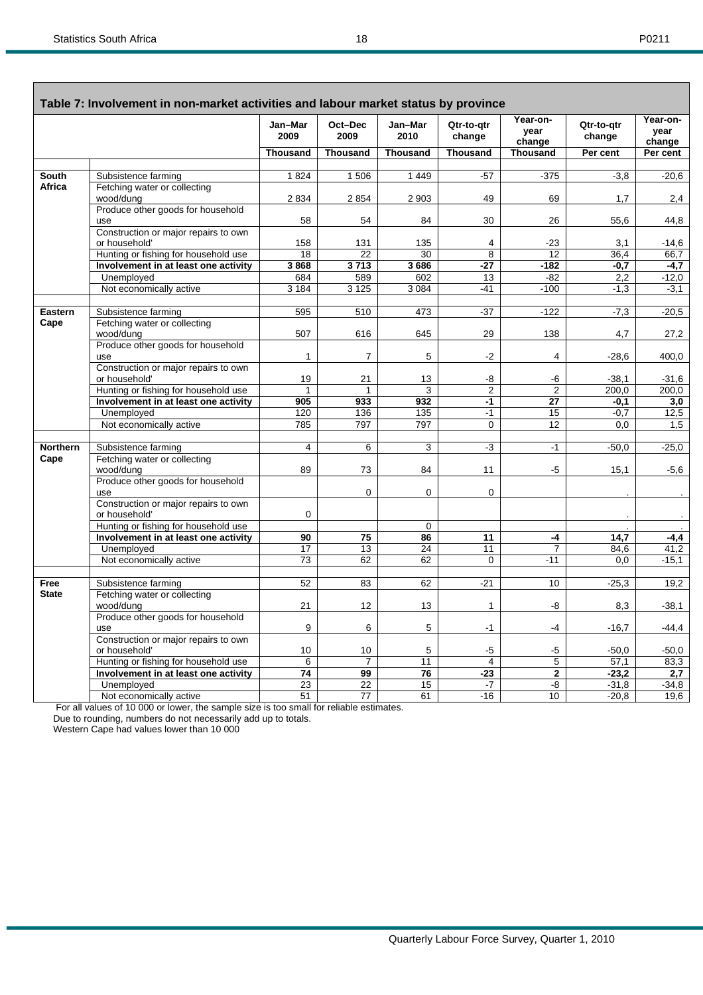| ۰, |  |
|----|--|
|----|--|

| Table 7: Involvement in non-market activities and labour market status by province |                                                |                 |                 |                 |                      |                            |                      |                            |  |  |
|------------------------------------------------------------------------------------|------------------------------------------------|-----------------|-----------------|-----------------|----------------------|----------------------------|----------------------|----------------------------|--|--|
|                                                                                    |                                                | Jan-Mar<br>2009 | Oct-Dec<br>2009 | Jan-Mar<br>2010 | Qtr-to-atr<br>change | Year-on-<br>year<br>change | Qtr-to-gtr<br>change | Year-on-<br>year<br>change |  |  |
|                                                                                    |                                                | <b>Thousand</b> | <b>Thousand</b> | <b>Thousand</b> | <b>Thousand</b>      | <b>Thousand</b>            | Per cent             | Per cent                   |  |  |
|                                                                                    |                                                |                 |                 |                 |                      |                            |                      |                            |  |  |
| <b>South</b>                                                                       | Subsistence farming                            | 1824            | 1506            | 1 4 4 9         | $-57$                | $-375$                     | $-3.8$               | $-20,6$                    |  |  |
| Africa                                                                             | Fetching water or collecting                   |                 |                 |                 | 49                   | 69                         |                      |                            |  |  |
|                                                                                    | wood/dung<br>Produce other goods for household | 2 8 3 4         | 2854            | 2 9 0 3         |                      |                            | 1,7                  | 2,4                        |  |  |
|                                                                                    | use                                            | 58              | 54              | 84              | 30                   | 26                         | 55,6                 | 44,8                       |  |  |
|                                                                                    | Construction or major repairs to own           |                 |                 |                 |                      |                            |                      |                            |  |  |
|                                                                                    | or household'                                  | 158             | 131             | 135             | 4                    | $-23$                      | 3,1                  | -14,6                      |  |  |
|                                                                                    | Hunting or fishing for household use           | 18              | 22              | 30              | $\overline{8}$       | 12                         | 36.4                 | 66.7                       |  |  |
|                                                                                    | Involvement in at least one activity           | 3868            | 3713            | 3686            | $-27$                | -182                       | $-0,7$               | $-4,7$                     |  |  |
|                                                                                    | Unemployed                                     | 684             | 589             | 602             | 13                   | $-82$                      | 2,2                  | $-12,0$                    |  |  |
|                                                                                    | Not economically active                        | 3 1 8 4         | 3 1 2 5         | 3 0 8 4         | $-41$                | $-100$                     | $-1,3$               | $-3,1$                     |  |  |
|                                                                                    |                                                |                 |                 |                 |                      |                            |                      |                            |  |  |
| Eastern                                                                            | Subsistence farming                            | 595             | 510             | 473             | $-37$                | $-122$                     | $-7,3$               | $-20,5$                    |  |  |
| Cape                                                                               | Fetching water or collecting                   |                 |                 |                 |                      |                            |                      |                            |  |  |
|                                                                                    | wood/dung<br>Produce other goods for household | 507             | 616             | 645             | 29                   | 138                        | 4,7                  | 27,2                       |  |  |
|                                                                                    | use                                            | $\mathbf{1}$    | $\overline{7}$  | 5               | $-2$                 | 4                          | $-28.6$              | 400.0                      |  |  |
|                                                                                    | Construction or major repairs to own           |                 |                 |                 |                      |                            |                      |                            |  |  |
|                                                                                    | or household'                                  | 19              | 21              | 13              | -8                   | -6                         | $-38,1$              | $-31.6$                    |  |  |
|                                                                                    | Hunting or fishing for household use           | $\mathbf{1}$    | $\mathbf{1}$    | 3               | $\overline{2}$       | 2                          | 200,0                | 200,0                      |  |  |
|                                                                                    | Involvement in at least one activity           | 905             | 933             | 932             | $-1$                 | $\overline{27}$            | $-0,1$               | 3,0                        |  |  |
|                                                                                    | Unemployed                                     | 120             | 136             | 135             | $-1$                 | 15                         | $-0,7$               | 12,5                       |  |  |
|                                                                                    | Not economically active                        | 785             | 797             | 797             | $\overline{0}$       | $\overline{12}$            | 0,0                  | 1,5                        |  |  |
|                                                                                    |                                                |                 |                 |                 |                      |                            |                      |                            |  |  |
| <b>Northern</b>                                                                    | Subsistence farming                            | $\overline{4}$  | 6               | 3               | -3                   | $-1$                       | $-50,0$              | $-25,0$                    |  |  |
| Cape                                                                               | Fetching water or collecting                   |                 |                 |                 |                      |                            |                      |                            |  |  |
|                                                                                    | wood/dung                                      | 89              | 73              | 84              | 11                   | -5                         | 15,1                 | $-5,6$                     |  |  |
|                                                                                    | Produce other goods for household              |                 | 0               | $\mathbf 0$     | 0                    |                            |                      |                            |  |  |
|                                                                                    | use<br>Construction or major repairs to own    |                 |                 |                 |                      |                            |                      |                            |  |  |
|                                                                                    | or household'                                  | 0               |                 |                 |                      |                            |                      |                            |  |  |
|                                                                                    | Hunting or fishing for household use           |                 |                 | $\overline{0}$  |                      |                            |                      |                            |  |  |
|                                                                                    | Involvement in at least one activity           | 90              | 75              | 86              | 11                   | -4                         | 14,7                 | $-4,4$                     |  |  |
|                                                                                    | Unemployed                                     | 17              | 13              | 24              | 11                   | $\overline{7}$             | 84,6                 | 41,2                       |  |  |
|                                                                                    | Not economically active                        | 73              | 62              | 62              | 0                    | $-11$                      | 0,0                  | $-15,1$                    |  |  |
|                                                                                    |                                                |                 |                 |                 |                      |                            |                      |                            |  |  |
| Free                                                                               | Subsistence farming                            | 52              | 83              | 62              | $-21$                | 10                         | $-25,3$              | 19,2                       |  |  |
| <b>State</b>                                                                       | Fetching water or collecting                   |                 |                 |                 |                      |                            |                      |                            |  |  |
|                                                                                    | wood/dung                                      | 21              | 12              | 13              | $\mathbf{1}$         | -8                         | 8,3                  | $-38.1$                    |  |  |
|                                                                                    | Produce other goods for household              | 9               | 6               | 5               |                      |                            |                      |                            |  |  |
|                                                                                    | use<br>Construction or major repairs to own    |                 |                 |                 | $-1$                 | -4                         | $-16,7$              | -44,4                      |  |  |
|                                                                                    | or household'                                  | 10              | 10              | 5               | $-5$                 | $-5$                       | $-50,0$              | -50,0                      |  |  |
|                                                                                    | Hunting or fishing for household use           | 6               | $\overline{7}$  | 11              | 4                    | 5                          | 57,1                 | 83,3                       |  |  |
|                                                                                    | Involvement in at least one activity           | 74              | 99              | 76              | $-23$                | $\mathbf{2}$               | $-23,2$              | 2,7                        |  |  |
|                                                                                    | Unemployed                                     | $\overline{23}$ | $\overline{22}$ | 15              | $-7$                 | -8                         | $-31,8$              | $-34,8$                    |  |  |
|                                                                                    | Not economically active                        | $\overline{51}$ | 77              | 61              | $-16$                | 10                         | $-20,8$              | 19,6                       |  |  |

For all values of 10 000 or lower, the sample size is too small for reliable estimates.

Due to rounding, numbers do not necessarily add up to totals.

Western Cape had values lower than 10 000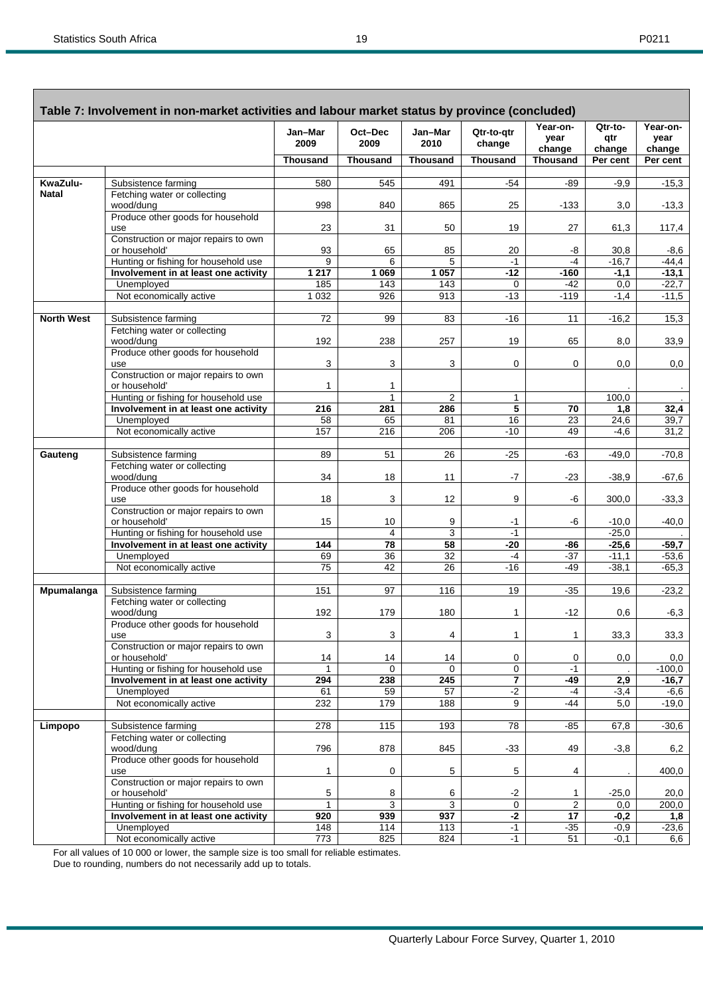Г

|                   | Table 7: Involvement in non-market activities and labour market status by province (concluded) |                 |                 |                 |                      |                            |                          |                            |
|-------------------|------------------------------------------------------------------------------------------------|-----------------|-----------------|-----------------|----------------------|----------------------------|--------------------------|----------------------------|
|                   |                                                                                                | Jan-Mar<br>2009 | Oct-Dec<br>2009 | Jan-Mar<br>2010 | Qtr-to-gtr<br>change | Year-on-<br>year<br>change | Qtr-to-<br>qtr<br>change | Year-on-<br>year<br>change |
|                   |                                                                                                | <b>Thousand</b> | <b>Thousand</b> | <b>Thousand</b> | <b>Thousand</b>      | <b>Thousand</b>            | Per cent                 | Per cent                   |
| KwaZulu-          | Subsistence farming                                                                            | 580             | 545             | 491             | $-54$                | -89                        | $-9,9$                   | $-15,3$                    |
| <b>Natal</b>      | Fetching water or collecting                                                                   |                 |                 |                 |                      |                            |                          |                            |
|                   | wood/dung                                                                                      | 998             | 840             | 865             | 25                   | $-133$                     | 3,0                      | $-13,3$                    |
|                   | Produce other goods for household                                                              |                 |                 |                 |                      |                            |                          |                            |
|                   | use                                                                                            | 23              | 31              | 50              | 19                   | 27                         | 61,3                     | 117,4                      |
|                   | Construction or major repairs to own<br>or household'                                          | 93              | 65              | 85              | 20                   | -8                         | 30,8                     | $-8,6$                     |
|                   | Hunting or fishing for household use                                                           | 9               | 6               | 5               | $-1$                 | $-4$                       | $-16,7$                  | $-44,4$                    |
|                   | Involvement in at least one activity                                                           | 1217            | 1 0 6 9         | 1057            | $-12$                | $-160$                     | $-1,1$                   | $-13,1$                    |
|                   | Unemployed                                                                                     | 185             | 143             | 143             | 0                    | $-42$                      | 0,0                      | $-22,7$                    |
|                   | Not economically active                                                                        | 1 0 3 2         | 926             | 913             | $-13$                | $-119$                     | $-1,4$                   | $-11,5$                    |
|                   |                                                                                                |                 |                 |                 |                      |                            |                          |                            |
| <b>North West</b> | Subsistence farming                                                                            | 72              | 99              | 83              | $-16$                | 11                         | $-16,2$                  | 15,3                       |
|                   | Fetching water or collecting                                                                   |                 |                 |                 |                      |                            |                          |                            |
|                   | wood/dung<br>Produce other goods for household                                                 | 192             | 238             | 257             | 19                   | 65                         | 8,0                      | 33,9                       |
|                   | use                                                                                            | 3               | 3               | 3               | 0                    | 0                          | 0,0                      | 0,0                        |
|                   | Construction or major repairs to own                                                           |                 |                 |                 |                      |                            |                          |                            |
|                   | or household'                                                                                  | 1               | 1               |                 |                      |                            |                          |                            |
|                   | Hunting or fishing for household use                                                           |                 | $\mathbf{1}$    | $\overline{2}$  | 1                    |                            | 100,0                    |                            |
|                   | Involvement in at least one activity                                                           | 216             | 281             | 286             | 5                    | 70                         | 1,8                      | 32,4                       |
|                   | Unemployed<br>Not economically active                                                          | 58<br>157       | 65<br>216       | 81<br>206       | 16<br>$-10$          | 23<br>49                   | 24,6<br>$-4,6$           | 39,7<br>31,2               |
|                   |                                                                                                |                 |                 |                 |                      |                            |                          |                            |
| Gauteng           | Subsistence farming                                                                            | 89              | 51              | 26              | $-25$                | $-63$                      | $-49,0$                  | $-70,8$                    |
|                   | Fetching water or collecting                                                                   |                 |                 |                 |                      |                            |                          |                            |
|                   | wood/dung                                                                                      | 34              | 18              | 11              | -7                   | $-23$                      | $-38,9$                  | $-67,6$                    |
|                   | Produce other goods for household                                                              |                 |                 |                 |                      |                            |                          |                            |
|                   | use                                                                                            | 18              | 3               | 12              | 9                    | -6                         | 300,0                    | $-33,3$                    |
|                   | Construction or major repairs to own<br>or household'                                          | 15              | 10              | 9               | -1                   | -6                         | $-10,0$                  | $-40,0$                    |
|                   | Hunting or fishing for household use                                                           |                 | 4               | $\overline{3}$  | $-1$                 |                            | $-25,0$                  |                            |
|                   | Involvement in at least one activity                                                           | 144             | $\overline{78}$ | 58              | $-20$                | $-86$                      | $-25,6$                  | $-59,7$                    |
|                   | Unemployed                                                                                     | 69              | 36              | 32              | $-4$                 | $-37$                      | $-11,1$                  | $-53,6$                    |
|                   | Not economically active                                                                        | 75              | 42              | 26              | -16                  | $-49$                      | $-38,1$                  | $-65,3$                    |
|                   |                                                                                                |                 |                 |                 |                      |                            |                          |                            |
| <b>Mpumalanga</b> | Subsistence farming                                                                            | 151             | 97              | 116             | 19                   | $-35$                      | 19,6                     | $-23,2$                    |
|                   | Fetching water or collecting<br>wood/dung                                                      | 192             | 179             | 180             | 1                    | $-12$                      | 0,6                      | $-6,3$                     |
|                   | Produce other goods for household                                                              |                 |                 |                 |                      |                            |                          |                            |
|                   | use                                                                                            | 3               | 3               | $\overline{4}$  | $\mathbf{1}$         | $\mathbf{1}$               | 33,3                     | 33,3                       |
|                   | Construction or major repairs to own                                                           |                 |                 |                 |                      |                            |                          |                            |
|                   | or household'                                                                                  | 14              | 14              | 14              | 0                    | 0                          | 0,0                      | 0,0                        |
|                   | Hunting or fishing for household use<br>Involvement in at least one activity                   | 294             | 0<br>238        | 0<br>245        | 0<br>7               | $-1$<br>$-49$              | 2,9                      | $-100,0$<br>$-16,7$        |
|                   | Unemployed                                                                                     | 61              | 59              | 57              | $-2$                 | $-4$                       | $-3,4$                   | $-6,6$                     |
|                   | Not economically active                                                                        | 232             | 179             | 188             | 9                    | -44                        | 5,0                      | $-19,0$                    |
|                   |                                                                                                |                 |                 |                 |                      |                            |                          |                            |
| Limpopo           | Subsistence farming                                                                            | 278             | 115             | 193             | 78                   | $-85$                      | 67,8                     | $-30,6$                    |
|                   | Fetching water or collecting                                                                   |                 |                 |                 |                      |                            |                          |                            |
|                   | wood/dung                                                                                      | 796             | 878             | 845             | $-33$                | 49                         | $-3,8$                   | 6,2                        |
|                   | Produce other goods for household                                                              | $\mathbf{1}$    | 0               |                 | 5                    |                            |                          |                            |
|                   | use<br>Construction or major repairs to own                                                    |                 |                 | 5               |                      | 4                          |                          | 400,0                      |
|                   | or household'                                                                                  | 5               | 8               | 6               | $-2$                 | 1                          | $-25,0$                  | 20,0                       |
|                   | Hunting or fishing for household use                                                           | 1               | 3               | $\overline{3}$  | $\mathbf 0$          | $\overline{2}$             | 0,0                      | 200,0                      |
|                   | Involvement in at least one activity                                                           | 920             | 939             | 937             | $-2$                 | 17                         | $-0,2$                   | 1,8                        |
|                   | Unemployed                                                                                     | 148             | 114             | 113             | $-1$                 | $-35$                      | $-0,9$                   | $-23,6$                    |
|                   | Not economically active                                                                        | 773             | 825             | 824             | $-1$                 | 51                         | $-0,1$                   | 6,6                        |

For all values of 10 000 or lower, the sample size is too small for reliable estimates.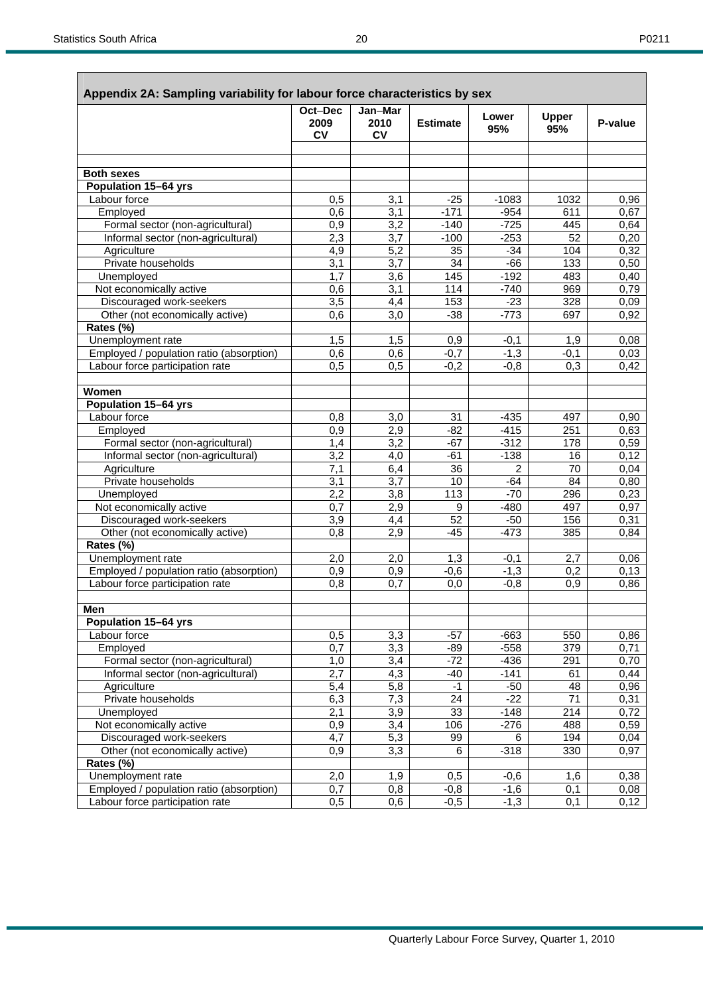|--|

|                                          | Oct-Dec<br>2009<br><b>CV</b> | Jan-Mar<br>2010<br><b>CV</b> | <b>Estimate</b> | Lower<br>95% | <b>Upper</b><br>95% | P-value |
|------------------------------------------|------------------------------|------------------------------|-----------------|--------------|---------------------|---------|
|                                          |                              |                              |                 |              |                     |         |
| <b>Both sexes</b>                        |                              |                              |                 |              |                     |         |
| Population 15-64 yrs                     |                              |                              |                 |              |                     |         |
| Labour force                             |                              |                              | $-25$           | $-1083$      | 1032                | 0,96    |
| Employed                                 | 0,5<br>0,6                   | 3,1<br>3,1                   | $-171$          | $-954$       | 611                 | 0,67    |
| Formal sector (non-agricultural)         | 0,9                          | $\overline{3,2}$             | $-140$          | $-725$       | 445                 | 0,64    |
| Informal sector (non-agricultural)       | 2,3                          | 3,7                          | $-100$          | $-253$       | 52                  | 0,20    |
| Agriculture                              | 4,9                          | 5,2                          | 35              | $-34$        | 104                 | 0,32    |
| Private households                       | 3,1                          | 3,7                          | 34              | $-66$        | 133                 | 0,50    |
| Unemployed                               | 1,7                          | $\overline{3,6}$             | 145             | $-192$       | 483                 | 0,40    |
| Not economically active                  | 0,6                          | 3,1                          | 114             | $-740$       | 969                 | 0,79    |
| Discouraged work-seekers                 | 3,5                          | 4,4                          | 153             | $-23$        | 328                 | 0,09    |
| Other (not economically active)          | 0,6                          | 3,0                          | $-38$           | $-773$       | 697                 | 0,92    |
| Rates (%)                                |                              |                              |                 |              |                     |         |
| Unemployment rate                        | 1,5                          | 1,5                          | 0,9             | $-0,1$       | 1,9                 | 0.08    |
| Employed / population ratio (absorption) | 0,6                          | 0,6                          | $-0,7$          | $-1,3$       | $-0,1$              | 0,03    |
| Labour force participation rate          | 0,5                          | 0,5                          | $-0,2$          | $-0,8$       | 0,3                 | 0,42    |
|                                          |                              |                              |                 |              |                     |         |
| Women                                    |                              |                              |                 |              |                     |         |
| Population 15-64 yrs                     |                              |                              |                 |              |                     |         |
| Labour force                             | 0,8                          | 3,0                          | 31              | $-435$       | 497                 | 0,90    |
| Employed                                 | 0,9                          | 2,9                          | $-82$           | $-415$       | 251                 | 0,63    |
| Formal sector (non-agricultural)         | 1,4                          | $\overline{3,2}$             | $-67$           | $-312$       | 178                 | 0,59    |
| Informal sector (non-agricultural)       | 3,2                          | 4,0                          | $-61$           | $-138$       | 16                  | 0,12    |
| Agriculture                              | 7,1                          | 6,4                          | 36              | 2            | 70                  | 0,04    |
| Private households                       | 3,1                          | 3,7                          | 10              | $-64$        | 84                  | 0,80    |
| Unemployed                               | 2,2                          | 3,8                          | 113             | $-70$        | 296                 | 0,23    |
| Not economically active                  | 0,7                          | 2,9                          | 9               | $-480$       | 497                 | 0,97    |
| Discouraged work-seekers                 | 3,9                          | 4,4                          | 52              | $-50$        | 156                 | 0,31    |
| Other (not economically active)          | 0,8                          | 2,9                          | -45             | $-473$       | 385                 | 0,84    |
| Rates (%)                                |                              |                              |                 |              |                     |         |
| Unemployment rate                        | 2,0                          | 2,0                          | 1,3             | $-0,1$       | 2,7                 | 0,06    |
| Employed / population ratio (absorption) | 0,9                          | 0,9                          | $-0,6$          | $-1,3$       | 0,2                 | 0,13    |
| Labour force participation rate          | 0,8                          | 0,7                          | 0,0             | $-0,8$       | 0,9                 | 0,86    |
| Men                                      |                              |                              |                 |              |                     |         |
| Population 15-64 yrs                     |                              |                              |                 |              |                     |         |
| Labour force                             | 0,5                          | 3,3                          | $-57$           | $-663$       | 550                 | 0,86    |
| Employed                                 | 0,7                          | 3,3                          | $-89$           | $-558$       | 379                 | 0,71    |
| Formal sector (non-agricultural)         | 1,0                          | 3,4                          | $-72$           | $-436$       | 291                 | 0,70    |
| Informal sector (non-agricultural)       | 2,7                          | 4,3                          | $-40$           | $-141$       | 61                  | 0,44    |
| Agriculture                              | 5,4                          | 5,8                          | $-1$            | $-50$        | 48                  | 0,96    |
| Private households                       | 6,3                          | 7,3                          | 24              | $-22$        | $\overline{71}$     | 0,31    |
| Unemployed                               | $\overline{2,1}$             | $\overline{3,9}$             | 33              | $-148$       | $\overline{214}$    | 0,72    |
| Not economically active                  | 0,9                          | $\overline{3,4}$             | 106             | $-276$       | 488                 | 0,59    |
| Discouraged work-seekers                 | 4,7                          | 5,3                          | 99              | 6            | 194                 | 0,04    |
| Other (not economically active)          | 0,9                          | 3,3                          | 6               | $-318$       | 330                 | 0,97    |
| Rates (%)                                |                              |                              |                 |              |                     |         |
| Unemployment rate                        | 2,0                          | 1,9                          | 0,5             | $-0,6$       | 1,6                 | 0,38    |
| Employed / population ratio (absorption) | 0,7                          | 0,8                          | $-0,8$          | $-1,6$       | 0,1                 | 0,08    |
| Labour force participation rate          | 0,5                          | 0,6                          | $-0,5$          | $-1,3$       | 0,1                 | 0,12    |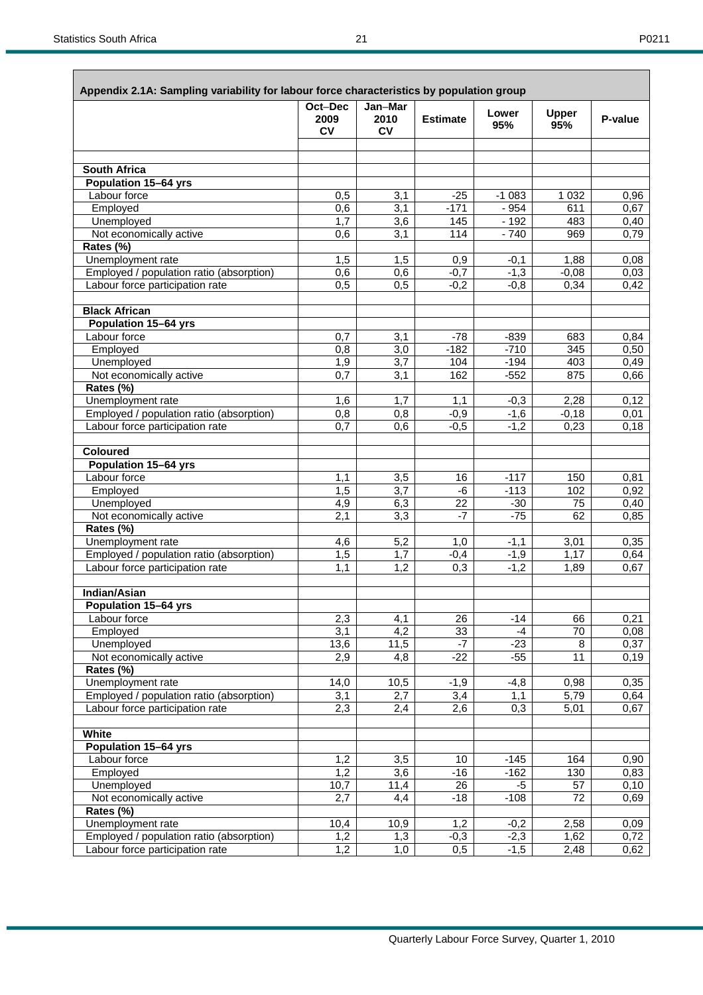| ۰, |  |
|----|--|
|----|--|

| Appendix 2.1A: Sampling variability for labour force characteristics by population group | Oct-Dec          | Jan-Mar          |                         |                |                       |              |
|------------------------------------------------------------------------------------------|------------------|------------------|-------------------------|----------------|-----------------------|--------------|
|                                                                                          | 2009<br>CV       | 2010<br>CV       | <b>Estimate</b>         | Lower<br>95%   | <b>Upper</b><br>95%   | P-value      |
|                                                                                          |                  |                  |                         |                |                       |              |
| <b>South Africa</b>                                                                      |                  |                  |                         |                |                       |              |
| Population 15-64 yrs                                                                     |                  |                  |                         |                |                       |              |
| Labour force                                                                             | 0,5              | 3,1              | $-25$                   | $-1083$        | 1 0 3 2               | 0,96         |
| Employed                                                                                 | 0,6              | 3,1              | $-171$                  | $-954$         | 611                   | 0,67         |
| Unemployed                                                                               | 1,7              | 3,6              | 145                     | $-192$         | 483                   | 0,40         |
| Not economically active                                                                  | 0,6              | 3,1              | 114                     | $-740$         | 969                   | 0,79         |
| Rates (%)                                                                                |                  |                  |                         |                |                       |              |
| Unemployment rate                                                                        | 1,5              | 1,5              | 0,9                     | $-0,1$         | 1,88                  | 0,08         |
| Employed / population ratio (absorption)                                                 | 0,6              | 0,6              | $-0,7$                  | $-1,3$         | $-0,08$               | 0,03         |
| Labour force participation rate                                                          | $\overline{0,5}$ | 0,5              | $-0,2$                  | $-0,8$         | 0,34                  | 0,42         |
| <b>Black African</b>                                                                     |                  |                  |                         |                |                       |              |
| <b>Population 15-64 yrs</b>                                                              |                  |                  |                         |                |                       |              |
| Labour force                                                                             | 0,7              | 3,1              | $-78$                   | $-839$         | 683                   | 0,84         |
| Employed                                                                                 | $\overline{0,8}$ | 3,0              | $-182$                  | $-710$         | 345                   | 0,50         |
| Unemployed                                                                               | 1,9              | $\overline{3,7}$ | 104                     | $-194$         | 403                   | 0,49         |
| Not economically active                                                                  | 0,7              | 3,1              | 162                     | $-552$         | 875                   | 0,66         |
| Rates (%)                                                                                |                  |                  |                         |                |                       |              |
| Unemployment rate                                                                        | 1,6              | 1,7              | 1,1                     | $-0,3$         | 2,28                  | 0,12         |
| Employed / population ratio (absorption)                                                 | 0,8              | 0,8              | $-0,9$                  | $-1,6$         | $-0,18$               | 0,01         |
| Labour force participation rate                                                          | 0,7              | 0,6              | $-0,5$                  | $-1,2$         | 0,23                  | 0,18         |
| <b>Coloured</b>                                                                          |                  |                  |                         |                |                       |              |
| Population 15-64 yrs                                                                     |                  |                  |                         |                |                       |              |
| Labour force                                                                             | 1,1              | 3,5              | 16                      | $-117$         | 150                   | 0,81         |
| Employed                                                                                 | $\overline{1,5}$ | 3,7              | -6                      | $-113$         | 102                   | 0,92         |
| Unemployed<br>Not economically active                                                    | 4,9<br>2,1       | 6,3<br>3,3       | $\overline{22}$<br>$-7$ | $-30$<br>$-75$ | $\overline{75}$<br>62 | 0,40<br>0,85 |
| Rates (%)                                                                                |                  |                  |                         |                |                       |              |
| Unemployment rate                                                                        | 4,6              | 5,2              | 1,0                     | $-1,1$         | 3,01                  | 0,35         |
| Employed / population ratio (absorption)                                                 | $\overline{1,5}$ | $\overline{1,7}$ | $-0,4$                  | $-1,9$         | 1,17                  | 0,64         |
| Labour force participation rate                                                          | 1,1              | 1,2              | 0,3                     | $-1,2$         | 1,89                  | 0,67         |
|                                                                                          |                  |                  |                         |                |                       |              |
| Indian/Asian<br>Population 15-64 yrs                                                     |                  |                  |                         |                |                       |              |
| Labour force                                                                             | 2,3              | 4,1              | 26                      | $-14$          | 66                    | 0,21         |
| Employed                                                                                 | 3,1              | $\overline{4,2}$ | 33                      | $-4$           | $\overline{70}$       | 0,08         |
| Unemployed                                                                               | 13,6             | 11,5             | $-7$                    | $-23$          | 8                     | 0,37         |
| Not economically active                                                                  | 2,9              | 4,8              | $-22$                   | $-55$          | 11                    | 0,19         |
| Rates (%)                                                                                |                  |                  |                         |                |                       |              |
| Unemployment rate                                                                        | 14,0             | 10,5             | $-1,9$                  | $-4,8$         | 0,98                  | 0,35         |
| Employed / population ratio (absorption)                                                 | 3,1              | 2,7              | 3,4                     | 1,1            | 5,79                  | 0,64         |
| Labour force participation rate                                                          | 2,3              | 2,4              | 2,6                     | 0,3            | 5,01                  | 0,67         |
| White                                                                                    |                  |                  |                         |                |                       |              |
| <b>Population 15-64 yrs</b>                                                              |                  |                  |                         |                |                       |              |
| Labour force                                                                             | 1,2              | $\overline{3,5}$ | 10                      | $-145$         | 164                   | 0,90         |
| Employed                                                                                 | 1,2              | $\overline{3,6}$ | $-16$                   | $-162$         | 130                   | 0,83         |
| Unemployed                                                                               | 10,7             | 11,4             | 26                      | $-5$           | 57                    | 0, 10        |
| Not economically active                                                                  | 2,7              | 4,4              | $-18$                   | $-108$         | 72                    | 0,69         |
| Rates (%)                                                                                |                  |                  |                         |                |                       |              |
| Unemployment rate                                                                        | 10,4             | 10,9             | 1,2                     | $-0,2$         | 2,58                  | 0,09         |
| Employed / population ratio (absorption)                                                 | 1,2              | 1,3              | $-0,3$                  | $-2,3$         | 1,62                  | 0,72         |
| Labour force participation rate                                                          | 1,2              | 1,0              | 0,5                     | $-1,5$         | 2,48                  | 0,62         |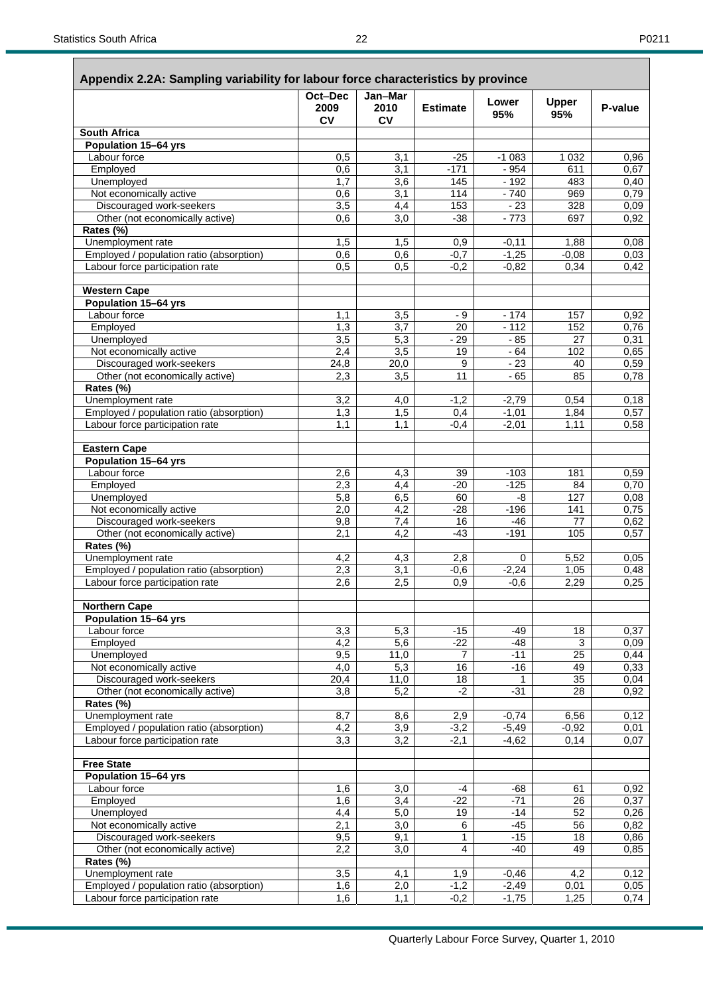|                                              | Oct-Dec<br>2009<br>CV | Jan-Mar<br>2010<br>CV | <b>Estimate</b> | Lower<br>95% | <b>Upper</b><br>95% | P-value |
|----------------------------------------------|-----------------------|-----------------------|-----------------|--------------|---------------------|---------|
| South Africa                                 |                       |                       |                 |              |                     |         |
| Population 15-64 yrs                         |                       |                       |                 |              |                     |         |
| Labour force                                 | 0,5                   | 3,1                   | $-25$           | $-1083$      | 1032                | 0,96    |
| Employed                                     | 0,6                   | 3,1                   | $-171$          | $-954$       | 611                 | 0,67    |
| Unemployed                                   | 1,7                   | 3,6                   | 145             | $-192$       | 483                 | 0,40    |
| Not economically active                      | 0,6                   | 3,1                   | 114             | $-740$       | 969                 | 0,79    |
| Discouraged work-seekers                     | $\overline{3,5}$      | 4,4                   | 153             | $-23$        | 328                 | 0,09    |
| Other (not economically active)              | 0,6                   | $\overline{3,0}$      | $-38$           | $-773$       | 697                 | 0,92    |
| Rates (%)                                    |                       |                       |                 |              |                     |         |
| Unemployment rate                            | 1,5                   | 1,5                   | 0,9             | $-0,11$      | 1,88                | 0,08    |
| Employed / population ratio (absorption)     | 0,6                   | 0,6                   | $-0,7$          | $-1,25$      | $-0,08$             | 0,03    |
| Labour force participation rate              | 0,5                   | 0.5                   | $-0,2$          | $-0,82$      | 0.34                | 0,42    |
| <b>Western Cape</b>                          |                       |                       |                 |              |                     |         |
| Population 15-64 yrs                         |                       |                       |                 |              |                     |         |
| Labour force                                 | 1,1                   | 3,5                   | - 9             | $-174$       | 157                 | 0,92    |
| Employed                                     | 1,3                   | 3,7                   | 20              | $-112$       | 152                 | 0,76    |
| Unemployed                                   | $\overline{3,5}$      | 5,3                   | $-29$           | - 85         | 27                  | 0,31    |
| Not economically active                      | 2,4                   | 3,5                   | 19              | $-64$        | 102                 | 0,65    |
| Discouraged work-seekers                     | 24,8                  | 20,0                  | 9               | $-23$        | 40                  | 0,59    |
| Other (not economically active)              | 2,3                   | 3,5                   | $\overline{11}$ | $-65$        | 85                  | 0,78    |
| Rates (%)                                    |                       |                       |                 |              |                     |         |
| Unemployment rate                            | 3,2                   | 4,0                   | $-1,2$          | $-2,79$      | 0,54                | 0, 18   |
| Employed / population ratio (absorption)     | 1,3                   | 1,5                   | 0,4             | $-1,01$      | 1,84                | 0,57    |
| Labour force participation rate              | 1,1                   | 1,1                   | $-0,4$          | $-2,01$      | 1,11                | 0,58    |
|                                              |                       |                       |                 |              |                     |         |
| <b>Eastern Cape</b>                          |                       |                       |                 |              |                     |         |
| Population 15-64 yrs                         |                       |                       |                 |              |                     |         |
| Labour force                                 | 2,6                   | 4,3                   | 39              | $-103$       | 181                 | 0,59    |
| Employed                                     | 2,3                   | 4,4                   | $-20$           | $-125$       | 84                  | 0,70    |
| Unemployed                                   | 5,8                   | 6,5                   | 60              | -8           | 127                 | 0,08    |
| Not economically active                      | 2,0                   | 4,2                   | -28             | $-196$       | 141                 | 0,75    |
| Discouraged work-seekers                     | 9,8                   | 7,4                   | 16              | $-46$        | $\overline{77}$     | 0,62    |
| Other (not economically active)              | 2,1                   | $\overline{4,2}$      | $-43$           | $-191$       | 105                 | 0,57    |
| Rates (%)                                    |                       |                       |                 |              |                     |         |
| Unemployment rate                            | 4,2                   | 4,3                   | 2,8             | 0            | 5,52                | 0,05    |
| Employed / population ratio (absorption)     | 2,3                   | 3,1                   | $-0,6$          | $-2,24$      | 1,05                | 0,48    |
| Labour force participation rate              | 2,6                   | 2,5                   | 0,9             | $-0,6$       | 2,29                | 0,25    |
| <b>Northern Cape</b>                         |                       |                       |                 |              |                     |         |
| Population 15-64 yrs                         |                       |                       |                 |              |                     |         |
| Labour force                                 | 3,3                   | 5,3                   | $-15$           | $-49$        | 18                  | 0,37    |
| Employed                                     | 4,2                   | 5,6                   | $-22$           | $-48$        | 3                   | 0,09    |
| Unemployed                                   | 9,5                   | 11,0                  | $\overline{7}$  | $-11$        | 25                  | 0,44    |
| Not economically active                      | 4,0                   | 5,3                   | 16              | $-16$        | 49                  | 0,33    |
| Discouraged work-seekers                     | 20,4                  | 11,0                  | 18              | 1            | 35                  | 0,04    |
| Other (not economically active)              | 3,8                   | 5,2                   | $-2$            | $-31$        | 28                  | 0,92    |
| Rates (%)                                    |                       |                       |                 |              |                     |         |
| Unemployment rate                            | 8,7                   | 8,6                   | 2,9             | $-0,74$      | 6,56                | 0,12    |
| Employed / population ratio (absorption)     | 4,2                   | 3,9                   | $-3,2$          | $-5,49$      | $-0,92$             | 0,01    |
| Labour force participation rate              | 3,3                   | 3,2                   | $-2,1$          | $-4,62$      | 0,14                | 0,07    |
|                                              |                       |                       |                 |              |                     |         |
| <b>Free State</b>                            |                       |                       |                 |              |                     |         |
| <b>Population 15-64 yrs</b>                  |                       |                       |                 |              |                     |         |
| Labour force                                 | 1,6                   | 3,0                   | $-4$            | $-68$        | 61                  | 0,92    |
| Employed                                     | 1,6                   | 3,4                   | $-22$           | $-71$        | 26                  | 0,37    |
| Unemployed                                   | 4,4                   | 5,0                   | 19              | $-14$        | 52                  | 0,26    |
| Not economically active                      | 2,1                   | 3,0                   | 6               | $-45$        | $\overline{56}$     | 0,82    |
| Discouraged work-seekers                     | 9,5                   | 9,1                   | 1               | $-15$        | 18                  | 0,86    |
| Other (not economically active)<br>Rates (%) | 2,2                   | 3,0                   | 4               | $-40$        | 49                  | 0,85    |
| Unemployment rate                            | $\overline{3,5}$      | 4,1                   | 1,9             | $-0,46$      | 4,2                 | 0,12    |
| Employed / population ratio (absorption)     | 1,6                   | 2,0                   | $-1,2$          | $-2,49$      | 0,01                | 0,05    |
| Labour force participation rate              | 1,6                   | 1,1                   | $-0,2$          | $-1,75$      | 1,25                | 0,74    |
|                                              |                       |                       |                 |              |                     |         |

**Appendix 2.2A: Sampling variability for labour force characteristics by province**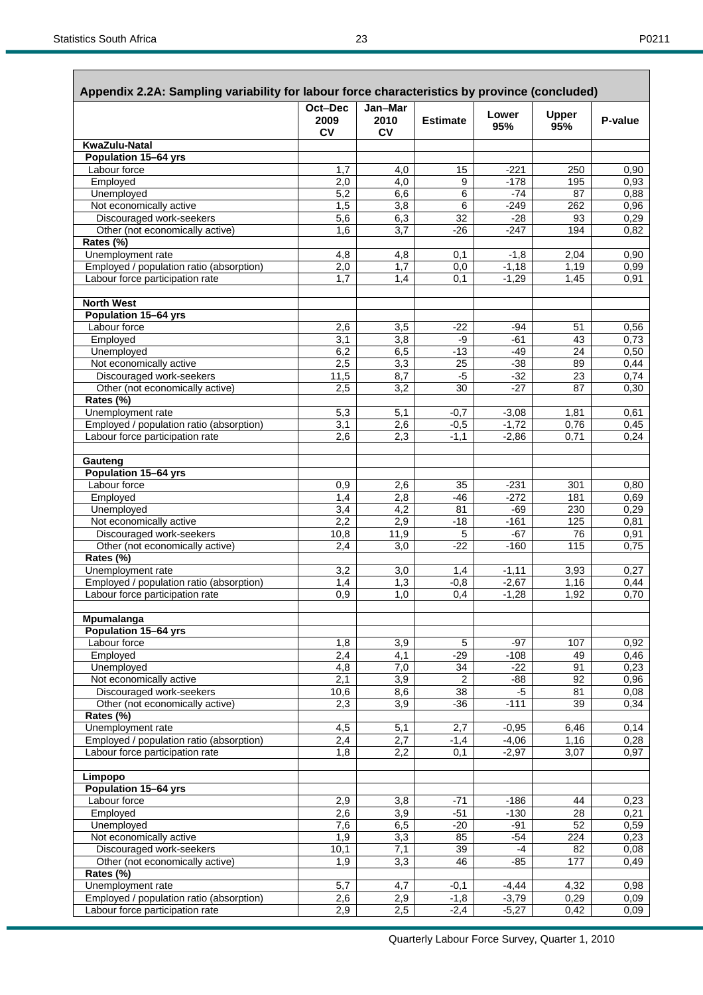| Appendix 2.2A: Sampling variability for labour force characteristics by province (concluded) |                       |                              |                          |                 |                       |              |
|----------------------------------------------------------------------------------------------|-----------------------|------------------------------|--------------------------|-----------------|-----------------------|--------------|
|                                                                                              | Oct-Dec<br>2009<br>CV | Jan-Mar<br>2010<br><b>CV</b> | <b>Estimate</b>          | Lower<br>95%    | <b>Upper</b><br>95%   | P-value      |
| KwaZulu-Natal                                                                                |                       |                              |                          |                 |                       |              |
| Population 15-64 yrs                                                                         |                       |                              |                          |                 |                       |              |
| Labour force                                                                                 | 1,7                   | 4,0                          | 15                       | $-221$          | 250                   | 0,90         |
| Employed                                                                                     | 2,0                   | 4,0                          | 9                        | $-178$          | 195                   | 0,93         |
| Unemployed<br>Not economically active                                                        | 5,2<br>1,5            | 6,6<br>3,8                   | 6<br>6                   | $-74$<br>$-249$ | 87<br>262             | 0,88<br>0,96 |
| Discouraged work-seekers                                                                     | 5,6                   | 6,3                          | 32                       | $-28$           | 93                    | 0,29         |
| Other (not economically active)                                                              | 1,6                   | 3,7                          | $-26$                    | $-247$          | 194                   | 0,82         |
| Rates (%)                                                                                    |                       |                              |                          |                 |                       |              |
| Unemployment rate                                                                            | 4,8                   | 4,8                          | 0,1                      | $-1,8$          | 2,04                  | 0,90         |
| Employed / population ratio (absorption)                                                     | 2,0                   | 1,7                          | 0,0                      | $-1,18$         | 1,19                  | 0,99         |
| Labour force participation rate                                                              | 1,7                   | 1,4                          | 0,1                      | $-1,29$         | 1,45                  | 0,91         |
| <b>North West</b>                                                                            |                       |                              |                          |                 |                       |              |
| Population 15-64 yrs                                                                         |                       |                              |                          |                 |                       |              |
| Labour force                                                                                 | 2,6                   | 3,5                          | $-22$                    | $-94$           | 51                    | 0,56         |
| Employed                                                                                     | 3,1                   | 3,8                          | -9                       | $-61$           | 43                    | 0,73         |
| Unemployed<br>Not economically active                                                        | 6,2<br>2,5            | 6,5<br>3,3                   | $-13$<br>$\overline{25}$ | $-49$<br>$-38$  | 24<br>89              | 0,50<br>0,44 |
| Discouraged work-seekers                                                                     | 11,5                  | 8,7                          | $-5$                     | $-32$           | 23                    | 0,74         |
| Other (not economically active)                                                              | 2,5                   | 3,2                          | 30                       | $-27$           | 87                    | 0,30         |
| Rates (%)                                                                                    |                       |                              |                          |                 |                       |              |
| Unemployment rate                                                                            | 5,3                   | 5,1                          | $-0,7$                   | $-3,08$         | 1,81                  | 0,61         |
| Employed / population ratio (absorption)                                                     | 3,1                   | 2,6                          | $-0,5$                   | $-1,72$         | 0,76                  | 0,45         |
| Labour force participation rate                                                              | 2,6                   | 2,3                          | $-1,1$                   | $-2,86$         | 0,71                  | 0,24         |
| Gauteng                                                                                      |                       |                              |                          |                 |                       |              |
| Population 15-64 yrs                                                                         |                       |                              |                          |                 |                       |              |
| Labour force                                                                                 | 0,9                   | 2,6                          | 35                       | $-231$          | 301                   | 0,80         |
| Employed                                                                                     | 1,4                   | 2,8                          | $-46$                    | $-272$          | 181                   | 0.69         |
| Unemployed<br>Not economically active                                                        | 3,4<br>2,2            | 4,2<br>2,9                   | 81<br>$-18$              | $-69$<br>$-161$ | 230<br>125            | 0,29<br>0,81 |
| Discouraged work-seekers                                                                     | 10,8                  | 11,9                         | 5                        | $-67$           | 76                    | 0,91         |
| Other (not economically active)                                                              | 2,4                   | 3,0                          | $-22$                    | $-160$          | 115                   | 0,75         |
| Rates (%)                                                                                    |                       |                              |                          |                 |                       |              |
| Unemployment rate                                                                            | 3,2                   | 3,0                          | 1,4                      | $-1,11$         | 3,93                  | 0,27         |
| Employed / population ratio (absorption)                                                     | 1,4                   | 1,3                          | $-0,8$                   | $-2,67$         | 1,16                  | 0,44         |
| Labour force participation rate                                                              | 0,9                   | 1,0                          | 0,4                      | $-1,28$         | 1,92                  | 0,70         |
| Mpumalanga                                                                                   |                       |                              |                          |                 |                       |              |
| <b>Population 15-64 yrs</b>                                                                  |                       |                              |                          |                 |                       |              |
| Labour force                                                                                 | 1,8                   | 3,9                          | 5                        | $-97$           | 107                   | 0,92         |
| Employed<br>Unemployed                                                                       | 2,4<br>4,8            | 4,1<br>7,0                   | $-29$<br>34              | $-108$<br>$-22$ | 49<br>$\overline{91}$ | 0,46<br>0,23 |
| Not economically active                                                                      | 2,1                   | 3,9                          | 2                        | $-88$           | 92                    | 0,96         |
| Discouraged work-seekers                                                                     | 10,6                  | 8,6                          | $\overline{38}$          | $-5$            | 81                    | 0,08         |
| Other (not economically active)                                                              | 2,3                   | 3,9                          | $-36$                    | $-111$          | 39                    | 0,34         |
| Rates (%)                                                                                    |                       |                              |                          |                 |                       |              |
| Unemployment rate                                                                            | 4,5                   | 5,1                          | 2,7                      | $-0,95$         | 6,46                  | 0,14         |
| Employed / population ratio (absorption)                                                     | 2,4                   | 2,7                          | $-1,4$                   | $-4,06$         | 1,16                  | 0,28         |
| Labour force participation rate                                                              | 1,8                   | 2,2                          | 0,1                      | $-2,97$         | 3,07                  | 0,97         |
| Limpopo                                                                                      |                       |                              |                          |                 |                       |              |
| <b>Population 15-64 yrs</b><br>Labour force                                                  | 2,9                   | 3,8                          | $-71$                    | $-186$          | 44                    | 0,23         |
| Employed                                                                                     | 2,6                   | 3,9                          | $-51$                    | $-130$          | 28                    | 0,21         |
| Unemployed                                                                                   | $\overline{7,6}$      | 6,5                          | $-20$                    | $-91$           | 52                    | 0,59         |
| Not economically active                                                                      | 1,9                   | 3,3                          | 85                       | $-54$           | 224                   | 0,23         |
| Discouraged work-seekers                                                                     | 10,1                  | 7,1                          | 39                       | $-4$            | 82                    | 0,08         |
| Other (not economically active)                                                              | 1,9                   | 3,3                          | 46                       | $-85$           | 177                   | 0,49         |
| Rates (%)                                                                                    |                       |                              |                          |                 |                       |              |
| Unemployment rate                                                                            | 5,7                   | 4,7                          | $-0,1$                   | $-4,44$         | 4,32                  | 0,98         |
| Employed / population ratio (absorption)                                                     | 2,6<br>2,9            | 2,9                          | $-1,8$                   | $-3,79$         | 0,29                  | 0,09         |
| Labour force participation rate                                                              |                       | 2,5                          | $-2,4$                   | $-5,27$         | 0,42                  | 0,09         |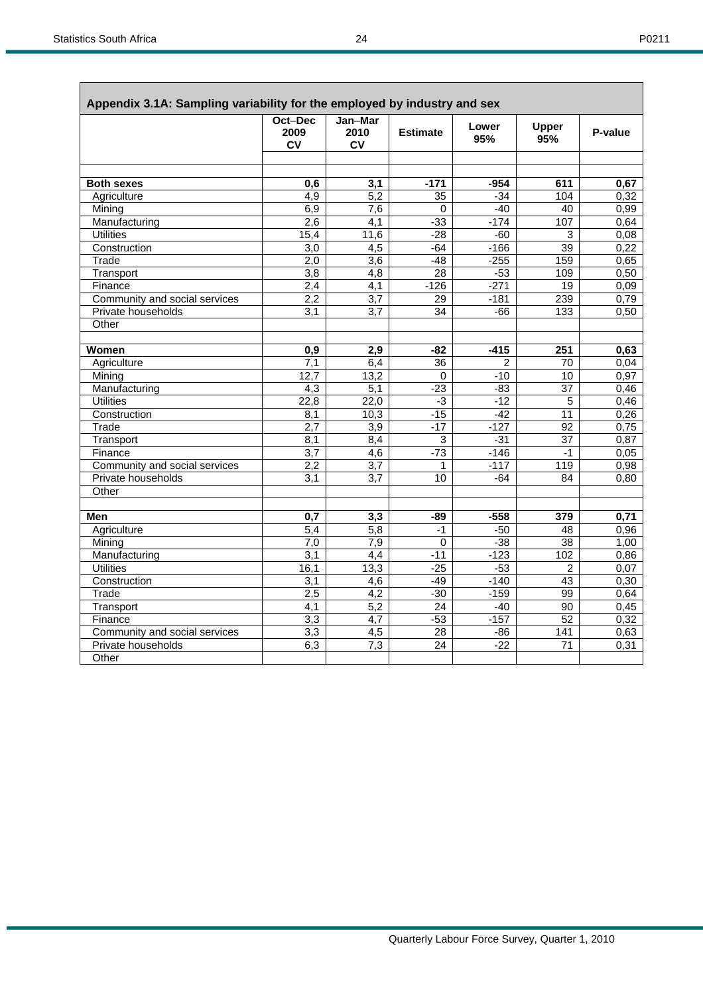ì

|                               | Oct-Dec<br>2009<br><b>CV</b> | Jan-Mar<br>2010<br><b>CV</b> | <b>Estimate</b> | Lower<br>95%   | Upper<br>95%    | P-value |
|-------------------------------|------------------------------|------------------------------|-----------------|----------------|-----------------|---------|
|                               |                              |                              |                 |                |                 |         |
| <b>Both sexes</b>             | 0.6                          | 3,1                          | $-171$          | $-954$         | 611             | 0,67    |
| Agriculture                   | $\overline{4,9}$             | $\overline{5,2}$             | $\overline{35}$ | $-34$          | 104             | 0,32    |
| Mining                        | 6,9                          | $\overline{7,6}$             | 0               | $-40$          | 40              | 0,99    |
| Manufacturing                 | 2,6                          | 4,1                          | -33             | $-174$         | 107             | 0,64    |
| <b>Utilities</b>              | 15,4                         | 11,6                         | $-28$           | $-60$          | 3               | 0,08    |
| Construction                  | $\overline{3,0}$             | $\overline{4,5}$             | $-64$           | $-166$         | 39              | 0,22    |
| Trade                         | 2,0                          | $\overline{3,6}$             | $-48$           | $-255$         | 159             | 0,65    |
| Transport                     | 3,8                          | 4,8                          | $\overline{28}$ | $-53$          | 109             | 0,50    |
| Finance                       | 2,4                          | 4,1                          | $-126$          | $-271$         | 19              | 0,09    |
| Community and social services | 2,2                          | $\overline{3,7}$             | $\overline{29}$ | $-181$         | 239             | 0,79    |
| Private households            | 3,1                          | 3,7                          | 34              | $-66$          | 133             | 0,50    |
| Other                         |                              |                              |                 |                |                 |         |
| Women                         | 0,9                          | 2,9                          | -82             | $-415$         | 251             | 0,63    |
| Agriculture                   | 7.1                          | 6,4                          | 36              | $\overline{2}$ | 70              | 0.04    |
| Mining                        | $\overline{12,7}$            | 13,2                         | $\Omega$        | $-10$          | 10              | 0,97    |
| Manufacturing                 | $\overline{4,3}$             | $\overline{5,1}$             | $-23$           | $-83$          | $\overline{37}$ | 0,46    |
| <b>Utilities</b>              | 22,8                         | 22,0                         | -3              | $-12$          | 5               | 0,46    |
| Construction                  | 8,1                          | 10,3                         | $-15$           | $-42$          | 11              | 0,26    |
| Trade                         | $\overline{2,7}$             | $\overline{3,9}$             | $-17$           | $-127$         | $\overline{92}$ | 0,75    |
| Transport                     | 8,1                          | 8, 4                         | 3               | $-31$          | 37              | 0,87    |
| Finance                       | 3,7                          | 4,6                          | $-73$           | $-146$         | $-1$            | 0.05    |
| Community and social services | 2,2                          | 3,7                          | 1               | $-117$         | 119             | 0,98    |
| Private households            | 3.1                          | 3.7                          | 10              | $-64$          | 84              | 0,80    |
| Other                         |                              |                              |                 |                |                 |         |
|                               |                              |                              |                 |                |                 |         |
| Men                           | 0,7                          | 3,3                          | $-89$           | $-558$         | 379             | 0,71    |
| Agriculture                   | 5,4                          | $\overline{5,8}$             | $-1$            | $-50$          | 48              | 0,96    |
| Mining                        | $\overline{7,0}$             | 7,9                          | $\overline{0}$  | $-38$          | $\overline{38}$ | 1,00    |
| Manufacturing                 | 3,1                          | $\overline{4,4}$             | $-11$           | $-123$         | 102             | 0,86    |
| <b>Utilities</b>              | 16,1                         | 13,3                         | $-25$           | $-53$          | $\overline{c}$  | 0,07    |
| Construction                  | 3,1                          | 4,6                          | $-49$           | $-140$         | 43              | 0,30    |
| Trade                         | 2,5                          | $\overline{4,2}$             | $-30$           | $-159$         | 99              | 0.64    |
| Transport                     | 4,1                          | 5,2                          | $\overline{24}$ | $-40$          | 90              | 0,45    |
| Finance                       | 3,3                          | 4,7                          | $-53$           | $-157$         | 52              | 0,32    |
| Community and social services | $\overline{3,3}$             | 4,5                          | $\overline{28}$ | $-86$          | 141             | 0,63    |
| Private households            | 6,3                          | 7,3                          | 24              | $-22$          | 71              | 0,31    |
| Other                         |                              |                              |                 |                |                 |         |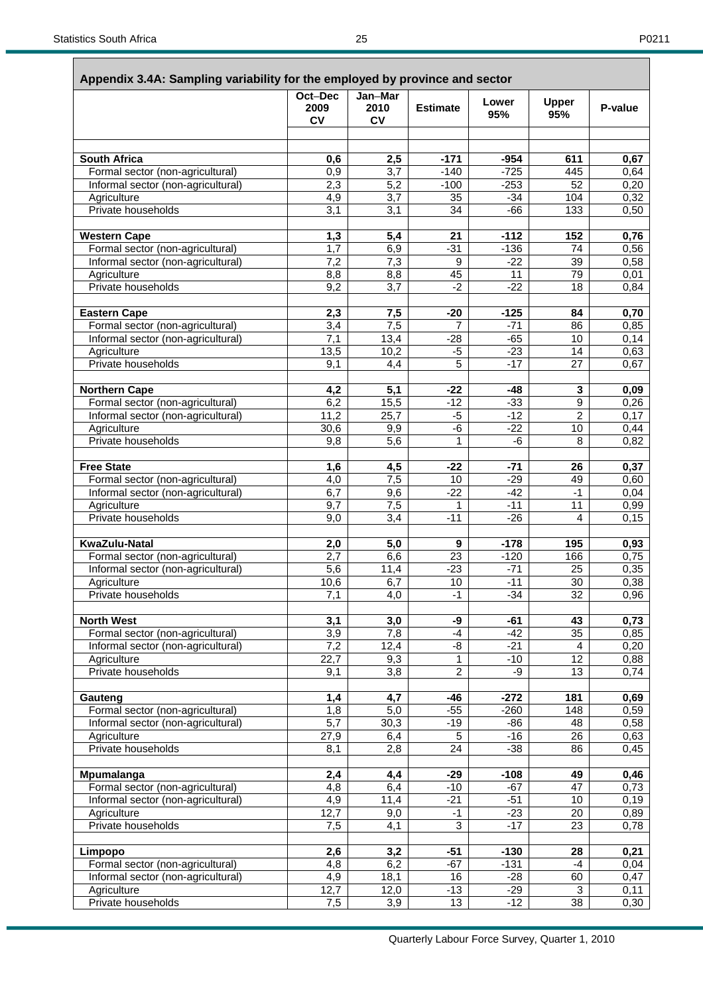| ۰, |  |
|----|--|
|----|--|

 $\overline{\phantom{a}}$ 

| Appendix 3.4A: Sampling variability for the employed by province and sector | Oct-Dec                 | Jan-Mar                 |                 |                |                     |         |
|-----------------------------------------------------------------------------|-------------------------|-------------------------|-----------------|----------------|---------------------|---------|
|                                                                             | 2009<br><b>CV</b>       | 2010<br><b>CV</b>       | <b>Estimate</b> | Lower<br>95%   | <b>Upper</b><br>95% | P-value |
|                                                                             |                         |                         |                 |                |                     |         |
| <b>South Africa</b>                                                         | 0,6                     | 2,5                     | $-171$          | $-954$         | 611                 | 0,67    |
| Formal sector (non-agricultural)                                            | 0,9                     | 3,7                     | $-140$          | $-725$         | 445                 | 0,64    |
| Informal sector (non-agricultural)                                          | 2,3                     | $\overline{5,2}$        | $-100$          | $-253$         | 52                  | 0,20    |
| Agriculture<br>Private households                                           | 4,9<br>$\overline{3,1}$ | 3,7<br>$\overline{3,1}$ | 35<br>34        | $-34$<br>$-66$ | 104<br>133          | 0,32    |
|                                                                             |                         |                         |                 |                |                     | 0,50    |
| <b>Western Cape</b>                                                         | 1,3                     | 5,4                     | 21              | $-112$         | 152                 | 0,76    |
| Formal sector (non-agricultural)                                            | 1,7                     | 6,9                     | $-31$           | $-136$         | 74                  | 0,56    |
| Informal sector (non-agricultural)                                          | 7,2                     | $\overline{7,3}$        | 9               | $-22$          | 39                  | 0,58    |
| Agriculture                                                                 | 8,8                     | 8,8                     | 45              | 11             | 79                  | 0,01    |
| Private households                                                          | 9,2                     | 3,7                     | $-2$            | $-22$          | 18                  | 0,84    |
| <b>Eastern Cape</b>                                                         | 2,3                     | 7,5                     | $-20$           | $-125$         | 84                  | 0,70    |
| Formal sector (non-agricultural)                                            | 3,4                     | $\overline{7,5}$        | $\overline{7}$  | $-71$          | 86                  | 0,85    |
| Informal sector (non-agricultural)                                          | 7,1                     | 13,4                    | $-28$           | $-65$          | 10                  | 0,14    |
| Agriculture                                                                 | 13,5                    | 10,2                    | $-5$            | $-23$          | 14                  | 0,63    |
| Private households                                                          | 9,1                     | 4,4                     | 5               | $-17$          | 27                  | 0,67    |
| <b>Northern Cape</b>                                                        | 4,2                     | 5,1                     | $-22$           | $-48$          | 3                   | 0,09    |
| Formal sector (non-agricultural)                                            | 6,2                     | 15,5                    | $-12$           | $-33$          | 9                   | 0,26    |
| Informal sector (non-agricultural)                                          | 11,2                    | 25,7                    | $-5$            | $-12$          | $\overline{2}$      | 0,17    |
| Agriculture                                                                 | 30,6                    | 9,9                     | -6              | $-22$          | 10                  | 0,44    |
| Private households                                                          | 9,8                     | 5,6                     | $\mathbf{1}$    | $-6$           | 8                   | 0,82    |
| <b>Free State</b>                                                           | 1,6                     | 4,5                     | $-22$           | $-71$          | 26                  | 0,37    |
| Formal sector (non-agricultural)                                            | 4,0                     | 7,5                     | 10              | $-29$          | 49                  | 0,60    |
| Informal sector (non-agricultural)                                          | 6,7                     | 9,6                     | $-22$           | $-42$          | $-1$                | 0,04    |
| Agriculture                                                                 | 9,7                     | 7,5                     | 1               | $-11$          | 11                  | 0,99    |
| Private households                                                          | 9,0                     | 3,4                     | $-11$           | $-26$          | 4                   | 0,15    |
| <b>KwaZulu-Natal</b>                                                        | 2,0                     | 5,0                     | 9               | $-178$         | 195                 | 0,93    |
| Formal sector (non-agricultural)                                            | 2,7                     | 6,6                     | 23              | $-120$         | 166                 | 0,75    |
| Informal sector (non-agricultural)                                          | 5,6                     | 11,4                    | $-23$           | $-71$          | 25                  | 0,35    |
| Agriculture                                                                 | 10,6                    | $\overline{6,7}$        | 10              | $-11$          | 30                  | 0,38    |
| Private households                                                          | 7,1                     | 4,0                     | $-1$            | $-34$          | 32                  | 0,96    |
| <b>North West</b>                                                           | 3,1                     | 3,0                     | -9              | $-61$          | 43                  | 0,73    |
| Formal sector (non-agricultural)                                            | 3,9                     | 7,8                     | $-4$            | $-42$          | 35                  | 0,85    |
| Informal sector (non-agricultural)                                          | 7,2                     | 12,4                    | -8              | $-21$          | 4                   | 0,20    |
| Agriculture                                                                 | 22,7                    | 9,3                     | $\overline{1}$  | $-10$          | $\overline{12}$     | 0,88    |
| Private households                                                          | 9,1                     | 3,8                     | $\overline{2}$  | -9             | 13                  | 0,74    |
| Gauteng                                                                     | 1,4                     | 4,7                     | -46             | $-272$         | 181                 | 0,69    |
| Formal sector (non-agricultural)                                            | 1,8                     | 5,0                     | $-55$           | $-260$         | 148                 | 0,59    |
| Informal sector (non-agricultural)                                          | $\overline{5,7}$        | 30,3                    | $-19$           | -86            | 48                  | 0,58    |
| Agriculture                                                                 | 27,9                    | 6,4                     | $\overline{5}$  | $-16$          | $\overline{26}$     | 0,63    |
| Private households                                                          | 8,1                     | 2,8                     | 24              | $-38$          | 86                  | 0,45    |
| Mpumalanga                                                                  | 2,4                     | 4,4                     | $-29$           | $-108$         | 49                  | 0,46    |
| Formal sector (non-agricultural)                                            | 4,8                     | 6,4                     | $-10$           | $-67$          | 47                  | 0,73    |
| Informal sector (non-agricultural)                                          | 4,9                     | $\overline{11,4}$       | $-21$           | $-51$          | 10                  | 0,19    |
| Agriculture                                                                 | 12,7                    | 9,0                     | $-1$            | $-23$          | 20                  | 0,89    |
| Private households                                                          | 7,5                     | 4,1                     | $\overline{3}$  | $-17$          | $\overline{23}$     | 0,78    |
| Limpopo                                                                     | 2,6                     | 3,2                     | $-51$           | $-130$         | 28                  | 0,21    |
| Formal sector (non-agricultural)                                            | 4,8                     | 6,2                     | $-67$           | $-131$         | $-4$                | 0,04    |
| Informal sector (non-agricultural)                                          | 4,9                     | 18,1                    | 16              | $-28$          | 60                  | 0,47    |
| Agriculture<br>Private households                                           | 12,7                    | 12,0                    | $-13$<br>13     | $-29$<br>$-12$ | 3<br>38             | 0,11    |
|                                                                             | 7,5                     | 3,9                     |                 |                |                     | 0,30    |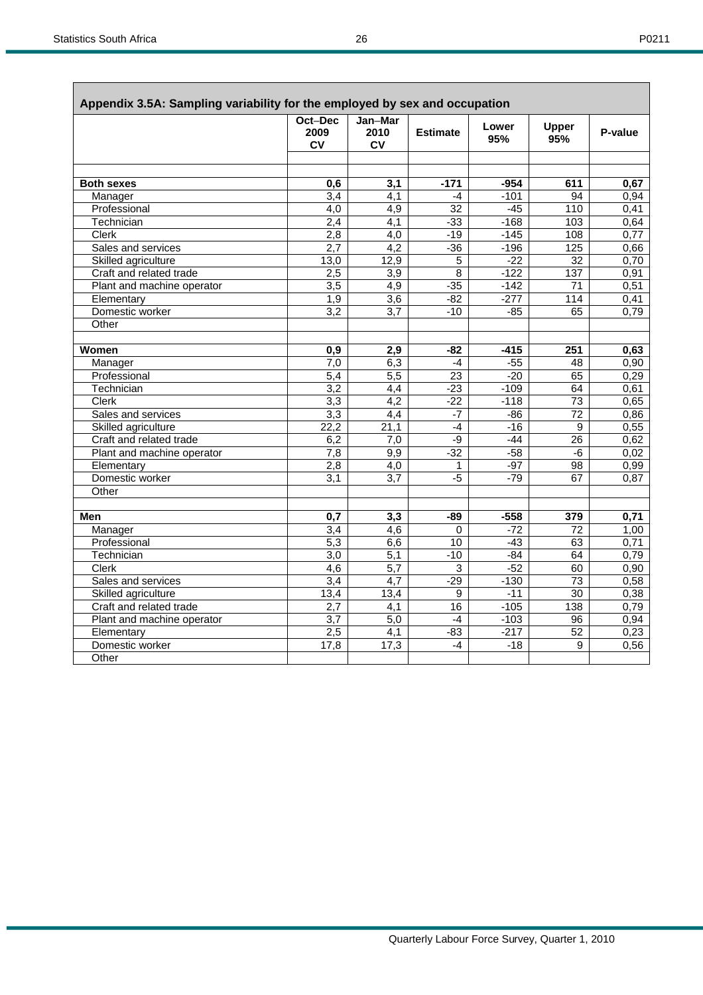|--|--|

| Appendix 3.5A: Sampling variability for the employed by sex and occupation |                              |                              |                 |              |                 |         |
|----------------------------------------------------------------------------|------------------------------|------------------------------|-----------------|--------------|-----------------|---------|
|                                                                            | Oct-Dec<br>2009<br><b>CV</b> | Jan-Mar<br>2010<br><b>CV</b> | <b>Estimate</b> | Lower<br>95% | Upper<br>95%    | P-value |
|                                                                            |                              |                              |                 |              |                 |         |
| <b>Both sexes</b>                                                          | 0,6                          | 3,1                          | $-171$          | -954         | 611             | 0,67    |
| Manager                                                                    | $\overline{3,4}$             | $\overline{4,1}$             | $-4$            | $-101$       | 94              | 0,94    |
| Professional                                                               | $\overline{4,0}$             | $\overline{4,9}$             | $\overline{32}$ | $-45$        | 110             | 0,41    |
| Technician                                                                 | $\overline{2,4}$             | 4,1                          | $-33$           | $-168$       | 103             | 0,64    |
| <b>Clerk</b>                                                               | 2,8                          | $\overline{4,0}$             | $-19$           | $-145$       | 108             | 0,77    |
| Sales and services                                                         | 2,7                          | $\overline{4,2}$             | $-36$           | $-196$       | 125             | 0,66    |
| Skilled agriculture                                                        | 13,0                         | 12,9                         | 5               | $-22$        | 32              | 0,70    |
| Craft and related trade                                                    | 2,5                          | 3,9                          | $\overline{8}$  | $-122$       | 137             | 0.91    |
| Plant and machine operator                                                 | $\overline{3,5}$             | 4,9                          | $-35$           | $-142$       | 71              | 0,51    |
| Elementary                                                                 | $\overline{1,9}$             | $\overline{3,6}$             | $-82$           | $-277$       | 114             | 0,41    |
| Domestic worker                                                            | $\overline{3,2}$             | 3,7                          | $-10$           | $-85$        | 65              | 0,79    |
| Other                                                                      |                              |                              |                 |              |                 |         |
|                                                                            |                              |                              |                 |              |                 |         |
| Women                                                                      | 0,9                          | 2,9                          | $-82$           | $-415$       | 251             | 0,63    |
| Manager                                                                    | 7.0                          | 6,3                          | $-4$            | -55          | 48              | 0,90    |
| Professional                                                               | 5,4                          | $\overline{5,5}$             | $\overline{23}$ | $-20$        | 65              | 0,29    |
| Technician                                                                 | $\overline{3.2}$             | $\overline{4,4}$             | $-23$           | $-109$       | 64              | 0,61    |
| Clerk                                                                      | 3,3                          | 4,2                          | $-22$           | $-118$       | 73              | 0,65    |
| Sales and services                                                         | 3,3                          | $\overline{4,4}$             | $-7$            | $-86$        | $\overline{72}$ | 0,86    |
| Skilled agriculture                                                        | 22,2                         | $\overline{21,1}$            | $-4$            | $-16$        | 9               | 0,55    |
| Craft and related trade                                                    | 6,2                          | 7,0                          | -9              | $-44$        | 26              | 0,62    |
| Plant and machine operator                                                 | 7,8                          | 9,9                          | $-32$           | $-58$        | -6              | 0,02    |
| Elementary                                                                 | 2,8                          | 4,0                          | 1               | $-97$        | 98              | 0,99    |
| Domestic worker                                                            | 3,1                          | 3,7                          | $-5$            | $-79$        | 67              | 0.87    |
| Other                                                                      |                              |                              |                 |              |                 |         |
|                                                                            |                              |                              |                 |              |                 |         |
| Men                                                                        | 0,7                          | 3,3                          | -89             | $-558$       | 379             | 0,71    |
| Manager                                                                    | $\overline{3,4}$             | $\overline{4,6}$             | $\Omega$        | $-72$        | 72              | 1,00    |
| Professional                                                               | $\overline{5,3}$             | 6,6                          | $\overline{10}$ | $-43$        | 63              | 0,71    |
| Technician                                                                 | $\overline{3,0}$             | 5,1                          | $-10$           | $-84$        | 64              | 0,79    |
| <b>Clerk</b>                                                               | 4,6                          | $\overline{5,7}$             | 3               | $-52$        | 60              | 0,90    |
| Sales and services                                                         | 3,4                          | 4,7                          | $-29$           | $-130$       | 73              | 0,58    |
| Skilled agriculture                                                        | 13,4                         | 13,4                         | 9               | $-11$        | $\overline{30}$ | 0,38    |
| Craft and related trade                                                    | $\overline{2,7}$             | 4,1                          | 16              | $-105$       | 138             | 0,79    |
| Plant and machine operator                                                 | $\overline{3,7}$             | 5,0                          | $-4$            | $-103$       | 96              | 0,94    |
| Elementary                                                                 | 2,5                          | $\overline{4,1}$             | $-83$           | $-217$       | $\overline{52}$ | 0,23    |
| Domestic worker                                                            | 17,8                         | 17,3                         | $-4$            | $-18$        | 9               | 0,56    |
| Other                                                                      |                              |                              |                 |              |                 |         |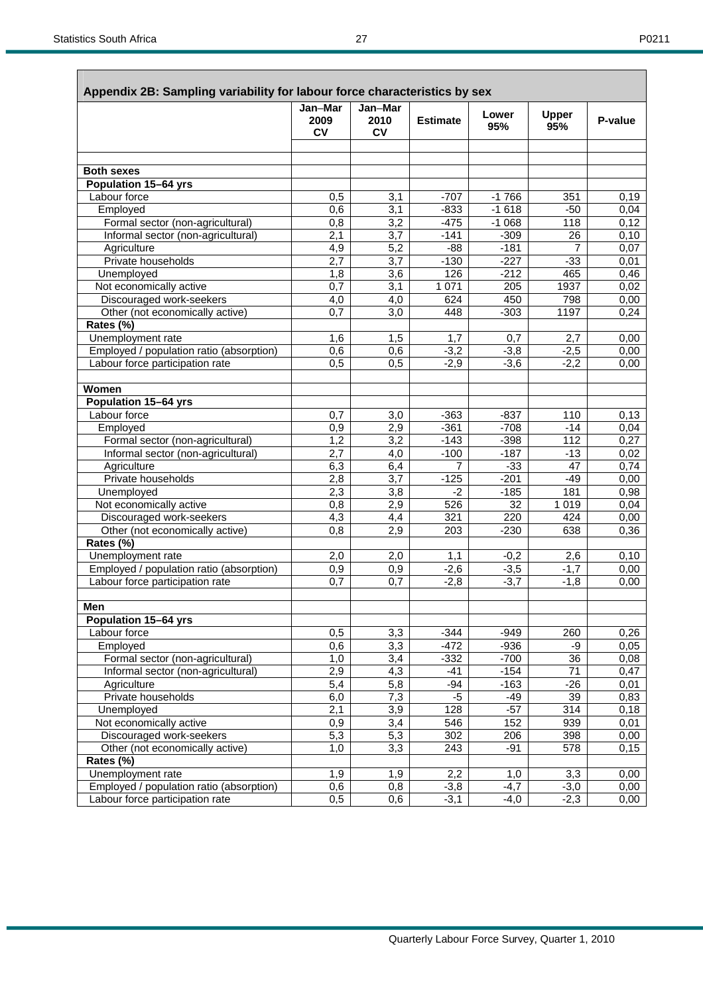**Rates (%)** 

|                                          | Jan-Mar          | Jan-Mar           |                 |              |                     |         |
|------------------------------------------|------------------|-------------------|-----------------|--------------|---------------------|---------|
|                                          | 2009<br>CV       | 2010<br><b>CV</b> | <b>Estimate</b> | Lower<br>95% | <b>Upper</b><br>95% | P-value |
|                                          |                  |                   |                 |              |                     |         |
| <b>Both sexes</b>                        |                  |                   |                 |              |                     |         |
| <b>Population 15-64 yrs</b>              |                  |                   |                 |              |                     |         |
| Labour force                             | 0,5              | 3,1               | $-707$          | $-1766$      | 351                 | 0,19    |
| Employed                                 | 0,6              | 3,1               | $-833$          | $-1618$      | $-50$               | 0,04    |
| Formal sector (non-agricultural)         | 0,8              | $\overline{3,2}$  | $-475$          | $-1068$      | 118                 | 0,12    |
| Informal sector (non-agricultural)       | 2,1              | 3,7               | $-141$          | $-309$       | 26                  | 0,10    |
| Agriculture                              | 4,9              | $\overline{5,2}$  | $-88$           | $-181$       | 7                   | 0,07    |
| Private households                       | 2,7              | 3,7               | $-130$          | $-227$       | $-33$               | 0,01    |
| Unemployed                               | 1,8              | 3,6               | 126             | $-212$       | 465                 | 0,46    |
| Not economically active                  | 0,7              | 3,1               | 1 0 7 1         | 205          | 1937                | 0,02    |
| Discouraged work-seekers                 | 4,0              | 4,0               | 624             | 450          | 798                 | 0,00    |
| Other (not economically active)          | $\overline{0,7}$ | $\overline{3,0}$  | 448             | $-303$       | 1197                | 0,24    |
| Rates (%)                                |                  |                   |                 |              |                     |         |
| Unemployment rate                        | 1,6              | 1,5               | 1,7             | 0,7          | 2,7                 | 0,00    |
| Employed / population ratio (absorption) | 0,6              | 0,6               | $-3,2$          | $-3,8$       | $-2,5$              | 0,00    |
| Labour force participation rate          | 0,5              | 0,5               | $-2,9$          | $-3,6$       | $-2,2$              | 0,00    |
| Women                                    |                  |                   |                 |              |                     |         |
| Population 15-64 yrs                     |                  |                   |                 |              |                     |         |
| Labour force                             | 0,7              | 3,0               | $-363$          | $-837$       | 110                 | 0,13    |
| Employed                                 | 0,9              | 2,9               | $-361$          | $-708$       | $-14$               | 0,04    |
| Formal sector (non-agricultural)         | 1,2              | 3,2               | $-143$          | $-398$       | $\overline{112}$    | 0,27    |
| Informal sector (non-agricultural)       | 2,7              | 4,0               | $-100$          | $-187$       | $-13$               | 0,02    |
| Agriculture                              | 6,3              | 6,4               | 7               | $-33$        | 47                  | 0,74    |
| Private households                       | 2,8              | 3,7               | $-125$          | $-201$       | $-49$               | 0,00    |
| Unemployed                               | 2,3              | $\overline{3,8}$  | $-2$            | $-185$       | 181                 | 0,98    |
| Not economically active                  | 0,8              | 2,9               | 526             | 32           | 1 0 1 9             | 0,04    |
| Discouraged work-seekers                 | 4,3              | 4,4               | 321             | 220          | 424                 | 0,00    |
| Other (not economically active)          | 0,8              | 2,9               | 203             | $-230$       | 638                 | 0,36    |
| Rates (%)                                |                  |                   |                 |              |                     |         |
| Unemployment rate                        | 2,0              | 2,0               | 1,1             | $-0.2$       | 2,6                 | 0,10    |
| Employed / population ratio (absorption) | 0,9              | 0,9               | $-2,6$          | $-3,5$       | $-1,7$              | 0,00    |
| Labour force participation rate          | 0,7              | 0,7               | $-2,8$          | $-3,7$       | $-1,8$              | 0,00    |
| Men                                      |                  |                   |                 |              |                     |         |
|                                          |                  |                   |                 |              |                     |         |
| <b>Population 15-64 yrs</b>              |                  |                   |                 |              |                     |         |
| Labour force                             | 0,5              | 3,3               | $-344$          | $-949$       | 260                 | 0,26    |
| Employed                                 | 0,6              | 3,3               | $-472$          | $-936$       | -9                  | 0,05    |
| Formal sector (non-agricultural)         | 1,0              | 3,4               | $-332$          | $-700$       | 36                  | 0,08    |
| Informal sector (non-agricultural)       | 2,9              | 4,3               | $-41$           | $-154$       | 71                  | 0,47    |
| Agriculture                              | 5,4              | 5,8               | $-94$           | $-163$       | $-26$               | 0,01    |
| Private households                       | 6,0              | 7,3               | $-5$            | $-49$        | 39                  | 0,83    |
| Unemployed                               | 2,1              | $\overline{3,9}$  | 128             | $-57$        | 314                 | 0,18    |

Not economically active  $\begin{vmatrix} 0.9 & 3.4 & 546 & 152 & 939 & 0.01 \end{vmatrix}$ Discouraged work-seekers 1 5,3 5,3 302 206 398 0,00 Other (not economically active) 1,0 3,3 243 -91 578 0,15

Unemployment rate 1,9 1,9 2,2 1,0 3,3 0,00<br>Employed / population ratio (absorption) 0,6 0,8 -3,8 -4,7 -3,0 0,00

Labour force participation rate 0,5 0,6 -3,1 -4,0 -2,3 0,00

Employed / population ratio (absorption) 0,6 0,8 -3,8 -4,7 -3,0 0,00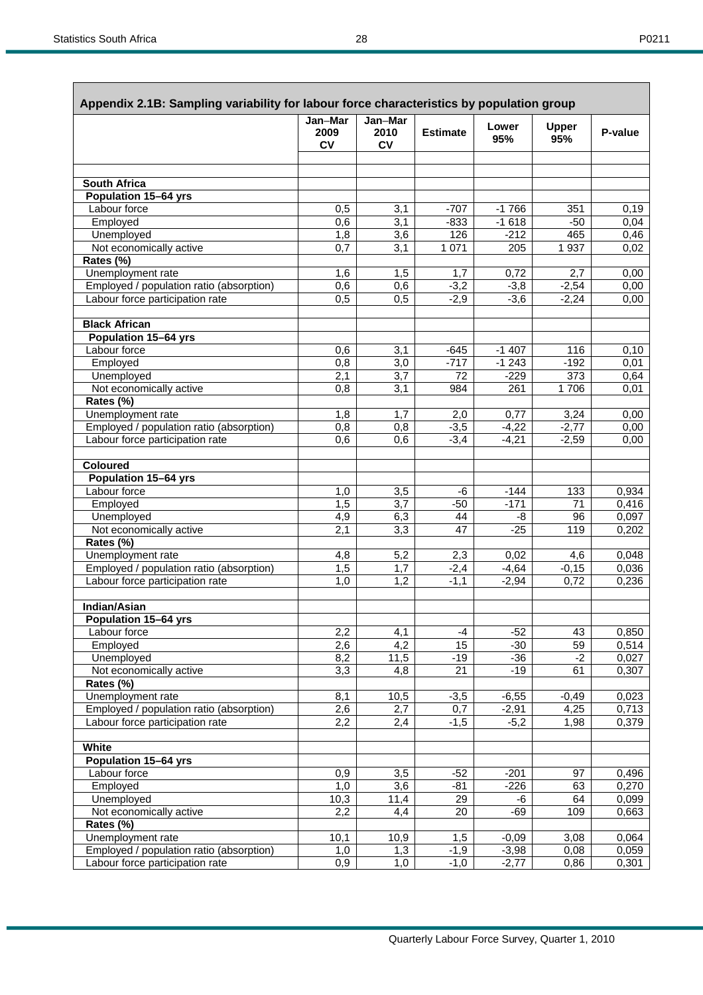|--|

| Appendix 2.1B: Sampling variability for labour force characteristics by population group |                              |                       |                 |                    |                     |                |
|------------------------------------------------------------------------------------------|------------------------------|-----------------------|-----------------|--------------------|---------------------|----------------|
|                                                                                          | Jan-Mar<br>2009<br><b>CV</b> | Jan-Mar<br>2010<br>CV | <b>Estimate</b> | Lower<br>95%       | <b>Upper</b><br>95% | P-value        |
|                                                                                          |                              |                       |                 |                    |                     |                |
| South Africa                                                                             |                              |                       |                 |                    |                     |                |
| Population 15-64 yrs                                                                     |                              |                       |                 |                    |                     |                |
| Labour force                                                                             | 0,5                          | 3,1                   | $-707$          | $-1766$            | 351                 | 0,19           |
| Employed                                                                                 | 0,6                          | 3,1                   | $-833$          | $-1618$            | $-50$               | 0,04           |
| Unemployed                                                                               | 1,8                          | 3,6                   | 126             | $-212$             | 465                 | 0,46           |
| Not economically active                                                                  | 0,7                          | 3,1                   | 1 0 7 1         | 205                | 1937                | 0,02           |
| Rates (%)                                                                                |                              |                       |                 |                    |                     |                |
| Unemployment rate                                                                        | 1,6                          | 1,5                   | 1,7             | 0,72               | 2,7                 | 0,00           |
| Employed / population ratio (absorption)                                                 | 0,6                          | 0,6                   | $-3,2$          | $-3,8$             | $-2,54$             | 0,00           |
| Labour force participation rate                                                          | 0,5                          | $0,\overline{5}$      | $-2,9$          | $-3,6$             | $-2,24$             | 0,00           |
| <b>Black African</b>                                                                     |                              |                       |                 |                    |                     |                |
| Population 15-64 yrs                                                                     |                              |                       |                 |                    |                     |                |
| Labour force                                                                             | 0,6                          | 3,1                   | $-645$          | $-1407$            | 116                 | 0,10           |
| Employed                                                                                 | 0,8                          | 3,0                   | $-717$          | $-1243$            | $-192$              | 0,01           |
| Unemployed                                                                               | 2,1                          | 3,7                   | 72              | $-229$             | 373                 | 0,64           |
| Not economically active                                                                  | 0,8                          | 3,1                   | 984             | 261                | 1706                | 0,01           |
| Rates (%)                                                                                |                              |                       |                 |                    |                     |                |
| Unemployment rate                                                                        | 1,8                          | 1,7                   | 2,0             | 0,77               | 3,24                | 0,00           |
| Employed / population ratio (absorption)                                                 | 0,8                          | 0,8                   | $-3,5$          | $-4,22$            | $-2,77$             | 0,00           |
| Labour force participation rate                                                          | 0,6                          | 0,6                   | $-3,4$          | $-4,21$            | $-2,59$             | 0,00           |
| <b>Coloured</b>                                                                          |                              |                       |                 |                    |                     |                |
| <b>Population 15-64 yrs</b>                                                              |                              |                       |                 |                    |                     |                |
| Labour force                                                                             | 1,0                          | $\overline{3,5}$      | -6              | $-144$             | 133                 | 0,934          |
| Employed                                                                                 | 1,5                          | 3,7                   | $-50$           | $-171$             | $\overline{71}$     | 0,416          |
| Unemployed                                                                               | 4,9                          | 6,3                   | 44              | -8                 | 96                  | 0,097          |
| Not economically active                                                                  | 2,1                          | $\overline{3,3}$      | 47              | $-25$              | 119                 | 0,202          |
| Rates (%)                                                                                |                              |                       |                 |                    |                     |                |
| Unemployment rate                                                                        | 4,8                          | 5,2                   | 2,3             | 0,02               | 4,6                 | 0.048          |
| Employed / population ratio (absorption)                                                 | 1,5                          | 1,7                   | $-2,4$          | $-4,64$            | $-0,15$             | 0,036          |
| Labour force participation rate                                                          | 1,0                          | 1,2                   | $-1,1$          | $-2,94$            | 0,72                | 0,236          |
| Indian/Asian                                                                             |                              |                       |                 |                    |                     |                |
| Population 15-64 yrs                                                                     |                              |                       |                 |                    |                     |                |
| Labour force                                                                             | 2,2                          | 4,1                   | $-4$            | $-52$              | 43                  | 0,850          |
| Employed                                                                                 | 2,6                          | $\overline{4,2}$      | 15              | $-30$              | 59                  | 0,514          |
| Unemployed                                                                               | 8,2                          | 11,5                  | $-19$           | $-36$              | $-2$                | 0,027          |
| Not economically active                                                                  | 3,3                          | 4,8                   | 21              | $-19$              | 61                  | 0,307          |
| Rates (%)<br>Unemployment rate                                                           |                              |                       |                 |                    |                     |                |
| Employed / population ratio (absorption)                                                 | 8,1<br>2,6                   | 10,5<br>2,7           | $-3,5$<br>0,7   | $-6,55$<br>$-2,91$ | $-0,49$<br>4,25     | 0,023<br>0,713 |
| Labour force participation rate                                                          | 2,2                          | 2,4                   | $-1,5$          | $-5,2$             | 1,98                | 0,379          |
|                                                                                          |                              |                       |                 |                    |                     |                |
| White                                                                                    |                              |                       |                 |                    |                     |                |
| Population 15-64 yrs                                                                     |                              |                       |                 |                    |                     |                |
| Labour force                                                                             | 0,9                          | 3,5                   | $-52$           | $-201$             | 97                  | 0,496          |
| Employed                                                                                 | 1,0                          | 3,6                   | $-81$           | $-226$             | 63                  | 0,270          |
| Unemployed                                                                               | 10,3                         | 11,4                  | 29              | -6                 | 64                  | 0,099          |
| Not economically active<br>Rates (%)                                                     | 2,2                          | 4,4                   | 20              | $-69$              | 109                 | 0,663          |
| Unemployment rate                                                                        | 10,1                         | 10,9                  | 1,5             | $-0,09$            | 3,08                | 0,064          |
| Employed / population ratio (absorption)                                                 | 1,0                          | 1,3                   | $-1,9$          | $-3,98$            | 0,08                | 0,059          |
| Labour force participation rate                                                          | 0,9                          | 1,0                   | $-1,0$          | $-2,77$            | 0,86                | 0,301          |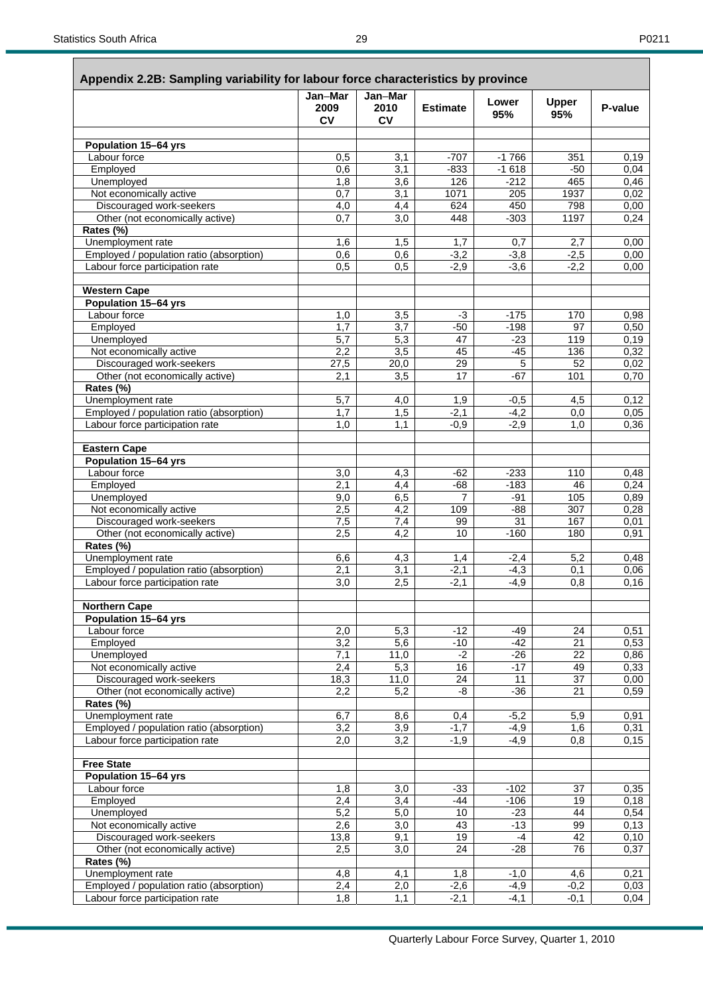|                                                     | Jan-Mar<br>2009<br><b>CV</b> | Jan-Mar<br>2010<br>CV | <b>Estimate</b> | Lower<br>95%    | <b>Upper</b><br>95% | P-value       |
|-----------------------------------------------------|------------------------------|-----------------------|-----------------|-----------------|---------------------|---------------|
| Population 15-64 yrs                                |                              |                       |                 |                 |                     |               |
| Labour force                                        | 0,5                          | 3,1                   | $-707$          | $-1766$         | 351                 | 0,19          |
| Employed                                            | 0,6                          | 3,1                   | $-833$          | $-1618$         | $-50$               | 0,04          |
| Unemployed                                          | 1,8                          | 3,6                   | 126             | $-212$          | 465                 | 0,46          |
| Not economically active                             | 0,7                          | $\overline{3,1}$      | 1071            | 205             | 1937                | 0,02          |
| Discouraged work-seekers                            | 4,0                          | 4,4                   | 624             | 450             | 798                 | 0,00          |
| Other (not economically active)                     | 0.7                          | 3,0                   | 448             | $-303$          | 1197                | 0,24          |
| Rates (%)                                           |                              |                       |                 |                 |                     |               |
| Unemployment rate                                   | 1,6                          | 1,5                   | 1,7             | 0,7             | 2,7                 | 0,00          |
| Employed / population ratio (absorption)            | 0,6                          | 0,6                   | $-3,2$          | $-3,8$          | $-2,5$              | 0,00          |
| Labour force participation rate                     | 0,5                          | 0,5                   | $-2,9$          | $-3,6$          | $-2,2$              | 0,00          |
| <b>Western Cape</b>                                 |                              |                       |                 |                 |                     |               |
| Population 15-64 yrs                                |                              |                       |                 |                 |                     |               |
| Labour force                                        | 1,0                          | 3,5                   | $-3$            | $-175$          | 170                 | 0,98          |
| Employed                                            | 1,7                          | 3,7                   | $-50$           | $-198$          | 97                  | 0,50          |
| Unemployed                                          | 5,7                          | 5,3                   | 47              | $-23$           | 119                 | 0,19          |
| Not economically active<br>Discouraged work-seekers | 2,2                          | 3,5                   | 45              | $-45$<br>5      | 136<br>52           | 0,32<br>0,02  |
| Other (not economically active)                     | 27,5<br>2,1                  | 20,0<br>3,5           | 29<br>17        | $-67$           | 101                 | 0,70          |
| Rates (%)                                           |                              |                       |                 |                 |                     |               |
| Unemployment rate                                   | 5,7                          | 4,0                   | 1,9             | $-0,5$          | 4,5                 | 0,12          |
| Employed / population ratio (absorption)            | 1,7                          | 1,5                   | $-2,1$          | $-4,2$          | 0,0                 | 0,05          |
| Labour force participation rate                     | 1,0                          | 1,1                   | $-0,9$          | $-2,9$          | 1,0                 | 0,36          |
|                                                     |                              |                       |                 |                 |                     |               |
| <b>Eastern Cape</b><br>Population 15-64 yrs         |                              |                       |                 |                 |                     |               |
| Labour force                                        | 3,0                          | 4,3                   | $-62$           | $-233$          | 110                 | 0,48          |
| Employed                                            | $\overline{2,1}$             | 4,4                   | $-68$           | $-183$          | 46                  | 0,24          |
| Unemployed                                          | 9,0                          | 6,5                   | 7               | $-91$           | 105                 | 0,89          |
| Not economically active                             | 2,5                          | 4,2                   | 109             | $-88$           | 307                 | 0,28          |
| Discouraged work-seekers                            | 7,5                          | 7,4                   | 99              | 31              | 167                 | 0,01          |
| Other (not economically active)                     | 2,5                          | 4,2                   | 10              | $-160$          | 180                 | 0,91          |
| Rates (%)                                           |                              |                       |                 |                 |                     |               |
| Unemployment rate                                   | 6,6                          | 4,3                   | 1,4             | $-2,4$          | 5,2                 | 0,48          |
| Employed / population ratio (absorption)            | 2,1                          | 3,1                   | $-2,1$          | $-4,3$          | 0,1                 | 0,06          |
| Labour force participation rate                     | $\overline{3,0}$             | 2,5                   | $-2,1$          | $-4,9$          | 0,8                 | 0, 16         |
| <b>Northern Cape</b>                                |                              |                       |                 |                 |                     |               |
| Population 15-64 yrs                                |                              |                       |                 |                 |                     |               |
| Labour force                                        | 2,0                          | 5,3                   | $-12$           | $-49$           | 24                  | 0,51          |
| Employed                                            | 3,2                          | $\overline{5,6}$      | $-10$           | $-42$           | $\overline{21}$     | 0,53          |
| Unemployed                                          | 7,1                          | 11,0                  | $-2$            | $-26$           | 22                  | 0,86          |
| Not economically active                             | 2,4                          | 5,3                   | 16              | $-17$           | 49                  | 0,33          |
| Discouraged work-seekers                            | 18,3                         | 11,0                  | 24              | 11              | 37                  | 0,00          |
| Other (not economically active)<br>Rates (%)        | 2,2                          | 5,2                   | -8              | $-36$           | 21                  | 0,59          |
| Unemployment rate                                   | 6,7                          | 8,6                   | 0,4             | $-5,2$          | 5,9                 | 0,91          |
| Employed / population ratio (absorption)            | 3,2                          | $\overline{3,9}$      | $-1,7$          | $-4,9$          | 1,6                 | 0,31          |
| Labour force participation rate                     | 2,0                          | 3,2                   | $-1,9$          | $-4,9$          | 0,8                 | 0,15          |
|                                                     |                              |                       |                 |                 |                     |               |
| <b>Free State</b>                                   |                              |                       |                 |                 |                     |               |
| <b>Population 15-64 yrs</b>                         |                              |                       |                 |                 |                     |               |
| Labour force                                        | 1,8                          | 3,0                   | $-33$           | $-102$          | 37                  | 0,35          |
| Employed<br>Unemployed                              | 2,4<br>5,2                   | 3,4<br>5,0            | $-44$<br>10     | $-106$<br>$-23$ | 19<br>44            | 0, 18<br>0,54 |
| Not economically active                             | 2,6                          | 3,0                   | 43              | $-13$           | 99                  | 0,13          |
| Discouraged work-seekers                            | 13,8                         | 9,1                   | 19              | -4              | 42                  | 0, 10         |
| Other (not economically active)                     | 2,5                          | $\overline{3,0}$      | 24              | $-28$           | 76                  | 0,37          |
| Rates (%)                                           |                              |                       |                 |                 |                     |               |
| Unemployment rate                                   | 4,8                          | 4,1                   | 1,8             | $-1,0$          | 4,6                 | 0,21          |
| Employed / population ratio (absorption)            | 2,4                          | 2,0                   | $-2,6$          | $-4,9$          | $-0,2$              | 0,03          |
| Labour force participation rate                     | 1,8                          | 1,1                   | $-2,1$          | $-4,1$          | $-0,1$              | 0,04          |

### **Appendix 2.2B: Sampling variability for labour force characteristics by province**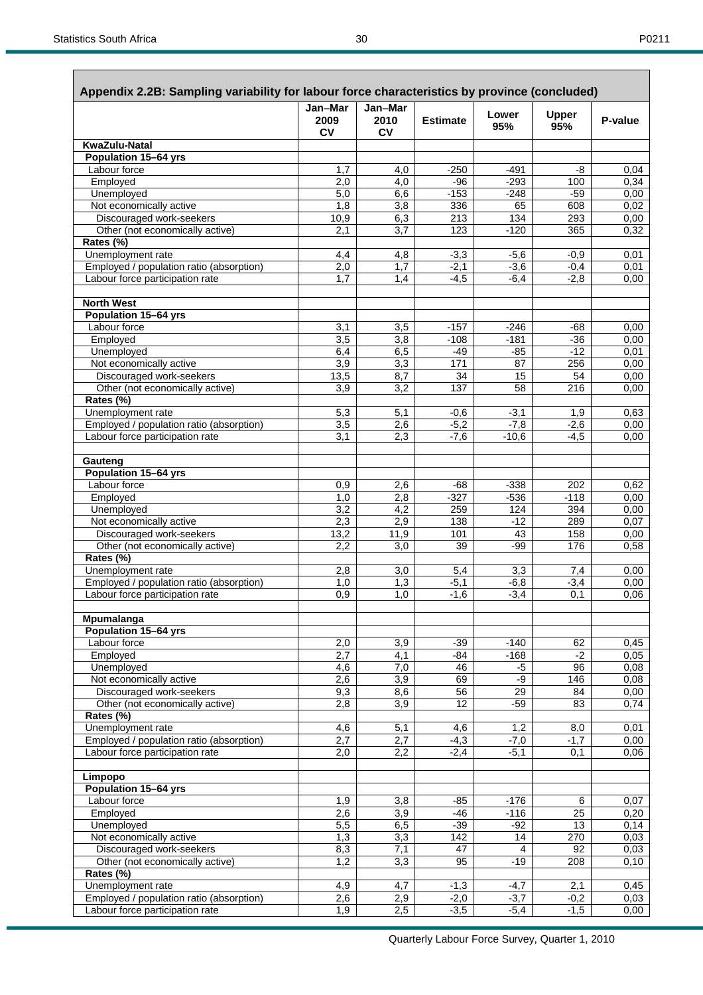|                                                             | Jan-Mar<br>2009  | Jan-Mar<br>2010  | <b>Estimate</b> | Lower            | <b>Upper</b>    | P-value       |
|-------------------------------------------------------------|------------------|------------------|-----------------|------------------|-----------------|---------------|
|                                                             | <b>CV</b>        | <b>CV</b>        |                 | 95%              | 95%             |               |
| KwaZulu-Natal                                               |                  |                  |                 |                  |                 |               |
| <b>Population 15-64 yrs</b>                                 |                  |                  |                 |                  |                 |               |
| Labour force                                                | 1,7              | 4,0              | $-250$          | $-491$           | -8              | 0,04          |
| Employed                                                    | 2,0              | 4,0              | $-96$           | $-293$           | 100<br>$-59$    | 0,34          |
| Unemployed<br>Not economically active                       | 5,0<br>1,8       | 6,6<br>3,8       | $-153$<br>336   | $-248$<br>65     | 608             | 0,00<br>0,02  |
| Discouraged work-seekers                                    | 10,9             | 6,3              | 213             | 134              | 293             | 0,00          |
| Other (not economically active)                             | 2,1              | 3,7              | 123             | $-120$           | 365             | 0,32          |
| Rates (%)                                                   |                  |                  |                 |                  |                 |               |
| Unemployment rate                                           | 4,4              | 4,8              | $-3,3$          | $-5,6$           | $-0.9$          | 0,01          |
| Employed / population ratio (absorption)                    | 2,0              | 1,7              | $-2,1$          | $-3,6$           | $-0,4$          | 0.01          |
| Labour force participation rate                             | 1,7              | 1,4              | $-4,5$          | $-6,4$           | $-2,8$          | 0,00          |
| <b>North West</b>                                           |                  |                  |                 |                  |                 |               |
| Population 15-64 yrs                                        |                  |                  |                 |                  |                 |               |
| Labour force                                                | 3,1              | 3,5              | $-157$          | $-246$           | -68             | 0,00          |
| Employed                                                    | 3,5              | 3,8              | $-108$          | $-181$           | $-36$           | 0,00          |
| Unemployed                                                  | 6,4              | 6,5              | -49             | $-85$            | $-12$           | 0.01          |
| Not economically active                                     | 3,9              | 3,3              | 171             | 87               | 256             | 0,00          |
| Discouraged work-seekers                                    | 13,5             | 8,7              | 34              | 15               | 54              | 0,00          |
| Other (not economically active)                             | 3,9              | 3,2              | 137             | 58               | 216             | 0,00          |
| Rates (%)<br>Unemployment rate                              | 5,3              | 5,1              | $-0,6$          | $-3,1$           | 1,9             | 0,63          |
| Employed / population ratio (absorption)                    | 3,5              | 2,6              | $-5,2$          | $-7,8$           | $-2,6$          | 0,00          |
| Labour force participation rate                             | 3,1              | 2,3              | $-7,6$          | $-10,6$          | $-4,5$          | 0,00          |
|                                                             |                  |                  |                 |                  |                 |               |
| Gauteng<br>Population 15-64 yrs                             |                  |                  |                 |                  |                 |               |
| Labour force                                                | 0,9              | 2,6              | -68             | $-338$           | 202             | 0,62          |
| Employed                                                    | 1,0              | 2,8              | $-327$          | $-536$           | $-118$          | 0,00          |
| Unemployed                                                  | 3,2              | 4,2              | 259             | 124              | 394             | 0,00          |
| Not economically active                                     | 2,3              | 2,9              | 138             | $-12$            | 289             | 0,07          |
| Discouraged work-seekers                                    | 13,2             | 11,9             | 101             | 43               | 158             | 0,00          |
| Other (not economically active)                             | 2,2              | 3,0              | 39              | $-99$            | 176             | 0,58          |
| Rates (%)                                                   |                  |                  |                 |                  |                 |               |
| Unemployment rate                                           | 2,8              | 3,0              | 5,4             | 3,3              | 7,4             | 0,00          |
| Employed / population ratio (absorption)                    | 1,0              | 1,3              | $-5,1$          | $-6, 8$          | $-3,4$          | 0,00          |
| Labour force participation rate                             | 0,9              | 1,0              | $-1,6$          | $-3,4$           | 0,1             | 0.06          |
| Mpumalanga                                                  |                  |                  |                 |                  |                 |               |
| Population 15-64 yrs<br>Labour force                        |                  |                  |                 |                  |                 |               |
| Employed                                                    | 2,0<br>2,7       | 3,9<br>4,1       | $-39$<br>-84    | $-140$<br>$-168$ | 62<br>$-2$      | 0,45<br>0,05  |
| Unemployed                                                  | $\overline{4,6}$ | $\overline{7,0}$ | 46              | $-5$             | 96              | 0,08          |
| Not economically active                                     | 2,6              | 3,9              | 69              | -9               | 146             | 0,08          |
| Discouraged work-seekers                                    | 9,3              | 8,6              | 56              | 29               | 84              | 0,00          |
| Other (not economically active)                             | 2,8              | $\overline{3,9}$ | $\overline{12}$ | $-59$            | 83              | 0,74          |
| Rates (%)                                                   |                  |                  |                 |                  |                 |               |
| Unemployment rate                                           | 4,6              | 5,1              | 4,6             | 1,2              | 8,0             | 0,01          |
| Employed / population ratio (absorption)                    | 2,7              | 2,7              | $-4,3$          | $-7,0$           | $-1,7$          | 0,00          |
| Labour force participation rate                             | 2,0              | 2,2              | $-2,4$          | $-5,1$           | 0,1             | 0,06          |
| Limpopo                                                     |                  |                  |                 |                  |                 |               |
| Population 15-64 yrs                                        |                  |                  |                 |                  |                 |               |
| Labour force                                                | 1,9              | 3,8              | $-85$           | $-176$           | 6               | 0,07          |
| Employed                                                    | 2,6              | $\overline{3,9}$ | $-46$           | $-116$           | $\overline{25}$ | 0,20          |
| Unemployed                                                  | 5,5              | 6,5              | $-39$           | $-92$            | 13              | 0,14          |
| Not economically active                                     | 1,3              | 3,3              | 142             | 14               | 270             | 0,03          |
| Discouraged work-seekers<br>Other (not economically active) | 8,3<br>1,2       | 7,1<br>3,3       | 47<br>95        | 4<br>$-19$       | 92<br>208       | 0,03<br>0, 10 |
| Rates (%)                                                   |                  |                  |                 |                  |                 |               |
| Unemployment rate                                           | 4,9              | 4,7              | $-1,3$          | $-4,7$           | 2,1             | 0,45          |
| Employed / population ratio (absorption)                    | 2,6              | 2,9              | $-2,0$          | $-3,7$           | $-0,2$          | 0,03          |
|                                                             |                  |                  |                 |                  |                 |               |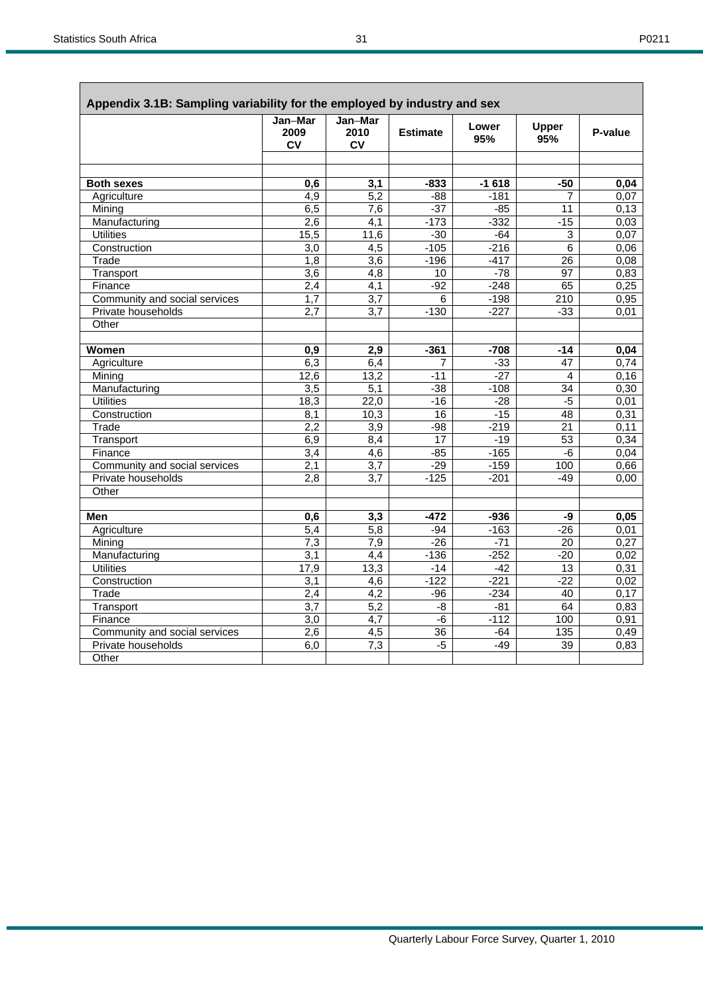Γ

ì

|                               | Jan-Mar<br>2009<br>CV | Jan-Mar<br>2010<br><b>CV</b> | <b>Estimate</b> | Lower<br>95% | <b>Upper</b><br>95% | P-value |
|-------------------------------|-----------------------|------------------------------|-----------------|--------------|---------------------|---------|
| <b>Both sexes</b>             | 0,6                   | 3,1                          | -833            | $-1618$      | $-50$               | 0,04    |
| Agriculture                   | 4,9                   | 5,2                          | $-88$           | $-181$       | 7                   | 0,07    |
| Mining                        | 6,5                   | 7,6                          | $-37$           | $-85$        | 11                  | 0,13    |
| Manufacturing                 | 2,6                   | $\overline{4,1}$             | $-173$          | $-332$       | $-15$               | 0,03    |
| <b>Utilities</b>              | 15,5                  | 11,6                         | $-30$           | $-64$        | $\overline{3}$      | 0,07    |
| Construction                  | 3,0                   | $\overline{4,5}$             | $-105$          | $-216$       | $\overline{6}$      | 0,06    |
| Trade                         | 1,8                   | 3,6                          | $-196$          | $-417$       | 26                  | 0,08    |
| Transport                     | 3,6                   | $\overline{4,8}$             | 10              | $-78$        | 97                  | 0,83    |
| Finance                       | 2,4                   | $\overline{4,1}$             | $-92$           | $-248$       | 65                  | 0,25    |
| Community and social services | 1,7                   | $\overline{3.7}$             | 6               | $-198$       | $\overline{210}$    | 0,95    |
| Private households            | 2,7                   | 3,7                          | $-130$          | $-227$       | $-33$               | 0,01    |
| Other                         |                       |                              |                 |              |                     |         |
| Women                         | 0,9                   | 2,9                          | $-361$          | $-708$       | $-14$               | 0,04    |
| Agriculture                   | 6,3                   | 6,4                          | 7               | $-33$        | $\overline{47}$     | 0,74    |
| Mining                        | 12,6                  | 13,2                         | $-11$           | $-27$        | 4                   | 0,16    |
| Manufacturing                 | $\overline{3,5}$      | 5,1                          | $-38$           | $-108$       | 34                  | 0,30    |
| <b>Utilities</b>              | 18,3                  | 22,0                         | $-16$           | $-28$        | $-5$                | 0,01    |
| Construction                  | 8,1                   | 10,3                         | 16              | $-15$        | 48                  | 0,31    |
| Trade                         | 2,2                   | $\overline{3,9}$             | $-98$           | $-219$       | 21                  | 0,11    |
| Transport                     | 6,9                   | 8,4                          | $\overline{17}$ | $-19$        | $\overline{53}$     | 0,34    |
| Finance                       | 3,4                   | 4,6                          | $-85$           | $-165$       | $-6$                | 0,04    |
| Community and social services | 2,1                   | 3,7                          | $-29$           | $-159$       | 100                 | 0,66    |
| Private households            | 2,8                   | 3,7                          | $-125$          | $-201$       | $-49$               | 0,00    |
| Other                         |                       |                              |                 |              |                     |         |
| Men                           | 0,6                   | 3,3                          | $-472$          | $-936$       | -9                  | 0,05    |
| Agriculture                   | $\overline{5,4}$      | $\overline{5,8}$             | $-94$           | $-163$       | $-26$               | 0,01    |
| Mining                        | 7,3                   | 7,9                          | $-26$           | $-71$        | 20                  | 0,27    |
| Manufacturing                 | 3,1                   | 4,4                          | $-136$          | $-252$       | $-20$               | 0,02    |
| <b>Utilities</b>              | 17,9                  | 13,3                         | $-14$           | $-42$        | $\overline{13}$     | 0,31    |
| Construction                  | 3,1                   | 4,6                          | $-122$          | $-221$       | $-22$               | 0,02    |
| Trade                         | 2,4                   | $\overline{4,2}$             | $-96$           | $-234$       | 40                  | 0,17    |
| Transport                     | $\overline{3,7}$      | $\overline{5,2}$             | -8              | $-81$        | 64                  | 0,83    |
| Finance                       | 3,0                   | $\overline{4,7}$             | -6              | $-112$       | 100                 | 0,91    |
| Community and social services | 2,6                   | 4,5                          | 36              | -64          | 135                 | 0,49    |
| Private households            | 6,0                   | 7,3                          | $-5$            | $-49$        | 39                  | 0,83    |
| Other                         |                       |                              |                 |              |                     |         |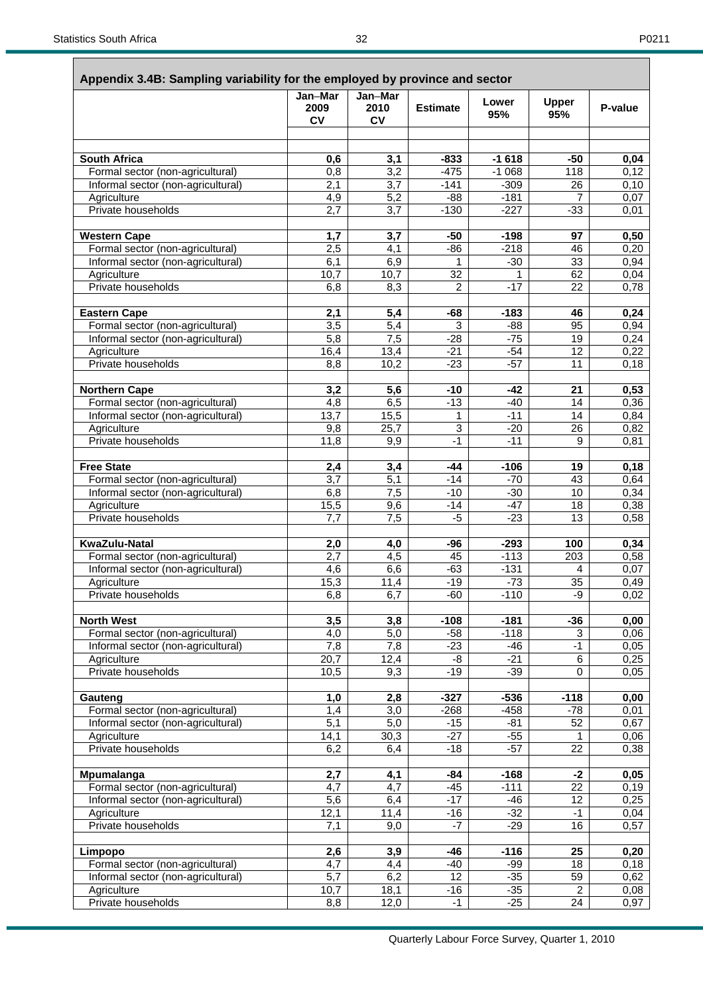### **Appendix 3.4B: Sampling variability for the employed by province and sector**

| Appendix J.4D. Jamping variability for the employed by province and sector                                                            | Jan-Mar<br>2009<br><b>CV</b>             | Jan-Mar<br>2010<br>CV                    | <b>Estimate</b>                              | Lower<br>95%                                        | <b>Upper</b><br>95%  | P-value      |
|---------------------------------------------------------------------------------------------------------------------------------------|------------------------------------------|------------------------------------------|----------------------------------------------|-----------------------------------------------------|----------------------|--------------|
|                                                                                                                                       |                                          |                                          |                                              |                                                     |                      |              |
|                                                                                                                                       |                                          |                                          |                                              |                                                     |                      |              |
| <b>South Africa</b>                                                                                                                   | 0,6                                      | 3,1                                      | $-833$                                       | $-1618$                                             | $-50$                | 0,04         |
| Formal sector (non-agricultural)                                                                                                      | 0,8<br>$\overline{2,1}$                  | $\overline{3,2}$<br>3,7                  | $-475$<br>$-141$                             | $-1068$<br>$-309$                                   | 118<br>26            | 0,12         |
| Informal sector (non-agricultural)<br>Agriculture                                                                                     | 4,9                                      | 5,2                                      | $-88$                                        | $-181$                                              | $\overline{7}$       | 0,10<br>0,07 |
| Private households                                                                                                                    | 2,7                                      | 3,7                                      | $-130$                                       | $-227$                                              | $-33$                | 0,01         |
|                                                                                                                                       |                                          |                                          |                                              |                                                     |                      |              |
| <b>Western Cape</b>                                                                                                                   | 1,7                                      | 3,7                                      | $-50$                                        | $-198$                                              | 97                   | 0,50         |
| Formal sector (non-agricultural)                                                                                                      | 2,5                                      | 4,1                                      | $-86$                                        | $-218$                                              | 46                   | 0,20         |
| Informal sector (non-agricultural)                                                                                                    | 6,1                                      | 6,9                                      | 1                                            | $-30$                                               | 33                   | 0,94         |
| Agriculture                                                                                                                           | 10,7                                     | 10,7                                     | 32                                           |                                                     | 62                   | 0,04         |
| Private households                                                                                                                    | 6,8                                      | 8,3                                      | $\overline{c}$                               | $-17$                                               | 22                   | 0,78         |
|                                                                                                                                       |                                          |                                          |                                              |                                                     |                      |              |
| <b>Eastern Cape</b>                                                                                                                   | 2,1                                      | 5,4                                      | -68                                          | $-183$                                              | 46                   | 0,24         |
| Formal sector (non-agricultural)                                                                                                      | $\overline{3,5}$                         | 5,4                                      | 3                                            | $-88$                                               | 95                   | 0,94         |
| Informal sector (non-agricultural)                                                                                                    | 5,8                                      | 7,5                                      | $-28$                                        | $-75$                                               | 19                   | 0,24         |
| Agriculture                                                                                                                           | 16,4                                     | 13,4                                     | $-21$                                        | $-54$                                               | 12                   | 0,22         |
| Private households                                                                                                                    | 8,8                                      | 10,2                                     | $-23$                                        | $-57$                                               | 11                   | 0,18         |
|                                                                                                                                       |                                          |                                          |                                              |                                                     |                      |              |
| <b>Northern Cape</b>                                                                                                                  | 3,2                                      | $\overline{5,6}$                         | $-10$                                        | $-42$                                               | 21                   | 0,53         |
| Formal sector (non-agricultural)                                                                                                      | 4,8                                      | 6,5                                      | $-13$                                        | $-40$                                               | 14                   | 0,36         |
| Informal sector (non-agricultural)                                                                                                    | 13,7                                     | 15,5                                     | 1                                            | $-11$                                               | 14                   | 0,84         |
| Agriculture                                                                                                                           | 9,8                                      | 25,7                                     | 3                                            | $-20$                                               | 26                   | 0,82         |
| Private households                                                                                                                    | 11,8                                     | 9,9                                      | $-1$                                         | $-11$                                               | 9                    | 0,81         |
|                                                                                                                                       |                                          |                                          |                                              |                                                     |                      |              |
| <b>Free State</b>                                                                                                                     | 2,4                                      | 3,4                                      | $-44$                                        | $-106$                                              | 19                   | 0,18         |
| Formal sector (non-agricultural)                                                                                                      | 3,7                                      | 5,1<br>$\overline{7,5}$                  | $-14$<br>$-10$                               | $-70$                                               | 43<br>10             | 0,64         |
| Informal sector (non-agricultural)<br>Agriculture                                                                                     | 6,8<br>15,5                              | 9,6                                      | $-14$                                        | $-30$<br>$-47$                                      | 18                   | 0,34<br>0,38 |
| Private households                                                                                                                    | 7,7                                      | 7,5                                      | $-5$                                         | $-23$                                               | $\overline{13}$      | 0,58         |
|                                                                                                                                       |                                          |                                          |                                              |                                                     |                      |              |
| <b>KwaZulu-Natal</b>                                                                                                                  | 2,0                                      | 4,0                                      | -96                                          | $-293$                                              | 100                  | 0,34         |
| Formal sector (non-agricultural)                                                                                                      | 2,7                                      | 4,5                                      | 45                                           | $-113$                                              | 203                  | 0,58         |
| Informal sector (non-agricultural)                                                                                                    | 4,6                                      | 6,6                                      | $-63$                                        | $-131$                                              | 4                    | 0,07         |
| Agriculture                                                                                                                           | 15,3                                     | 11,4                                     | $-19$                                        | $-73$                                               | $\overline{35}$      | 0,49         |
| Private households                                                                                                                    | 6,8                                      | 6,7                                      | $-60$                                        | $-110$                                              | -9                   | 0,02         |
|                                                                                                                                       |                                          |                                          |                                              |                                                     |                      |              |
| <b>North West</b>                                                                                                                     | 3,5<br>4,0                               | 3,8<br>$\overline{5,0}$                  | $-108$<br>$-58$                              | $-181$<br>$-118$                                    | $-36$<br>3           | 0,00         |
| Formal sector (non-agricultural)<br>Informal sector (non-agricultural)                                                                | 7,8                                      | 7,8                                      | $-23$                                        | $-46$                                               | $-1$                 | 0,06<br>0,05 |
| Agriculture                                                                                                                           | $\overline{20,7}$                        | 12,4                                     | $-\frac{8}{5}$                               | $-21$                                               | 6                    | 0,25         |
| Private households                                                                                                                    | 10,5                                     | 9,3                                      | $-19$                                        | $-39$                                               | $\Omega$             | 0,05         |
|                                                                                                                                       |                                          |                                          |                                              |                                                     |                      |              |
| Gauteng                                                                                                                               | 1,0                                      | 2,8                                      | $-327$                                       | $-536$                                              | $-118$               | 0,00         |
| Formal sector (non-agricultural)                                                                                                      | 1,4                                      | 3,0                                      | $-268$                                       | $-458$                                              | $-78$                | 0,01         |
| Informal sector (non-agricultural)                                                                                                    | $\overline{5,1}$                         | 5,0                                      | $-15$                                        | $-81$                                               | 52                   | 0,67         |
| Agriculture                                                                                                                           | 14,1                                     | 30,3                                     | $-27$                                        | $-55$                                               | $\mathbf{1}$         | 0,06         |
| Private households                                                                                                                    | 6,2                                      | 6,4                                      | $-18$                                        | $-57$                                               | 22                   | 0,38         |
|                                                                                                                                       |                                          |                                          |                                              |                                                     |                      |              |
| Mpumalanga                                                                                                                            | 2,7                                      | 4,1                                      | -84                                          | $-168$                                              | $-2$                 | 0,05         |
| Formal sector (non-agricultural)                                                                                                      | 4,7                                      | $\overline{4,7}$                         | $-45$                                        | $-111$                                              | 22                   | 0,19         |
| Informal sector (non-agricultural)                                                                                                    | $\overline{5,6}$                         | 6,4                                      | $-17$                                        | $-46$                                               | 12                   | 0,25         |
|                                                                                                                                       |                                          |                                          |                                              |                                                     | $-1$                 | 0,04         |
|                                                                                                                                       |                                          |                                          |                                              |                                                     |                      | 0,57         |
|                                                                                                                                       |                                          |                                          |                                              |                                                     |                      | 0,20         |
|                                                                                                                                       |                                          |                                          |                                              |                                                     |                      | 0,18         |
|                                                                                                                                       |                                          |                                          |                                              |                                                     |                      | 0,62         |
|                                                                                                                                       |                                          |                                          |                                              |                                                     | $\overline{2}$       | 0,08         |
| Private households                                                                                                                    | 8,8                                      | 12,0                                     | $-1$                                         | $-25$                                               | 24                   | 0,97         |
| Agriculture<br>Private households<br>Limpopo<br>Formal sector (non-agricultural)<br>Informal sector (non-agricultural)<br>Agriculture | 12,1<br>7,1<br>2,6<br>4,7<br>5,7<br>10,7 | 11,4<br>9,0<br>3,9<br>4,4<br>6,2<br>18,1 | $-16$<br>$-7$<br>-46<br>$-40$<br>12<br>$-16$ | $-32$<br>$-29$<br>$-116$<br>$-99$<br>$-35$<br>$-35$ | 16<br>25<br>18<br>59 |              |